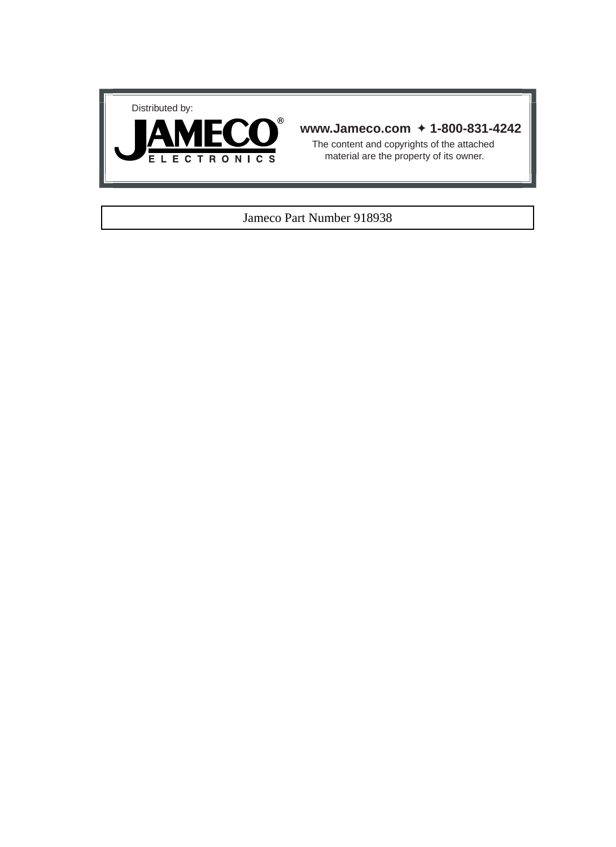



### **www.Jameco.com** ✦ **1-800-831-4242**

The content and copyrights of the attached material are the property of its owner.

### Jameco Part Number 918938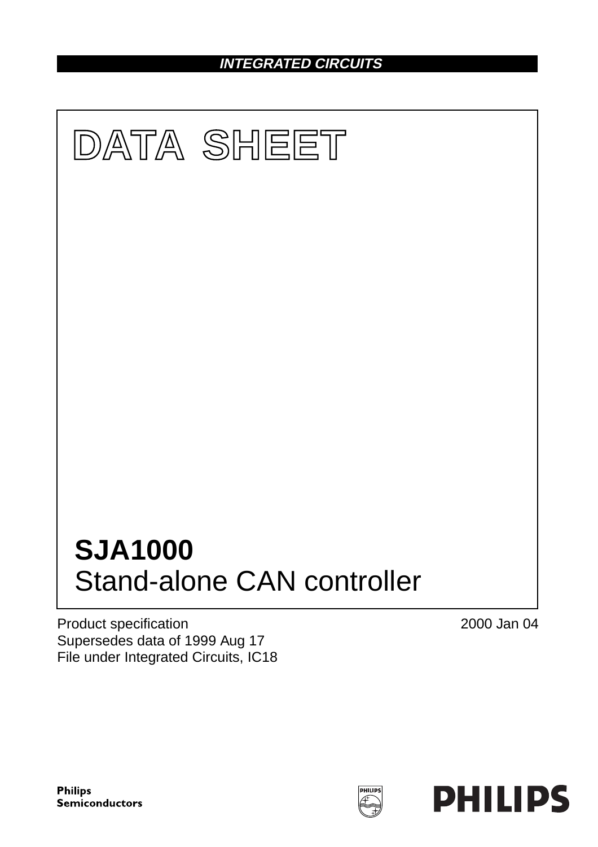## **INTEGRATED CIRCUITS**



Product specification Supersedes data of 1999 Aug 17 File under Integrated Circuits, IC18 2000 Jan 04

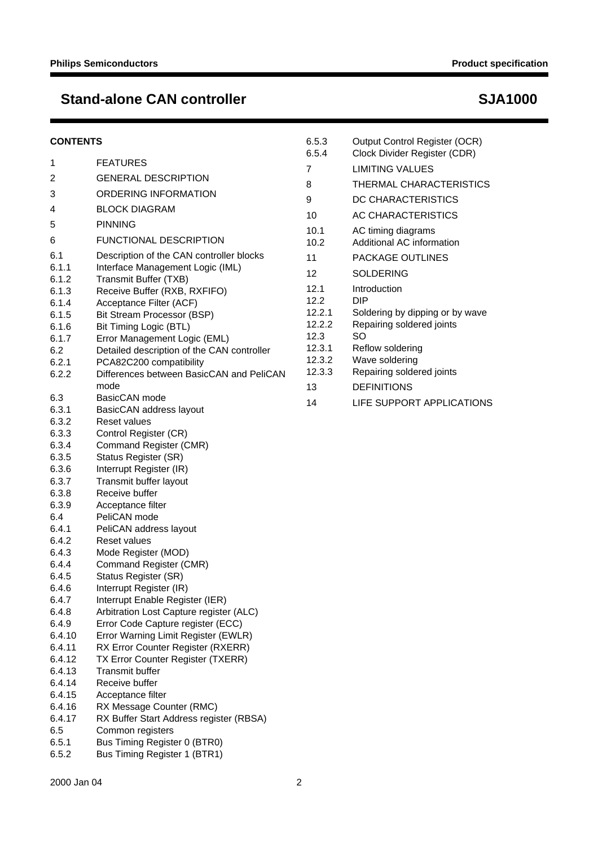## **Stand-alone CAN controller SJA1000**

### **CONTENTS**

| 1      | <b>FEATURES</b>                            |  |  |  |  |  |
|--------|--------------------------------------------|--|--|--|--|--|
|        |                                            |  |  |  |  |  |
| 2      | <b>GENERAL DESCRIPTION</b>                 |  |  |  |  |  |
| 3      | ORDERING INFORMATION                       |  |  |  |  |  |
| 4      | <b>BLOCK DIAGRAM</b>                       |  |  |  |  |  |
| 5      | <b>PINNING</b>                             |  |  |  |  |  |
| 6      | <b>FUNCTIONAL DESCRIPTION</b>              |  |  |  |  |  |
| 6.1    | Description of the CAN controller blocks   |  |  |  |  |  |
| 6.1.1  | Interface Management Logic (IML)           |  |  |  |  |  |
| 6.1.2  | Transmit Buffer (TXB)                      |  |  |  |  |  |
| 6.1.3  | Receive Buffer (RXB, RXFIFO)               |  |  |  |  |  |
| 6.1.4  | Acceptance Filter (ACF)                    |  |  |  |  |  |
| 6.1.5  | Bit Stream Processor (BSP)                 |  |  |  |  |  |
| 6.1.6  | <b>Bit Timing Logic (BTL)</b>              |  |  |  |  |  |
| 6.1.7  | Error Management Logic (EML)               |  |  |  |  |  |
| 6.2    | Detailed description of the CAN controller |  |  |  |  |  |
| 6.2.1  | PCA82C200 compatibility                    |  |  |  |  |  |
| 6.2.2  | Differences between BasicCAN and PeliCAN   |  |  |  |  |  |
|        | mode                                       |  |  |  |  |  |
| 6.3    | BasicCAN mode                              |  |  |  |  |  |
| 6.3.1  | BasicCAN address layout                    |  |  |  |  |  |
| 6.3.2  | <b>Reset values</b>                        |  |  |  |  |  |
| 6.3.3  | Control Register (CR)                      |  |  |  |  |  |
| 6.3.4  | Command Register (CMR)                     |  |  |  |  |  |
| 6.3.5  | Status Register (SR)                       |  |  |  |  |  |
| 6.3.6  | Interrupt Register (IR)                    |  |  |  |  |  |
| 6.3.7  | Transmit buffer layout                     |  |  |  |  |  |
| 6.3.8  | Receive buffer                             |  |  |  |  |  |
| 6.3.9  | Acceptance filter                          |  |  |  |  |  |
| 6.4    | PeliCAN mode                               |  |  |  |  |  |
| 6.4.1  | PeliCAN address layout                     |  |  |  |  |  |
| 6.4.2  | <b>Reset values</b>                        |  |  |  |  |  |
| 6.4.3  | Mode Register (MOD)                        |  |  |  |  |  |
| 6.4.4  | Command Register (CMR)                     |  |  |  |  |  |
| 6.4.5  | Status Register (SR)                       |  |  |  |  |  |
| 6.4.6  | Interrupt Register (IR)                    |  |  |  |  |  |
| 6.4.7  | Interrupt Enable Register (IER)            |  |  |  |  |  |
| 6.4.8  | Arbitration Lost Capture register (ALC)    |  |  |  |  |  |
| 6.4.9  | Error Code Capture register (ECC)          |  |  |  |  |  |
| 6.4.10 | Error Warning Limit Register (EWLR)        |  |  |  |  |  |
| 6.4.11 | RX Error Counter Register (RXERR)          |  |  |  |  |  |
| 6.4.12 | TX Error Counter Register (TXERR)          |  |  |  |  |  |
| 6.4.13 | <b>Transmit buffer</b>                     |  |  |  |  |  |
| 6.4.14 | Receive buffer                             |  |  |  |  |  |
| 6.4.15 | Acceptance filter                          |  |  |  |  |  |
| 6.4.16 | RX Message Counter (RMC)                   |  |  |  |  |  |
| 6.4.17 | RX Buffer Start Address register (RBSA)    |  |  |  |  |  |
| 6.5    | Common registers                           |  |  |  |  |  |
| 6.5.1  | Bus Timing Register 0 (BTR0)               |  |  |  |  |  |
| 6.5.2  | Bus Timing Register 1 (BTR1)               |  |  |  |  |  |

| 6.5.3<br>6.5.4 | Output Control Register (OCR)   |
|----------------|---------------------------------|
|                | Clock Divider Register (CDR)    |
| 7              | <b>LIMITING VALUES</b>          |
| 8              | THERMAL CHARACTERISTICS         |
| 9              | DC CHARACTERISTICS              |
| 10             | AC CHARACTERISTICS              |
| 10.1           | AC timing diagrams              |
| 10.2           | Additional AC information       |
| 11             | <b>PACKAGE OUTLINES</b>         |
| 12             | <b>SOLDERING</b>                |
| 12.1           | Introduction                    |
| 12.2           | DIP                             |
| 12.2.1         | Soldering by dipping or by wave |
| 12.2.2         | Repairing soldered joints       |
| 12.3           | SO                              |
| 12.3.1         | Reflow soldering                |
| 12.3.2         | Wave soldering                  |
| 12.3.3         | Repairing soldered joints       |
| 13             | <b>DEFINITIONS</b>              |
| 14             | LIFE SUPPORT APPLICATIONS       |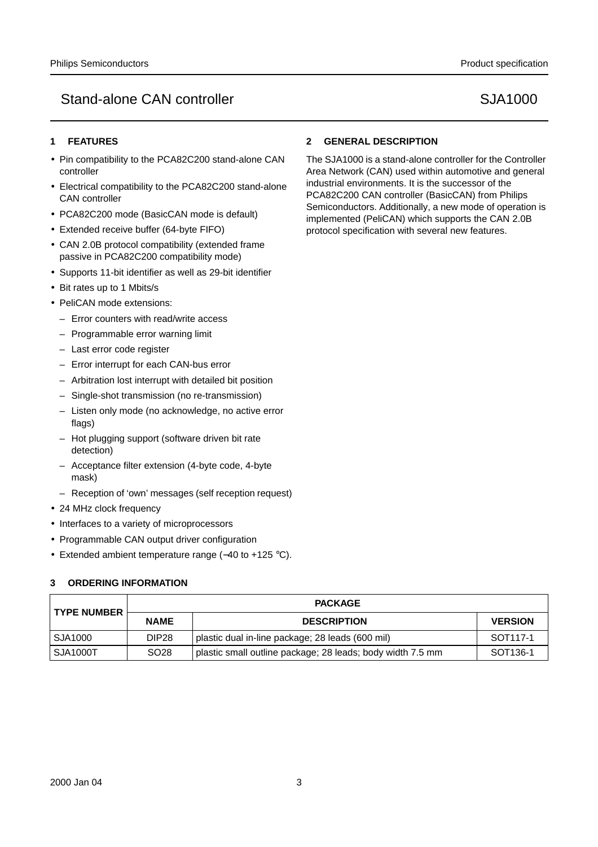### **1 FEATURES**

- Pin compatibility to the PCA82C200 stand-alone CAN controller
- Electrical compatibility to the PCA82C200 stand-alone CAN controller
- PCA82C200 mode (BasicCAN mode is default)
- Extended receive buffer (64-byte FIFO)
- CAN 2.0B protocol compatibility (extended frame passive in PCA82C200 compatibility mode)
- Supports 11-bit identifier as well as 29-bit identifier
- Bit rates up to 1 Mbits/s
- PeliCAN mode extensions:
	- Error counters with read/write access
	- Programmable error warning limit
	- Last error code register
	- Error interrupt for each CAN-bus error
	- Arbitration lost interrupt with detailed bit position
	- Single-shot transmission (no re-transmission)
	- Listen only mode (no acknowledge, no active error flags)
	- Hot plugging support (software driven bit rate detection)
	- Acceptance filter extension (4-byte code, 4-byte mask)
	- Reception of 'own' messages (self reception request)
- 24 MHz clock frequency
- Interfaces to a variety of microprocessors
- Programmable CAN output driver configuration
- Extended ambient temperature range (−40 to +125 °C).

#### **3 ORDERING INFORMATION**

### **2 GENERAL DESCRIPTION**

The SJA1000 is a stand-alone controller for the Controller Area Network (CAN) used within automotive and general industrial environments. It is the successor of the PCA82C200 CAN controller (BasicCAN) from Philips Semiconductors. Additionally, a new mode of operation is implemented (PeliCAN) which supports the CAN 2.0B protocol specification with several new features.

| <b>TYPE NUMBER</b> | <b>PACKAGE</b>    |                                                            |                      |  |  |
|--------------------|-------------------|------------------------------------------------------------|----------------------|--|--|
|                    | <b>NAME</b>       | <b>DESCRIPTION</b>                                         |                      |  |  |
| SJA1000            | DIP <sub>28</sub> | plastic dual in-line package; 28 leads (600 mil)           | SOT <sub>117-1</sub> |  |  |
| SJA1000T           | SO <sub>28</sub>  | plastic small outline package; 28 leads; body width 7.5 mm | SOT <sub>136-1</sub> |  |  |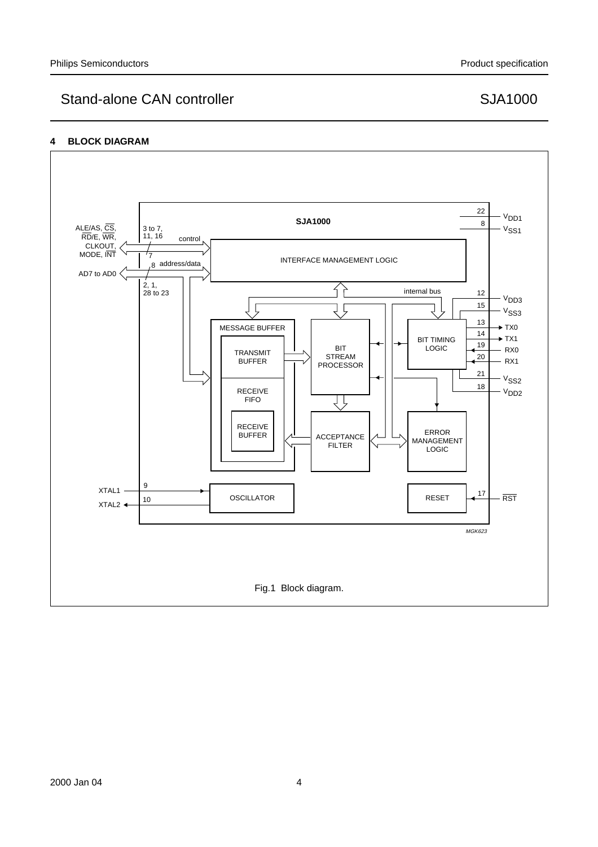## Stand-alone CAN controller SJA1000

### **4 BLOCK DIAGRAM**

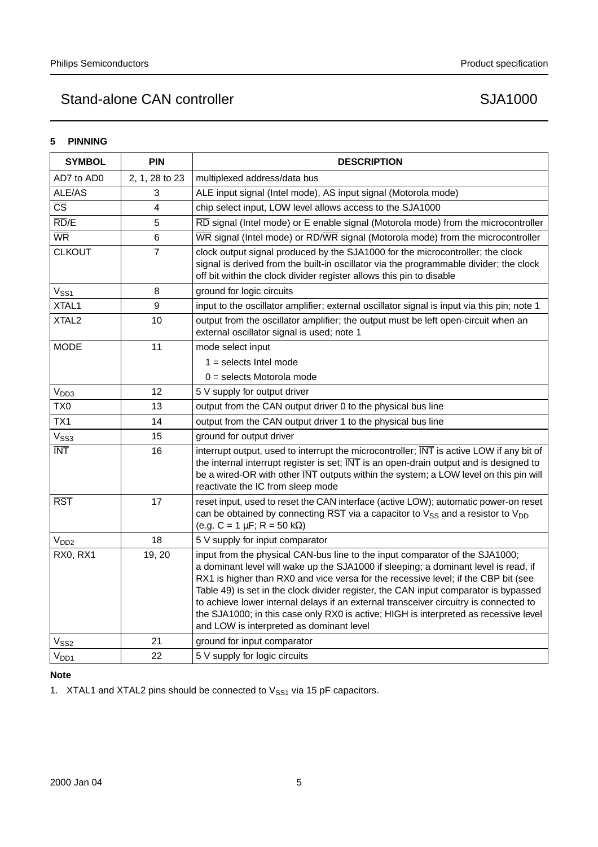| <b>SYMBOL</b>                       | <b>PIN</b>              | <b>DESCRIPTION</b>                                                                                                                                                                                                                                                                                                                                                                                                                                                                                                                                                             |  |  |
|-------------------------------------|-------------------------|--------------------------------------------------------------------------------------------------------------------------------------------------------------------------------------------------------------------------------------------------------------------------------------------------------------------------------------------------------------------------------------------------------------------------------------------------------------------------------------------------------------------------------------------------------------------------------|--|--|
| AD7 to AD0                          | 2, 1, 28 to 23          | multiplexed address/data bus                                                                                                                                                                                                                                                                                                                                                                                                                                                                                                                                                   |  |  |
| ALE/AS                              | 3                       | ALE input signal (Intel mode), AS input signal (Motorola mode)                                                                                                                                                                                                                                                                                                                                                                                                                                                                                                                 |  |  |
| $\overline{\text{CS}}$              | $\overline{\mathbf{4}}$ | chip select input, LOW level allows access to the SJA1000                                                                                                                                                                                                                                                                                                                                                                                                                                                                                                                      |  |  |
| $\overline{\mathsf{RD}}/\mathsf{E}$ | 5                       | RD signal (Intel mode) or E enable signal (Motorola mode) from the microcontroller                                                                                                                                                                                                                                                                                                                                                                                                                                                                                             |  |  |
| $\overline{\text{WR}}$              | 6                       | $\overline{\text{WR}}$ signal (Intel mode) or RD/ $\overline{\text{WR}}$ signal (Motorola mode) from the microcontroller                                                                                                                                                                                                                                                                                                                                                                                                                                                       |  |  |
| <b>CLKOUT</b>                       | $\overline{7}$          | clock output signal produced by the SJA1000 for the microcontroller; the clock<br>signal is derived from the built-in oscillator via the programmable divider; the clock<br>off bit within the clock divider register allows this pin to disable                                                                                                                                                                                                                                                                                                                               |  |  |
| $V_{SS1}$                           | 8                       | ground for logic circuits                                                                                                                                                                                                                                                                                                                                                                                                                                                                                                                                                      |  |  |
| XTAL1                               | $\boldsymbol{9}$        | input to the oscillator amplifier; external oscillator signal is input via this pin; note 1                                                                                                                                                                                                                                                                                                                                                                                                                                                                                    |  |  |
| XTAL <sub>2</sub>                   | 10                      | output from the oscillator amplifier; the output must be left open-circuit when an<br>external oscillator signal is used; note 1                                                                                                                                                                                                                                                                                                                                                                                                                                               |  |  |
| <b>MODE</b>                         | 11                      | mode select input                                                                                                                                                                                                                                                                                                                                                                                                                                                                                                                                                              |  |  |
|                                     |                         | $1 =$ selects Intel mode                                                                                                                                                                                                                                                                                                                                                                                                                                                                                                                                                       |  |  |
|                                     |                         | $0 =$ selects Motorola mode                                                                                                                                                                                                                                                                                                                                                                                                                                                                                                                                                    |  |  |
| V <sub>DD3</sub>                    | 12                      | 5 V supply for output driver                                                                                                                                                                                                                                                                                                                                                                                                                                                                                                                                                   |  |  |
| TX0                                 | 13                      | output from the CAN output driver 0 to the physical bus line                                                                                                                                                                                                                                                                                                                                                                                                                                                                                                                   |  |  |
| TX1                                 | 14                      | output from the CAN output driver 1 to the physical bus line                                                                                                                                                                                                                                                                                                                                                                                                                                                                                                                   |  |  |
| $V_{SS3}$                           | 15                      | ground for output driver                                                                                                                                                                                                                                                                                                                                                                                                                                                                                                                                                       |  |  |
| $\overline{\text{INT}}$             | 16                      | interrupt output, used to interrupt the microcontroller; INT is active LOW if any bit of<br>the internal interrupt register is set; $\overline{\text{INT}}$ is an open-drain output and is designed to<br>be a wired-OR with other INT outputs within the system; a LOW level on this pin will<br>reactivate the IC from sleep mode                                                                                                                                                                                                                                            |  |  |
| $\overline{\text{RST}}$             | 17                      | reset input, used to reset the CAN interface (active LOW); automatic power-on reset<br>can be obtained by connecting $\overline{RST}$ via a capacitor to $V_{SS}$ and a resistor to $V_{DD}$<br>(e.g. $C = 1 \mu F$ ; R = 50 kΩ)                                                                                                                                                                                                                                                                                                                                               |  |  |
| V <sub>DD2</sub>                    | 18                      | 5 V supply for input comparator                                                                                                                                                                                                                                                                                                                                                                                                                                                                                                                                                |  |  |
| RX0, RX1                            | 19, 20                  | input from the physical CAN-bus line to the input comparator of the SJA1000;<br>a dominant level will wake up the SJA1000 if sleeping; a dominant level is read, if<br>RX1 is higher than RX0 and vice versa for the recessive level; if the CBP bit (see<br>Table 49) is set in the clock divider register, the CAN input comparator is bypassed<br>to achieve lower internal delays if an external transceiver circuitry is connected to<br>the SJA1000; in this case only RX0 is active; HIGH is interpreted as recessive level<br>and LOW is interpreted as dominant level |  |  |
| $V_{SS2}$                           | 21                      | ground for input comparator                                                                                                                                                                                                                                                                                                                                                                                                                                                                                                                                                    |  |  |
| V <sub>DD1</sub>                    | 22                      | 5 V supply for logic circuits                                                                                                                                                                                                                                                                                                                                                                                                                                                                                                                                                  |  |  |

### **Note**

1. XTAL1 and XTAL2 pins should be connected to  $V_{SS1}$  via 15 pF capacitors.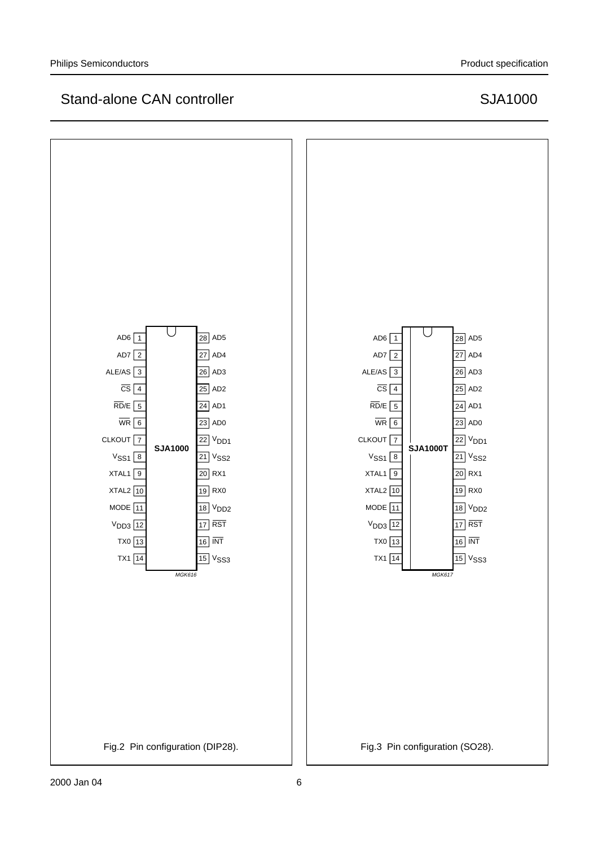## Stand-alone CAN controller SJA1000



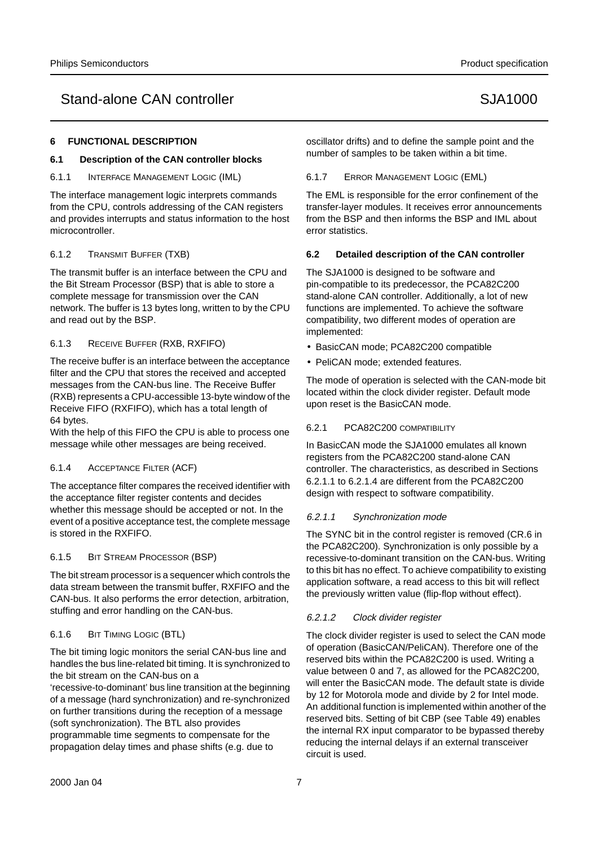#### **6 FUNCTIONAL DESCRIPTION**

#### **6.1 Description of the CAN controller blocks**

6.1.1 INTERFACE MANAGEMENT LOGIC (IML)

The interface management logic interprets commands from the CPU, controls addressing of the CAN registers and provides interrupts and status information to the host microcontroller.

#### 6.1.2 TRANSMIT BUFFER (TXB)

The transmit buffer is an interface between the CPU and the Bit Stream Processor (BSP) that is able to store a complete message for transmission over the CAN network. The buffer is 13 bytes long, written to by the CPU and read out by the BSP.

#### 6.1.3 RECEIVE BUFFER (RXB, RXFIFO)

The receive buffer is an interface between the acceptance filter and the CPU that stores the received and accepted messages from the CAN-bus line. The Receive Buffer (RXB) represents a CPU-accessible 13-byte window of the Receive FIFO (RXFIFO), which has a total length of 64 bytes.

With the help of this FIFO the CPU is able to process one message while other messages are being received.

#### 6.1.4 ACCEPTANCE FILTER (ACF)

The acceptance filter compares the received identifier with the acceptance filter register contents and decides whether this message should be accepted or not. In the event of a positive acceptance test, the complete message is stored in the RXFIFO.

#### 6.1.5 BIT STREAM PROCESSOR (BSP)

The bit stream processor is a sequencer which controls the data stream between the transmit buffer, RXFIFO and the CAN-bus. It also performs the error detection, arbitration, stuffing and error handling on the CAN-bus.

#### 6.1.6 BIT TIMING LOGIC (BTL)

The bit timing logic monitors the serial CAN-bus line and handles the bus line-related bit timing. It is synchronized to the bit stream on the CAN-bus on a

'recessive-to-dominant' bus line transition at the beginning of a message (hard synchronization) and re-synchronized on further transitions during the reception of a message (soft synchronization). The BTL also provides programmable time segments to compensate for the propagation delay times and phase shifts (e.g. due to

oscillator drifts) and to define the sample point and the number of samples to be taken within a bit time.

#### 6.1.7 ERROR MANAGEMENT LOGIC (EML)

The EML is responsible for the error confinement of the transfer-layer modules. It receives error announcements from the BSP and then informs the BSP and IML about error statistics.

#### **6.2 Detailed description of the CAN controller**

The SJA1000 is designed to be software and pin-compatible to its predecessor, the PCA82C200 stand-alone CAN controller. Additionally, a lot of new functions are implemented. To achieve the software compatibility, two different modes of operation are implemented:

- BasicCAN mode; PCA82C200 compatible
- PeliCAN mode; extended features.

The mode of operation is selected with the CAN-mode bit located within the clock divider register. Default mode upon reset is the BasicCAN mode.

#### 6.2.1 PCA82C200 COMPATIBILITY

In BasicCAN mode the SJA1000 emulates all known registers from the PCA82C200 stand-alone CAN controller. The characteristics, as described in Sections 6.2.1.1 to 6.2.1.4 are different from the PCA82C200 design with respect to software compatibility.

#### 6.2.1.1 Synchronization mode

The SYNC bit in the control register is removed (CR.6 in the PCA82C200). Synchronization is only possible by a recessive-to-dominant transition on the CAN-bus. Writing to this bit has no effect. To achieve compatibility to existing application software, a read access to this bit will reflect the previously written value (flip-flop without effect).

#### 6.2.1.2 Clock divider register

The clock divider register is used to select the CAN mode of operation (BasicCAN/PeliCAN). Therefore one of the reserved bits within the PCA82C200 is used. Writing a value between 0 and 7, as allowed for the PCA82C200, will enter the BasicCAN mode. The default state is divide by 12 for Motorola mode and divide by 2 for Intel mode. An additional function is implemented within another of the reserved bits. Setting of bit CBP (see Table 49) enables the internal RX input comparator to be bypassed thereby reducing the internal delays if an external transceiver circuit is used.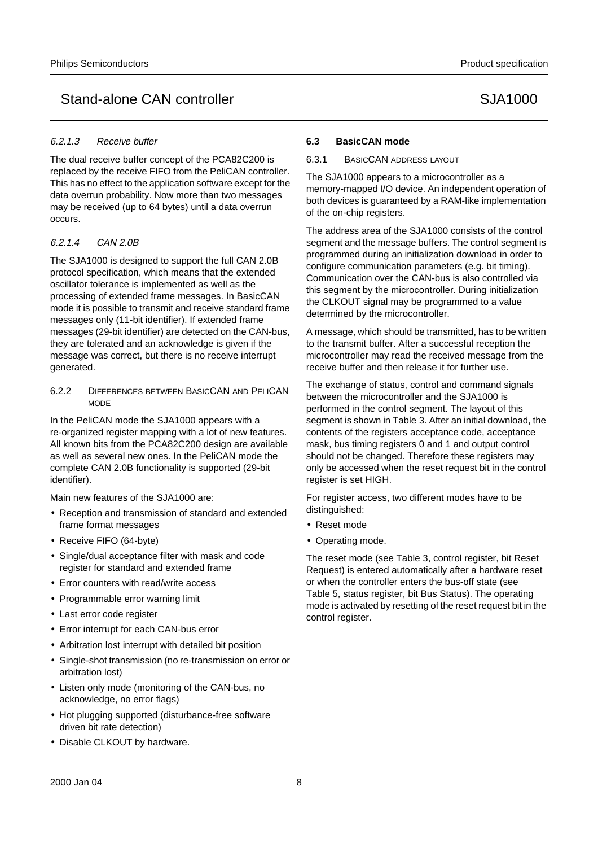#### 6.2.1.3 Receive buffer

The dual receive buffer concept of the PCA82C200 is replaced by the receive FIFO from the PeliCAN controller. This has no effect to the application software except for the data overrun probability. Now more than two messages may be received (up to 64 bytes) until a data overrun occurs.

#### 6.2.1.4 CAN 2.0B

The SJA1000 is designed to support the full CAN 2.0B protocol specification, which means that the extended oscillator tolerance is implemented as well as the processing of extended frame messages. In BasicCAN mode it is possible to transmit and receive standard frame messages only (11-bit identifier). If extended frame messages (29-bit identifier) are detected on the CAN-bus, they are tolerated and an acknowledge is given if the message was correct, but there is no receive interrupt generated.

#### 6.2.2 DIFFERENCES BETWEEN BASICCAN AND PELICAN MODE

In the PeliCAN mode the SJA1000 appears with a re-organized register mapping with a lot of new features. All known bits from the PCA82C200 design are available as well as several new ones. In the PeliCAN mode the complete CAN 2.0B functionality is supported (29-bit identifier).

Main new features of the SJA1000 are:

- Reception and transmission of standard and extended frame format messages
- Receive FIFO (64-byte)
- Single/dual acceptance filter with mask and code register for standard and extended frame
- Error counters with read/write access
- Programmable error warning limit
- Last error code register
- Error interrupt for each CAN-bus error
- Arbitration lost interrupt with detailed bit position
- Single-shot transmission (no re-transmission on error or arbitration lost)
- Listen only mode (monitoring of the CAN-bus, no acknowledge, no error flags)
- Hot plugging supported (disturbance-free software driven bit rate detection)
- Disable CLKOUT by hardware.

#### **6.3 BasicCAN mode**

#### 6.3.1 BASICCAN ADDRESS LAYOUT

The SJA1000 appears to a microcontroller as a memory-mapped I/O device. An independent operation of both devices is guaranteed by a RAM-like implementation of the on-chip registers.

The address area of the SJA1000 consists of the control segment and the message buffers. The control segment is programmed during an initialization download in order to configure communication parameters (e.g. bit timing). Communication over the CAN-bus is also controlled via this segment by the microcontroller. During initialization the CLKOUT signal may be programmed to a value determined by the microcontroller.

A message, which should be transmitted, has to be written to the transmit buffer. After a successful reception the microcontroller may read the received message from the receive buffer and then release it for further use.

The exchange of status, control and command signals between the microcontroller and the SJA1000 is performed in the control segment. The layout of this segment is shown in Table 3. After an initial download, the contents of the registers acceptance code, acceptance mask, bus timing registers 0 and 1 and output control should not be changed. Therefore these registers may only be accessed when the reset request bit in the control register is set HIGH.

For register access, two different modes have to be distinguished:

- Reset mode
- Operating mode.

The reset mode (see Table 3, control register, bit Reset Request) is entered automatically after a hardware reset or when the controller enters the bus-off state (see Table 5, status register, bit Bus Status). The operating mode is activated by resetting of the reset request bit in the control register.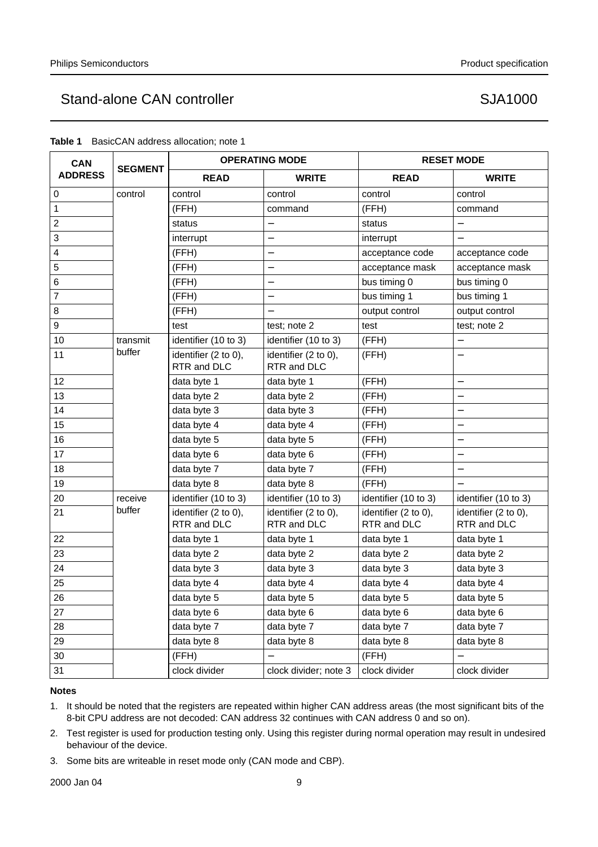| <b>CAN</b>       |                | <b>OPERATING MODE</b>               |                                     | <b>RESET MODE</b>                   |                                     |
|------------------|----------------|-------------------------------------|-------------------------------------|-------------------------------------|-------------------------------------|
| <b>ADDRESS</b>   | <b>SEGMENT</b> | <b>READ</b>                         | <b>WRITE</b>                        | <b>READ</b>                         | <b>WRITE</b>                        |
| 0                | control        | control                             | control                             | control                             | control                             |
| $\mathbf{1}$     |                | (FFH)                               | command                             | (FFH)                               | command                             |
| $\mathbf 2$      |                | status                              |                                     | status                              |                                     |
| $\mathsf 3$      |                | interrupt                           | $\overline{\phantom{0}}$            | interrupt                           | $\overline{\phantom{0}}$            |
| 4                |                | (FFH)                               | $\overline{\phantom{0}}$            | acceptance code                     | acceptance code                     |
| 5                |                | (FFH)                               | $\overline{\phantom{0}}$            | acceptance mask                     | acceptance mask                     |
| 6                |                | (FFH)                               | $\overline{\phantom{0}}$            | bus timing 0                        | bus timing 0                        |
| $\overline{7}$   |                | (FFH)                               | $\overline{\phantom{0}}$            | bus timing 1                        | bus timing 1                        |
| 8                |                | (FFH)                               |                                     | output control                      | output control                      |
| $\boldsymbol{9}$ |                | test                                | test; note 2                        | test                                | test; note 2                        |
| 10               | transmit       | identifier (10 to 3)                | identifier (10 to 3)                | (FFH)                               |                                     |
| 11               | buffer         | identifier (2 to 0),<br>RTR and DLC | identifier (2 to 0),<br>RTR and DLC | (FFH)                               |                                     |
| 12               |                | data byte 1                         | data byte 1                         | (FFH)                               | $\overline{\phantom{0}}$            |
| 13               |                | data byte 2                         | data byte 2                         | (FFH)                               |                                     |
| 14               |                | data byte 3                         | data byte 3                         | (FFH)                               |                                     |
| 15               |                | data byte 4                         | data byte 4                         | (FFH)                               |                                     |
| 16               |                | data byte 5                         | data byte 5                         | (FFH)                               | $\equiv$                            |
| 17               |                | data byte 6                         | data byte 6                         | (FFH)                               |                                     |
| 18               |                | data byte 7                         | data byte 7                         | (FFH)                               |                                     |
| 19               |                | data byte 8                         | data byte 8                         | (FFH)                               |                                     |
| 20               | receive        | identifier (10 to 3)                | identifier (10 to 3)                | identifier (10 to 3)                | identifier (10 to 3)                |
| 21               | buffer         | identifier (2 to 0),<br>RTR and DLC | identifier (2 to 0),<br>RTR and DLC | identifier (2 to 0),<br>RTR and DLC | identifier (2 to 0),<br>RTR and DLC |
| 22               |                | data byte 1                         | data byte 1                         | data byte 1                         | data byte 1                         |
| 23               |                | data byte 2                         | data byte 2                         | data byte 2                         | data byte 2                         |
| 24               |                | data byte 3                         | data byte 3                         | data byte 3                         | data byte 3                         |
| 25               |                | data byte 4                         | data byte 4                         | data byte 4                         | data byte 4                         |
| 26               |                | data byte 5                         | data byte 5                         | data byte 5                         | data byte 5                         |
| 27               |                | data byte 6                         | data byte 6                         | data byte 6                         | data byte 6                         |
| 28               |                | data byte 7                         | data byte 7                         | data byte 7                         | data byte 7                         |
| 29               |                | data byte 8                         | data byte 8                         | data byte 8                         | data byte 8                         |
| 30               |                | (FFH)                               |                                     | (FFH)                               |                                     |
| 31               |                | clock divider                       | clock divider; note 3               | clock divider                       | clock divider                       |

**Table 1** BasicCAN address allocation; note 1

#### **Notes**

- 1. It should be noted that the registers are repeated within higher CAN address areas (the most significant bits of the 8-bit CPU address are not decoded: CAN address 32 continues with CAN address 0 and so on).
- 2. Test register is used for production testing only. Using this register during normal operation may result in undesired behaviour of the device.
- 3. Some bits are writeable in reset mode only (CAN mode and CBP).

2000 Jan 04 9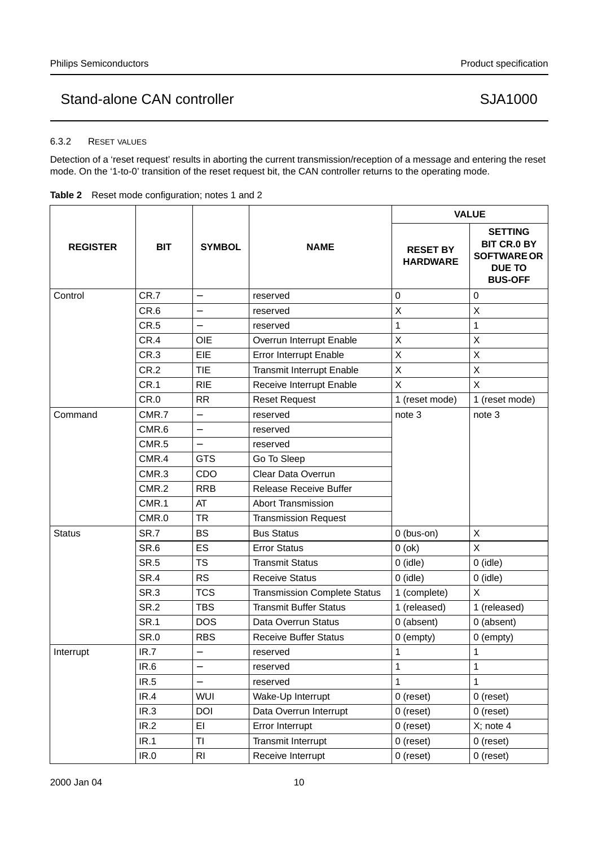#### 6.3.2 RESET VALUES

Detection of a 'reset request' results in aborting the current transmission/reception of a message and entering the reset mode. On the '1-to-0' transition of the reset request bit, the CAN controller returns to the operating mode.

|  | <b>Table 2</b> Reset mode configuration; notes 1 and 2 |  |
|--|--------------------------------------------------------|--|
|--|--------------------------------------------------------|--|

|                 |             |                          |                                     | <b>VALUE</b>                       |                                                                                               |  |
|-----------------|-------------|--------------------------|-------------------------------------|------------------------------------|-----------------------------------------------------------------------------------------------|--|
| <b>REGISTER</b> | <b>BIT</b>  | <b>SYMBOL</b>            | <b>NAME</b>                         | <b>RESET BY</b><br><b>HARDWARE</b> | <b>SETTING</b><br><b>BIT CR.0 BY</b><br><b>SOFTWARE OR</b><br><b>DUE TO</b><br><b>BUS-OFF</b> |  |
| Control         | CR.7        |                          | reserved                            | $\boldsymbol{0}$                   | $\pmb{0}$                                                                                     |  |
|                 | CR.6        | $\qquad \qquad -$        | reserved                            | X                                  | X                                                                                             |  |
|                 | CR.5        |                          | reserved                            | 1                                  | $\mathbf{1}$                                                                                  |  |
|                 | CR.4        | <b>OIE</b>               | Overrun Interrupt Enable            | $\sf X$                            | $\mathsf X$                                                                                   |  |
|                 | CR.3        | EIE                      | <b>Error Interrupt Enable</b>       | $\mathsf{X}$                       | X                                                                                             |  |
|                 | CR.2        | <b>TIE</b>               | <b>Transmit Interrupt Enable</b>    | $\mathsf X$                        | $\mathsf{X}$                                                                                  |  |
|                 | CR.1        | <b>RIE</b>               | Receive Interrupt Enable            | X                                  | X                                                                                             |  |
|                 | CR.0        | <b>RR</b>                | <b>Reset Request</b>                | 1 (reset mode)                     | 1 (reset mode)                                                                                |  |
| Command         | CMR.7       | $\overline{\phantom{0}}$ | reserved                            | note 3                             | note 3                                                                                        |  |
|                 | CMR.6       | $\overline{\phantom{0}}$ | reserved                            |                                    |                                                                                               |  |
|                 | CMR.5       | $\overline{\phantom{0}}$ | reserved                            |                                    |                                                                                               |  |
|                 | CMR.4       | <b>GTS</b>               | Go To Sleep                         |                                    |                                                                                               |  |
|                 | CMR.3       | CDO                      | Clear Data Overrun                  |                                    |                                                                                               |  |
|                 | CMR.2       | <b>RRB</b>               | <b>Release Receive Buffer</b>       |                                    |                                                                                               |  |
|                 | CMR.1       | AT                       | <b>Abort Transmission</b>           |                                    |                                                                                               |  |
|                 | CMR.0       | <b>TR</b>                | <b>Transmission Request</b>         |                                    |                                                                                               |  |
| <b>Status</b>   | SR.7        | <b>BS</b>                | <b>Bus Status</b>                   | $0$ (bus-on)                       | X                                                                                             |  |
|                 | SR.6        | ES                       | <b>Error Status</b>                 | $0$ (ok)                           | X                                                                                             |  |
|                 | <b>SR.5</b> | <b>TS</b>                | <b>Transmit Status</b>              | $0$ (idle)                         | $0$ (idle)                                                                                    |  |
|                 | SR.4        | <b>RS</b>                | $0$ (idle)<br><b>Receive Status</b> |                                    | $0$ (idle)                                                                                    |  |
|                 | SR.3        | <b>TCS</b>               | <b>Transmission Complete Status</b> | 1 (complete)                       | X                                                                                             |  |
|                 | <b>SR.2</b> | <b>TBS</b>               | <b>Transmit Buffer Status</b>       | 1 (released)                       | 1 (released)                                                                                  |  |
|                 | <b>SR.1</b> | <b>DOS</b>               | Data Overrun Status                 | 0 (absent)                         | 0 (absent)                                                                                    |  |
|                 | <b>SR.0</b> | <b>RBS</b>               | <b>Receive Buffer Status</b>        | $0$ (empty)                        | $0$ (empty)                                                                                   |  |
| Interrupt       | IR.7        | $\overline{\phantom{0}}$ | reserved                            | 1                                  | 1                                                                                             |  |
|                 | IR.6        | $\qquad \qquad -$        | reserved                            | 1                                  | $\mathbf{1}$                                                                                  |  |
|                 | IR.5        |                          | reserved                            | 1                                  | 1                                                                                             |  |
|                 | IR.4        | WUI                      | Wake-Up Interrupt                   | $0$ (reset)                        | $0$ (reset)                                                                                   |  |
|                 | IR.3        | <b>DOI</b>               | Data Overrun Interrupt              | $0$ (reset)                        | $0$ (reset)                                                                                   |  |
|                 | IR.2        | EI                       | Error Interrupt                     | $0$ (reset)                        | $X$ ; note 4                                                                                  |  |
|                 | IR.1        | TI                       | Transmit Interrupt                  | $0$ (reset)                        | $0$ (reset)                                                                                   |  |
|                 | IR.0        | R <sub>l</sub>           | Receive Interrupt                   | $0$ (reset)                        | $0$ (reset)                                                                                   |  |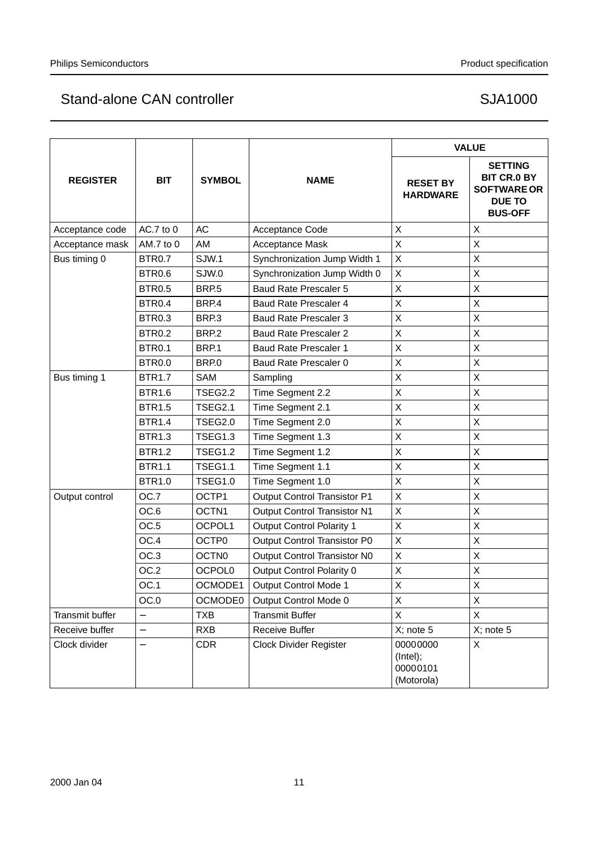|                 |               |                   |                                     |                                                | <b>VALUE</b>                                                                                  |
|-----------------|---------------|-------------------|-------------------------------------|------------------------------------------------|-----------------------------------------------------------------------------------------------|
| <b>REGISTER</b> | <b>BIT</b>    | <b>SYMBOL</b>     | <b>NAME</b>                         | <b>RESET BY</b><br><b>HARDWARE</b>             | <b>SETTING</b><br><b>BIT CR.0 BY</b><br><b>SOFTWARE OR</b><br><b>DUE TO</b><br><b>BUS-OFF</b> |
| Acceptance code | AC.7 to $0$   | AC                | Acceptance Code                     | X                                              | X                                                                                             |
| Acceptance mask | AM.7 to 0     | AM                | Acceptance Mask                     | X                                              | $\sf X$                                                                                       |
| Bus timing 0    | <b>BTR0.7</b> | SJW.1             | Synchronization Jump Width 1        | X                                              | $\mathsf X$                                                                                   |
|                 | <b>BTR0.6</b> | SJW.0             | Synchronization Jump Width 0        | X                                              | X                                                                                             |
|                 | <b>BTR0.5</b> | BRP <sub>5</sub>  | <b>Baud Rate Prescaler 5</b>        | X                                              | $\mathsf X$                                                                                   |
|                 | <b>BTR0.4</b> | BRP.4             | <b>Baud Rate Prescaler 4</b>        | X                                              | $\mathsf X$                                                                                   |
|                 | BTR0.3        | BRP.3             | <b>Baud Rate Prescaler 3</b>        | X                                              | $\sf X$                                                                                       |
|                 | <b>BTR0.2</b> | BRP.2             | <b>Baud Rate Prescaler 2</b>        | X                                              | X                                                                                             |
|                 | <b>BTR0.1</b> | BRP.1             | <b>Baud Rate Prescaler 1</b>        | X                                              | $\sf X$                                                                                       |
|                 | <b>BTR0.0</b> | BRP.0             | Baud Rate Prescaler 0               | X                                              | $\sf X$                                                                                       |
| Bus timing 1    | <b>BTR1.7</b> | <b>SAM</b>        | Sampling                            | X                                              | $\sf X$                                                                                       |
|                 | <b>BTR1.6</b> | <b>TSEG2.2</b>    | Time Segment 2.2                    | X                                              | X                                                                                             |
|                 | <b>BTR1.5</b> | <b>TSEG2.1</b>    | Time Segment 2.1                    | X                                              | X                                                                                             |
|                 | <b>BTR1.4</b> | <b>TSEG2.0</b>    | Time Segment 2.0                    | X                                              | $\mathsf X$                                                                                   |
|                 | <b>BTR1.3</b> | <b>TSEG1.3</b>    | Time Segment 1.3                    | X                                              | $\sf X$                                                                                       |
|                 | <b>BTR1.2</b> | <b>TSEG1.2</b>    | Time Segment 1.2                    | X                                              | $\sf X$                                                                                       |
|                 | <b>BTR1.1</b> | <b>TSEG1.1</b>    | Time Segment 1.1                    | X                                              | X                                                                                             |
|                 | <b>BTR1.0</b> | <b>TSEG1.0</b>    | Time Segment 1.0                    | X                                              | $\mathsf X$                                                                                   |
| Output control  | OC.7          | OCTP1             | <b>Output Control Transistor P1</b> | X                                              | $\sf X$                                                                                       |
|                 | OC.6          | OCTN1             | Output Control Transistor N1        | X                                              | $\sf X$                                                                                       |
|                 | OC.5          | OCPOL1            | <b>Output Control Polarity 1</b>    | X                                              | X                                                                                             |
|                 | OC.4          | OCTP0             | Output Control Transistor P0        | X                                              | X                                                                                             |
|                 | OC.3          | OCTN <sub>0</sub> | Output Control Transistor N0        | Χ                                              | $\sf X$                                                                                       |
|                 | OC.2          | <b>OCPOL0</b>     | Output Control Polarity 0           | X                                              | $\sf X$                                                                                       |
|                 | OC.1          | OCMODE1           | Output Control Mode 1               | X                                              | X                                                                                             |
|                 | OC.0          | OCMODE0           | Output Control Mode 0               | X                                              | X                                                                                             |
| Transmit buffer |               | <b>TXB</b>        | <b>Transmit Buffer</b>              | X                                              | X                                                                                             |
| Receive buffer  |               | <b>RXB</b>        | Receive Buffer                      | $X$ ; note $5$                                 | $X$ ; note 5                                                                                  |
| Clock divider   |               | <b>CDR</b>        | <b>Clock Divider Register</b>       | 00000000<br>(Intel);<br>00000101<br>(Motorola) | X                                                                                             |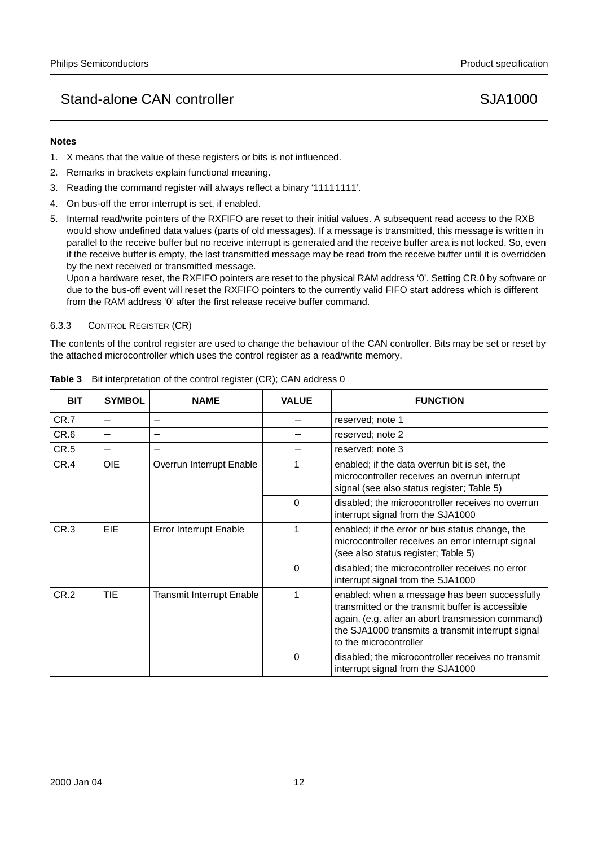#### **Notes**

- 1. X means that the value of these registers or bits is not influenced.
- 2. Remarks in brackets explain functional meaning.
- 3. Reading the command register will always reflect a binary '11111111'.
- 4. On bus-off the error interrupt is set, if enabled.
- 5. Internal read/write pointers of the RXFIFO are reset to their initial values. A subsequent read access to the RXB would show undefined data values (parts of old messages). If a message is transmitted, this message is written in parallel to the receive buffer but no receive interrupt is generated and the receive buffer area is not locked. So, even if the receive buffer is empty, the last transmitted message may be read from the receive buffer until it is overridden by the next received or transmitted message.

Upon a hardware reset, the RXFIFO pointers are reset to the physical RAM address '0'. Setting CR.0 by software or due to the bus-off event will reset the RXFIFO pointers to the currently valid FIFO start address which is different from the RAM address '0' after the first release receive buffer command.

### 6.3.3 CONTROL REGISTER (CR)

The contents of the control register are used to change the behaviour of the CAN controller. Bits may be set or reset by the attached microcontroller which uses the control register as a read/write memory.

| <b>BIT</b>         | <b>SYMBOL</b>            | <b>NAME</b>                      | <b>VALUE</b> | <b>FUNCTION</b>                                                                                                                                                                                                                       |
|--------------------|--------------------------|----------------------------------|--------------|---------------------------------------------------------------------------------------------------------------------------------------------------------------------------------------------------------------------------------------|
| CR.7               |                          |                                  |              | reserved; note 1                                                                                                                                                                                                                      |
| CR.6               | $\overline{\phantom{0}}$ |                                  |              | reserved; note 2                                                                                                                                                                                                                      |
| CR.5               | $\overline{\phantom{0}}$ |                                  |              | reserved; note 3                                                                                                                                                                                                                      |
| CR.4<br><b>OIE</b> |                          | Overrun Interrupt Enable         |              | enabled; if the data overrun bit is set, the<br>microcontroller receives an overrun interrupt<br>signal (see also status register; Table 5)                                                                                           |
|                    |                          |                                  | 0            | disabled; the microcontroller receives no overrun<br>interrupt signal from the SJA1000                                                                                                                                                |
| CR.3               | EIE                      | <b>Error Interrupt Enable</b>    | 1            | enabled; if the error or bus status change, the<br>microcontroller receives an error interrupt signal<br>(see also status register; Table 5)                                                                                          |
|                    |                          |                                  | $\Omega$     | disabled; the microcontroller receives no error<br>interrupt signal from the SJA1000                                                                                                                                                  |
| CR.2               | <b>TIE</b>               | <b>Transmit Interrupt Enable</b> |              | enabled; when a message has been successfully<br>transmitted or the transmit buffer is accessible<br>again, (e.g. after an abort transmission command)<br>the SJA1000 transmits a transmit interrupt signal<br>to the microcontroller |
|                    |                          |                                  | 0            | disabled; the microcontroller receives no transmit<br>interrupt signal from the SJA1000                                                                                                                                               |

| Table 3 Bit interpretation of the control register (CR); CAN address 0 |  |  |
|------------------------------------------------------------------------|--|--|
|                                                                        |  |  |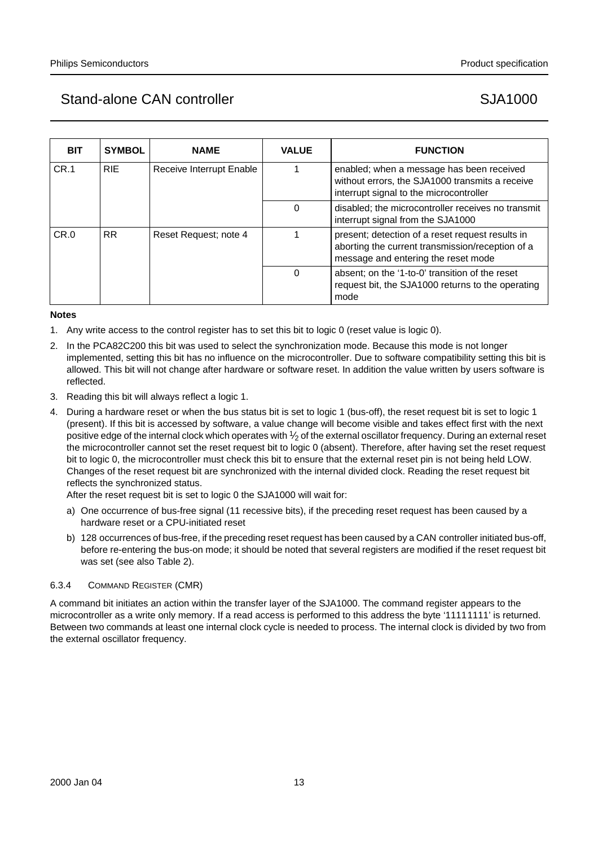| <b>BIT</b> | <b>SYMBOL</b> | <b>NAME</b>              | <b>VALUE</b> | <b>FUNCTION</b>                                                                                                                             |
|------------|---------------|--------------------------|--------------|---------------------------------------------------------------------------------------------------------------------------------------------|
| CR.1       | <b>RIE</b>    | Receive Interrupt Enable |              | enabled; when a message has been received<br>without errors, the SJA1000 transmits a receive<br>interrupt signal to the microcontroller     |
|            |               |                          | 0            | disabled; the microcontroller receives no transmit<br>interrupt signal from the SJA1000                                                     |
| CR.0       | <b>RR</b>     | Reset Request; note 4    |              | present; detection of a reset request results in<br>aborting the current transmission/reception of a<br>message and entering the reset mode |
|            |               |                          | $\Omega$     | absent; on the '1-to-0' transition of the reset<br>request bit, the SJA1000 returns to the operating<br>mode                                |

#### **Notes**

- 1. Any write access to the control register has to set this bit to logic 0 (reset value is logic 0).
- 2. In the PCA82C200 this bit was used to select the synchronization mode. Because this mode is not longer implemented, setting this bit has no influence on the microcontroller. Due to software compatibility setting this bit is allowed. This bit will not change after hardware or software reset. In addition the value written by users software is reflected.
- 3. Reading this bit will always reflect a logic 1.
- 4. During a hardware reset or when the bus status bit is set to logic 1 (bus-off), the reset request bit is set to logic 1 (present). If this bit is accessed by software, a value change will become visible and takes effect first with the next positive edge of the internal clock which operates with  $\frac{1}{2}$  of the external oscillator frequency. During an external reset the microcontroller cannot set the reset request bit to logic 0 (absent). Therefore, after having set the reset request bit to logic 0, the microcontroller must check this bit to ensure that the external reset pin is not being held LOW. Changes of the reset request bit are synchronized with the internal divided clock. Reading the reset request bit reflects the synchronized status.

After the reset request bit is set to logic 0 the SJA1000 will wait for:

- a) One occurrence of bus-free signal (11 recessive bits), if the preceding reset request has been caused by a hardware reset or a CPU-initiated reset
- b) 128 occurrences of bus-free, if the preceding reset request has been caused by a CAN controller initiated bus-off, before re-entering the bus-on mode; it should be noted that several registers are modified if the reset request bit was set (see also Table 2).

#### 6.3.4 COMMAND REGISTER (CMR)

A command bit initiates an action within the transfer layer of the SJA1000. The command register appears to the microcontroller as a write only memory. If a read access is performed to this address the byte '11111111' is returned. Between two commands at least one internal clock cycle is needed to process. The internal clock is divided by two from the external oscillator frequency.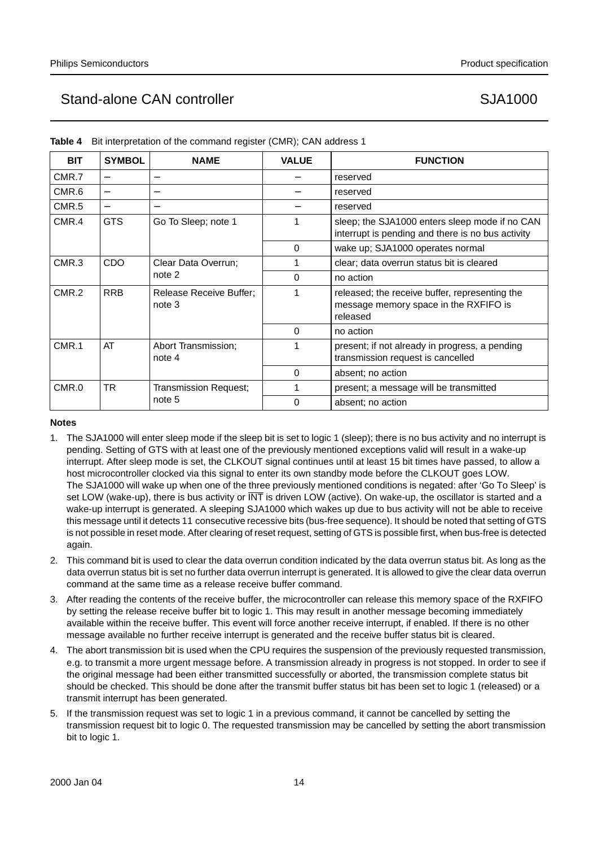| <b>BIT</b> | <b>SYMBOL</b>            | <b>NAME</b>                       | <b>VALUE</b> | <b>FUNCTION</b>                                                                                     |
|------------|--------------------------|-----------------------------------|--------------|-----------------------------------------------------------------------------------------------------|
| CMR.7      | $\overline{\phantom{m}}$ |                                   |              | reserved                                                                                            |
| CMR.6      | $\overline{\phantom{m}}$ |                                   |              | reserved                                                                                            |
| CMR.5      | $\overline{\phantom{m}}$ |                                   |              | reserved                                                                                            |
| CMR.4      | <b>GTS</b>               | Go To Sleep; note 1               |              | sleep; the SJA1000 enters sleep mode if no CAN<br>interrupt is pending and there is no bus activity |
|            |                          |                                   | $\Omega$     | wake up; SJA1000 operates normal                                                                    |
| CMR.3      | CDO                      | Clear Data Overrun;               |              | clear; data overrun status bit is cleared                                                           |
|            |                          | note 2                            | 0            | no action                                                                                           |
| CMR.2      | <b>RRB</b>               | Release Receive Buffer:<br>note 3 |              | released; the receive buffer, representing the<br>message memory space in the RXFIFO is<br>released |
|            |                          |                                   | $\Omega$     | no action                                                                                           |
| CMR.1      | AT                       | Abort Transmission:<br>note 4     | 1            | present; if not already in progress, a pending<br>transmission request is cancelled                 |
|            |                          |                                   | $\Omega$     | absent; no action                                                                                   |
| CMR.0      | <b>TR</b>                | Transmission Request;             | 1            | present; a message will be transmitted                                                              |
|            |                          | note 5                            | $\Omega$     | absent; no action                                                                                   |

|  |  | Table 4 Bit interpretation of the command register (CMR); CAN address 1 |  |
|--|--|-------------------------------------------------------------------------|--|

#### **Notes**

- 1. The SJA1000 will enter sleep mode if the sleep bit is set to logic 1 (sleep); there is no bus activity and no interrupt is pending. Setting of GTS with at least one of the previously mentioned exceptions valid will result in a wake-up interrupt. After sleep mode is set, the CLKOUT signal continues until at least 15 bit times have passed, to allow a host microcontroller clocked via this signal to enter its own standby mode before the CLKOUT goes LOW. The SJA1000 will wake up when one of the three previously mentioned conditions is negated: after 'Go To Sleep' is set LOW (wake-up), there is bus activity or  $\overline{\text{INT}}$  is driven LOW (active). On wake-up, the oscillator is started and a wake-up interrupt is generated. A sleeping SJA1000 which wakes up due to bus activity will not be able to receive this message until it detects 11 consecutive recessive bits (bus-free sequence). It should be noted that setting of GTS is not possible in reset mode. After clearing of reset request, setting of GTS is possible first, when bus-free is detected again.
- 2. This command bit is used to clear the data overrun condition indicated by the data overrun status bit. As long as the data overrun status bit is set no further data overrun interrupt is generated. It is allowed to give the clear data overrun command at the same time as a release receive buffer command.
- 3. After reading the contents of the receive buffer, the microcontroller can release this memory space of the RXFIFO by setting the release receive buffer bit to logic 1. This may result in another message becoming immediately available within the receive buffer. This event will force another receive interrupt, if enabled. If there is no other message available no further receive interrupt is generated and the receive buffer status bit is cleared.
- 4. The abort transmission bit is used when the CPU requires the suspension of the previously requested transmission, e.g. to transmit a more urgent message before. A transmission already in progress is not stopped. In order to see if the original message had been either transmitted successfully or aborted, the transmission complete status bit should be checked. This should be done after the transmit buffer status bit has been set to logic 1 (released) or a transmit interrupt has been generated.
- 5. If the transmission request was set to logic 1 in a previous command, it cannot be cancelled by setting the transmission request bit to logic 0. The requested transmission may be cancelled by setting the abort transmission bit to logic 1.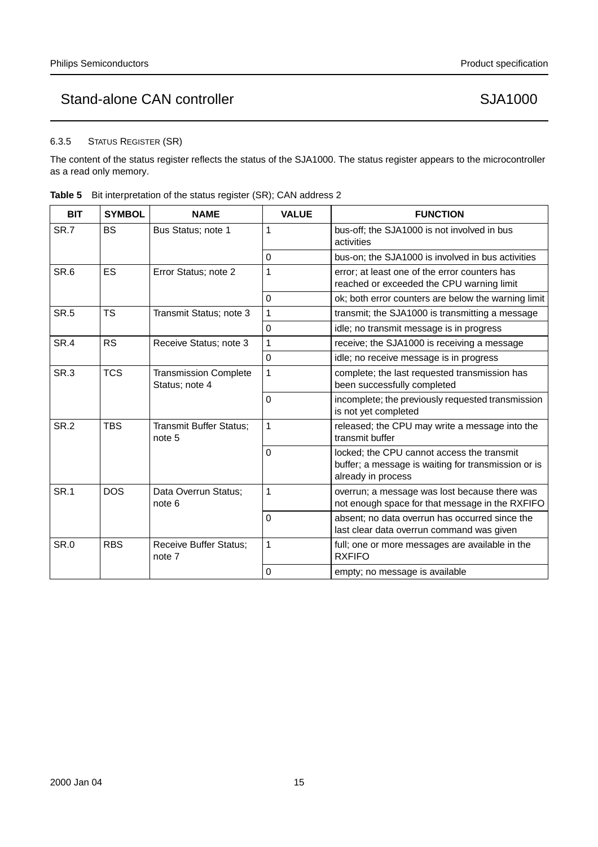### 6.3.5 STATUS REGISTER (SR)

The content of the status register reflects the status of the SJA1000. The status register appears to the microcontroller as a read only memory.

| <b>BIT</b>      | <b>SYMBOL</b> | <b>NAME</b>                                    | <b>VALUE</b> | <b>FUNCTION</b>                                                                                                         |
|-----------------|---------------|------------------------------------------------|--------------|-------------------------------------------------------------------------------------------------------------------------|
| SR.7            | <b>BS</b>     | Bus Status; note 1                             | $\mathbf 1$  | bus-off; the SJA1000 is not involved in bus<br>activities                                                               |
|                 |               |                                                | $\Omega$     | bus-on; the SJA1000 is involved in bus activities                                                                       |
| SR.6            | ES            | Error Status; note 2                           | $\mathbf{1}$ | error; at least one of the error counters has<br>reached or exceeded the CPU warning limit                              |
|                 |               |                                                | $\mathbf 0$  | ok; both error counters are below the warning limit                                                                     |
| SR.5            | <b>TS</b>     | Transmit Status; note 3                        | $\mathbf{1}$ | transmit; the SJA1000 is transmitting a message                                                                         |
|                 |               |                                                | $\Omega$     | idle; no transmit message is in progress                                                                                |
| SR.4            | <b>RS</b>     | Receive Status; note 3                         | $\mathbf{1}$ | receive; the SJA1000 is receiving a message                                                                             |
|                 |               |                                                | $\mathbf 0$  | idle; no receive message is in progress                                                                                 |
| SR <sub>3</sub> | <b>TCS</b>    | <b>Transmission Complete</b><br>Status: note 4 | $\mathbf{1}$ | complete; the last requested transmission has<br>been successfully completed                                            |
|                 |               |                                                | $\Omega$     | incomplete; the previously requested transmission<br>is not yet completed                                               |
| <b>SR.2</b>     | <b>TBS</b>    | <b>Transmit Buffer Status;</b><br>note 5       | $\mathbf{1}$ | released; the CPU may write a message into the<br>transmit buffer                                                       |
|                 |               |                                                | $\Omega$     | locked; the CPU cannot access the transmit<br>buffer; a message is waiting for transmission or is<br>already in process |
| <b>SR.1</b>     | <b>DOS</b>    | Data Overrun Status;<br>note 6                 | $\mathbf{1}$ | overrun; a message was lost because there was<br>not enough space for that message in the RXFIFO                        |
|                 |               |                                                | $\Omega$     | absent; no data overrun has occurred since the<br>last clear data overrun command was given                             |
| <b>SR.0</b>     | <b>RBS</b>    | <b>Receive Buffer Status;</b><br>note 7        | $\mathbf{1}$ | full; one or more messages are available in the<br><b>RXFIFO</b>                                                        |
|                 |               |                                                | $\Omega$     | empty; no message is available                                                                                          |

Table 5 Bit interpretation of the status register (SR); CAN address 2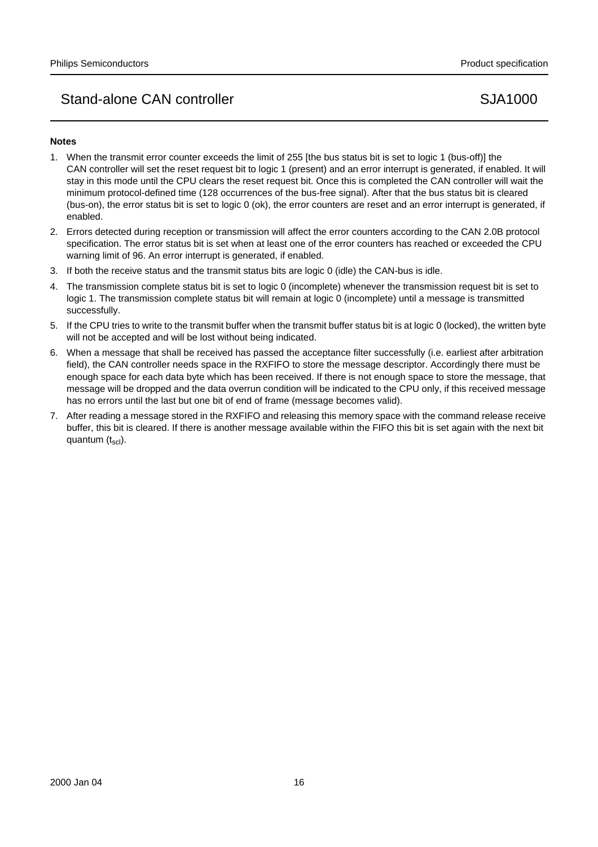#### **Notes**

- 1. When the transmit error counter exceeds the limit of 255 [the bus status bit is set to logic 1 (bus-off)] the CAN controller will set the reset request bit to logic 1 (present) and an error interrupt is generated, if enabled. It will stay in this mode until the CPU clears the reset request bit. Once this is completed the CAN controller will wait the minimum protocol-defined time (128 occurrences of the bus-free signal). After that the bus status bit is cleared (bus-on), the error status bit is set to logic 0 (ok), the error counters are reset and an error interrupt is generated, if enabled.
- 2. Errors detected during reception or transmission will affect the error counters according to the CAN 2.0B protocol specification. The error status bit is set when at least one of the error counters has reached or exceeded the CPU warning limit of 96. An error interrupt is generated, if enabled.
- 3. If both the receive status and the transmit status bits are logic 0 (idle) the CAN-bus is idle.
- 4. The transmission complete status bit is set to logic 0 (incomplete) whenever the transmission request bit is set to logic 1. The transmission complete status bit will remain at logic 0 (incomplete) until a message is transmitted successfully.
- 5. If the CPU tries to write to the transmit buffer when the transmit buffer status bit is at logic 0 (locked), the written byte will not be accepted and will be lost without being indicated.
- 6. When a message that shall be received has passed the acceptance filter successfully (i.e. earliest after arbitration field), the CAN controller needs space in the RXFIFO to store the message descriptor. Accordingly there must be enough space for each data byte which has been received. If there is not enough space to store the message, that message will be dropped and the data overrun condition will be indicated to the CPU only, if this received message has no errors until the last but one bit of end of frame (message becomes valid).
- 7. After reading a message stored in the RXFIFO and releasing this memory space with the command release receive buffer, this bit is cleared. If there is another message available within the FIFO this bit is set again with the next bit quantum  $(t_{\rm scl})$ .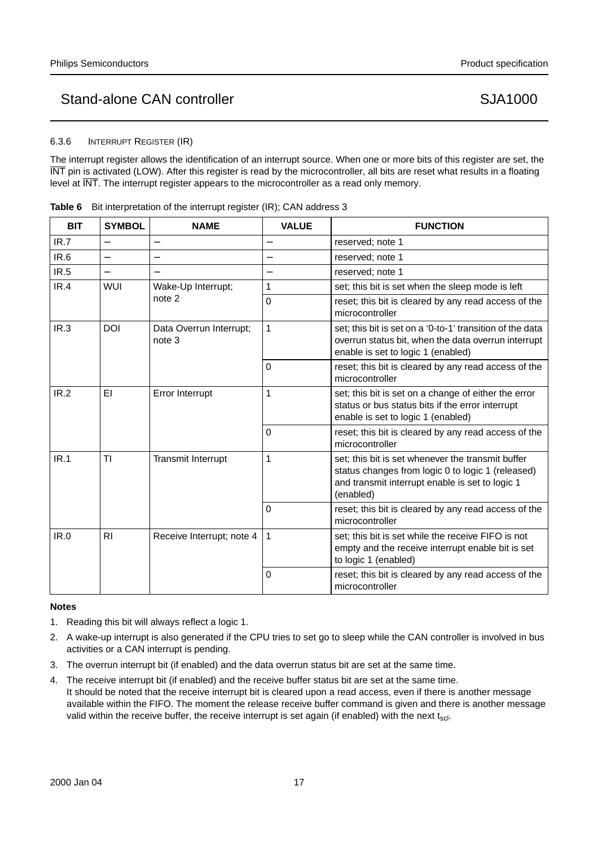#### 6.3.6 INTERRUPT REGISTER (IR)

The interrupt register allows the identification of an interrupt source. When one or more bits of this register are set, the  $\overline{\text{INT}}$  pin is activated (LOW). After this register is read by the microcontroller, all bits are reset what results in a floating level at INT. The interrupt register appears to the microcontroller as a read only memory.

|  |  |  |  | <b>Table 6</b> Bit interpretation of the interrupt register (IR); CAN address 3 |
|--|--|--|--|---------------------------------------------------------------------------------|
|--|--|--|--|---------------------------------------------------------------------------------|

| <b>BIT</b> | <b>SYMBOL</b>            | <b>NAME</b>                       | <b>VALUE</b> | <b>FUNCTION</b>                                                                                                                                                        |
|------------|--------------------------|-----------------------------------|--------------|------------------------------------------------------------------------------------------------------------------------------------------------------------------------|
| IR.7       | —                        |                                   |              | reserved; note 1                                                                                                                                                       |
| IR.6       | $\overline{\phantom{0}}$ |                                   |              | reserved; note 1                                                                                                                                                       |
| IR.5       | $\overline{\phantom{0}}$ | $\overline{\phantom{0}}$          |              | reserved; note 1                                                                                                                                                       |
| IR.4       | <b>WUI</b>               | Wake-Up Interrupt;                | 1            | set; this bit is set when the sleep mode is left                                                                                                                       |
|            |                          | note 2                            | $\Omega$     | reset; this bit is cleared by any read access of the<br>microcontroller                                                                                                |
| IR.3       | <b>DOI</b>               | Data Overrun Interrupt;<br>note 3 | $\mathbf{1}$ | set; this bit is set on a '0-to-1' transition of the data<br>overrun status bit, when the data overrun interrupt<br>enable is set to logic 1 (enabled)                 |
|            |                          |                                   | $\Omega$     | reset; this bit is cleared by any read access of the<br>microcontroller                                                                                                |
| IR.2       | ΕI                       | <b>Error Interrupt</b>            | $\mathbf{1}$ | set; this bit is set on a change of either the error<br>status or bus status bits if the error interrupt<br>enable is set to logic 1 (enabled)                         |
|            |                          |                                   | $\Omega$     | reset; this bit is cleared by any read access of the<br>microcontroller                                                                                                |
| IR.1       | ΤI                       | <b>Transmit Interrupt</b>         | $\mathbf{1}$ | set; this bit is set whenever the transmit buffer<br>status changes from logic 0 to logic 1 (released)<br>and transmit interrupt enable is set to logic 1<br>(enabled) |
|            |                          |                                   | $\Omega$     | reset; this bit is cleared by any read access of the<br>microcontroller                                                                                                |
| IR.0       | R <sub>1</sub>           | Receive Interrupt; note 4         | 1            | set: this bit is set while the receive FIFO is not<br>empty and the receive interrupt enable bit is set<br>to logic 1 (enabled)                                        |
|            |                          |                                   | $\Omega$     | reset; this bit is cleared by any read access of the<br>microcontroller                                                                                                |

#### **Notes**

- 1. Reading this bit will always reflect a logic 1.
- 2. A wake-up interrupt is also generated if the CPU tries to set go to sleep while the CAN controller is involved in bus activities or a CAN interrupt is pending.
- 3. The overrun interrupt bit (if enabled) and the data overrun status bit are set at the same time.
- 4. The receive interrupt bit (if enabled) and the receive buffer status bit are set at the same time. It should be noted that the receive interrupt bit is cleared upon a read access, even if there is another message available within the FIFO. The moment the release receive buffer command is given and there is another message valid within the receive buffer, the receive interrupt is set again (if enabled) with the next  $t_{\text{sol}}$ .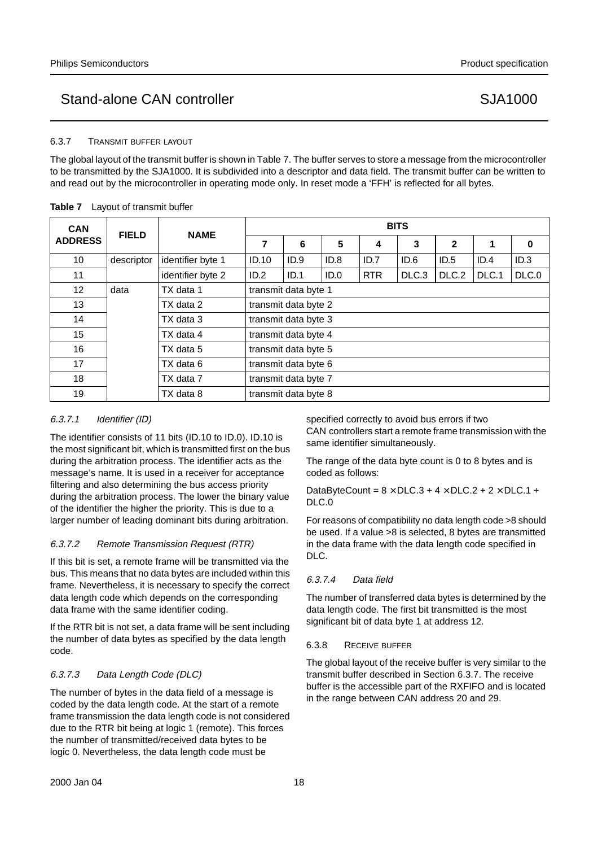#### 6.3.7 TRANSMIT BUFFER LAYOUT

The global layout of the transmit buffer is shown in Table 7. The buffer serves to store a message from the microcontroller to be transmitted by the SJA1000. It is subdivided into a descriptor and data field. The transmit buffer can be written to and read out by the microcontroller in operating mode only. In reset mode a 'FFH' is reflected for all bytes.

| <b>CAN</b>      | <b>FIELD</b> | <b>NAME</b>       | <b>BITS</b>          |                      |      |            |       |              |       |       |
|-----------------|--------------|-------------------|----------------------|----------------------|------|------------|-------|--------------|-------|-------|
| <b>ADDRESS</b>  |              |                   | 7                    | 6                    | 5    | 4          | 3     | $\mathbf{2}$ | 1     | 0     |
| 10              | descriptor   | identifier byte 1 | ID.10                | ID.9                 | ID.8 | ID.7       | ID.6  | ID.5         | ID.4  | ID.3  |
| 11              |              | identifier byte 2 | ID.2                 | ID.1                 | ID.0 | <b>RTR</b> | DLC.3 | DLC.2        | DLC.1 | DLC.0 |
| 12 <sup>°</sup> | data         | TX data 1         |                      | transmit data byte 1 |      |            |       |              |       |       |
| 13              |              | TX data 2         |                      | transmit data byte 2 |      |            |       |              |       |       |
| 14              |              | TX data 3         |                      | transmit data byte 3 |      |            |       |              |       |       |
| 15              |              | TX data 4         |                      | transmit data byte 4 |      |            |       |              |       |       |
| 16              |              | TX data 5         |                      | transmit data byte 5 |      |            |       |              |       |       |
| 17              |              | TX data 6         | transmit data byte 6 |                      |      |            |       |              |       |       |
| 18              |              | TX data 7         | transmit data byte 7 |                      |      |            |       |              |       |       |
| 19              |              | TX data 8         |                      | transmit data byte 8 |      |            |       |              |       |       |

**Table 7** Layout of transmit buffer

### 6.3.7.1 Identifier (ID)

The identifier consists of 11 bits (ID.10 to ID.0). ID.10 is the most significant bit, which is transmitted first on the bus during the arbitration process. The identifier acts as the message's name. It is used in a receiver for acceptance filtering and also determining the bus access priority during the arbitration process. The lower the binary value of the identifier the higher the priority. This is due to a larger number of leading dominant bits during arbitration.

#### 6.3.7.2 Remote Transmission Request (RTR)

If this bit is set, a remote frame will be transmitted via the bus. This means that no data bytes are included within this frame. Nevertheless, it is necessary to specify the correct data length code which depends on the corresponding data frame with the same identifier coding.

If the RTR bit is not set, a data frame will be sent including the number of data bytes as specified by the data length code.

#### 6.3.7.3 Data Length Code (DLC)

The number of bytes in the data field of a message is coded by the data length code. At the start of a remote frame transmission the data length code is not considered due to the RTR bit being at logic 1 (remote). This forces the number of transmitted/received data bytes to be logic 0. Nevertheless, the data length code must be

specified correctly to avoid bus errors if two CAN controllers start a remote frame transmission with the same identifier simultaneously.

The range of the data byte count is 0 to 8 bytes and is coded as follows:

DataByteCount =  $8 \times$  DLC.3 +  $4 \times$  DLC.2 +  $2 \times$  DLC.1 + DLC.0

For reasons of compatibility no data length code >8 should be used. If a value >8 is selected, 8 bytes are transmitted in the data frame with the data length code specified in DLC.

#### 6.3.7.4 Data field

The number of transferred data bytes is determined by the data length code. The first bit transmitted is the most significant bit of data byte 1 at address 12.

#### 6.3.8 RECEIVE BUFFER

The global layout of the receive buffer is very similar to the transmit buffer described in Section 6.3.7. The receive buffer is the accessible part of the RXFIFO and is located in the range between CAN address 20 and 29.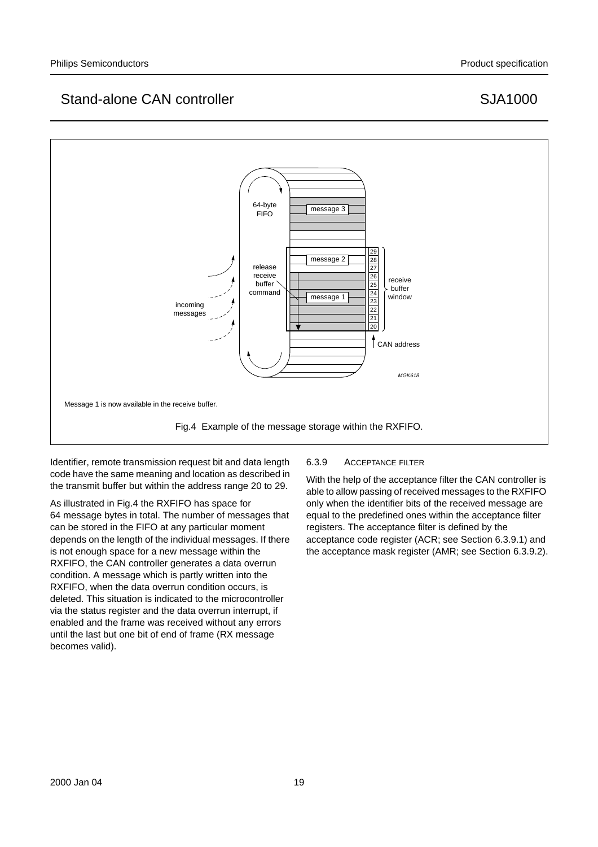

Identifier, remote transmission request bit and data length code have the same meaning and location as described in the transmit buffer but within the address range 20 to 29.

As illustrated in Fig.4 the RXFIFO has space for 64 message bytes in total. The number of messages that can be stored in the FIFO at any particular moment depends on the length of the individual messages. If there is not enough space for a new message within the RXFIFO, the CAN controller generates a data overrun condition. A message which is partly written into the RXFIFO, when the data overrun condition occurs, is deleted. This situation is indicated to the microcontroller via the status register and the data overrun interrupt, if enabled and the frame was received without any errors until the last but one bit of end of frame (RX message becomes valid).

### 6.3.9 ACCEPTANCE FILTER

With the help of the acceptance filter the CAN controller is able to allow passing of received messages to the RXFIFO only when the identifier bits of the received message are equal to the predefined ones within the acceptance filter registers. The acceptance filter is defined by the acceptance code register (ACR; see Section 6.3.9.1) and the acceptance mask register (AMR; see Section 6.3.9.2).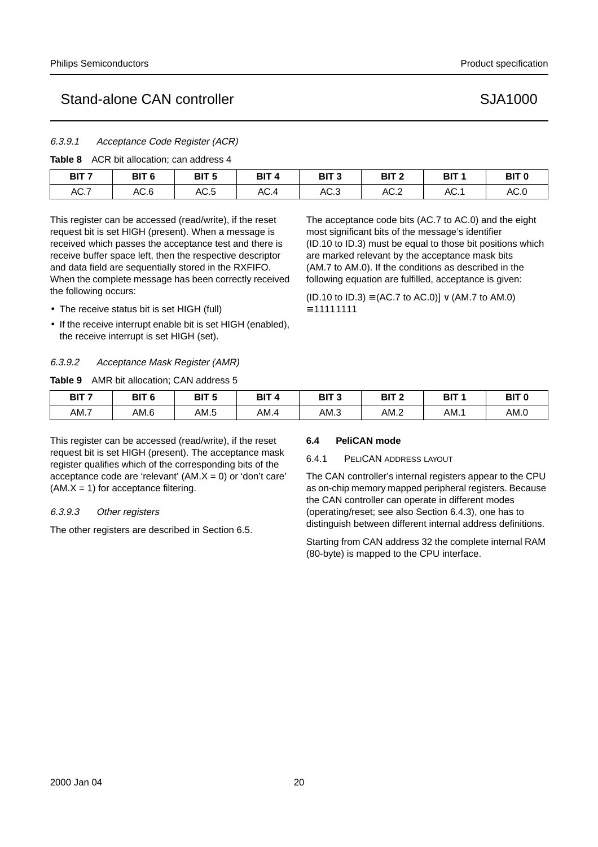### 6.3.9.1 Acceptance Code Register (ACR)

**Table 8** ACR bit allocation; can address 4

| דום  | BIT <sub>6</sub> | <b>DIT K</b><br>ыю | BIT <sub>4</sub> | BIT <sub>3</sub> | BIT <sub>2</sub> | BIT <sup>1</sup> | <b>BIT 0</b> |
|------|------------------|--------------------|------------------|------------------|------------------|------------------|--------------|
| AC.7 | AC.6             | AC.5               | AC.4             | AC.3             | AC.2             | AC.1             | AC.0         |

This register can be accessed (read/write), if the reset request bit is set HIGH (present). When a message is received which passes the acceptance test and there is receive buffer space left, then the respective descriptor and data field are sequentially stored in the RXFIFO. When the complete message has been correctly received the following occurs:

- The receive status bit is set HIGH (full)
- If the receive interrupt enable bit is set HIGH (enabled), the receive interrupt is set HIGH (set).

#### 6.3.9.2 Acceptance Mask Register (AMR)

**Table 9** AMR bit allocation; CAN address 5

| BIT <sub>7</sub> | BIT <sub>6</sub> | BIT <sub>5</sub> | <b>BIT</b> | BIT <sub>3</sub> | BIT <sub>2</sub> | <b>BIT</b> | <b>BIT 0</b> |
|------------------|------------------|------------------|------------|------------------|------------------|------------|--------------|
| AM.7             | AM.6             | AM.5             | AM.4       | AM.3             | AM.2             | AM.        | AM.0         |

This register can be accessed (read/write), if the reset request bit is set HIGH (present). The acceptance mask register qualifies which of the corresponding bits of the acceptance code are 'relevant' (AM.X = 0) or 'don't care'  $(AM.X = 1)$  for acceptance filtering.

#### 6.3.9.3 Other registers

The other registers are described in Section 6.5.

#### **6.4 PeliCAN mode**

 $= 111111111$ 

#### 6.4.1 PELICAN ADDRESS LAYOUT

The CAN controller's internal registers appear to the CPU as on-chip memory mapped peripheral registers. Because the CAN controller can operate in different modes (operating/reset; see also Section 6.4.3), one has to distinguish between different internal address definitions.

The acceptance code bits (AC.7 to AC.0) and the eight

(ID.10 to ID.3) must be equal to those bit positions which are marked relevant by the acceptance mask bits (AM.7 to AM.0). If the conditions as described in the following equation are fulfilled, acceptance is given:  $(ID.10 \text{ to } ID.3) = (AC.7 \text{ to } AC.0) \times (AM.7 \text{ to } AM.0)$ 

most significant bits of the message's identifier

Starting from CAN address 32 the complete internal RAM (80-byte) is mapped to the CPU interface.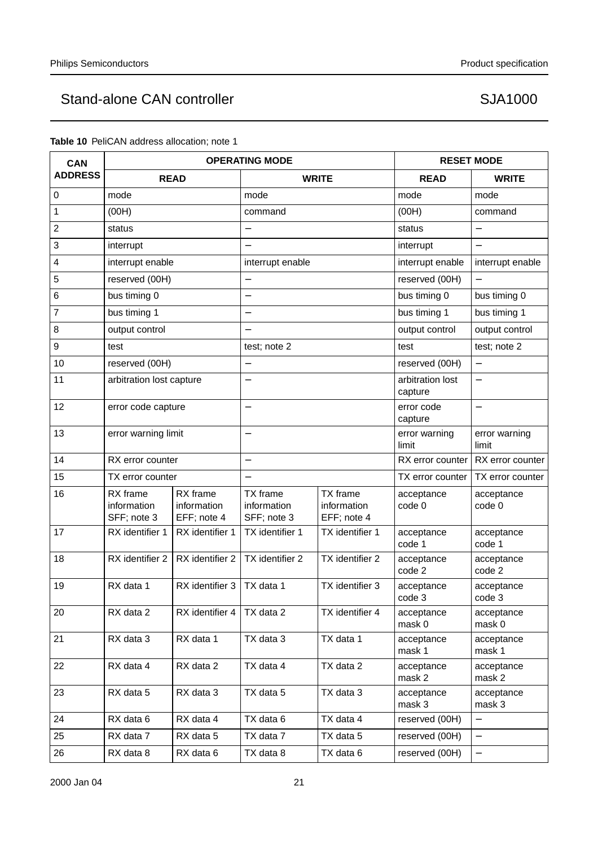|  |  |  | Table 10 PeliCAN address allocation; note 1 |  |  |
|--|--|--|---------------------------------------------|--|--|
|--|--|--|---------------------------------------------|--|--|

| <b>CAN</b>     |                                        | <b>OPERATING MODE</b>                  |                                               |                                               | <b>RESET MODE</b>           |                          |
|----------------|----------------------------------------|----------------------------------------|-----------------------------------------------|-----------------------------------------------|-----------------------------|--------------------------|
| <b>ADDRESS</b> |                                        | <b>READ</b>                            |                                               | <b>WRITE</b>                                  | <b>READ</b>                 | <b>WRITE</b>             |
| 0              | mode                                   |                                        | mode                                          |                                               | mode                        | mode                     |
| 1              | (OOH)                                  |                                        | command                                       |                                               | (00H)                       | command                  |
| 2              | status                                 |                                        |                                               |                                               | status                      |                          |
| 3              | interrupt                              |                                        |                                               |                                               | interrupt                   | $\overline{a}$           |
| 4              | interrupt enable                       |                                        | interrupt enable                              |                                               | interrupt enable            | interrupt enable         |
| 5              | reserved (00H)                         |                                        | $\overline{\phantom{0}}$                      |                                               | reserved (00H)              |                          |
| 6              | bus timing 0                           |                                        |                                               |                                               | bus timing 0                | bus timing 0             |
| 7              | bus timing 1                           |                                        |                                               |                                               | bus timing 1                | bus timing 1             |
| 8              | output control                         |                                        |                                               |                                               | output control              | output control           |
| 9              | test                                   |                                        | test; note 2                                  |                                               | test                        | test; note 2             |
| 10             | reserved (00H)                         |                                        | —                                             |                                               | reserved (00H)              | $\overline{\phantom{0}}$ |
| 11             | arbitration lost capture               |                                        |                                               |                                               | arbitration lost<br>capture | $\overline{\phantom{0}}$ |
| 12             | error code capture                     |                                        |                                               |                                               | error code<br>capture       | $\overline{\phantom{0}}$ |
| 13             | error warning limit                    |                                        |                                               |                                               | error warning<br>limit      | error warning<br>limit   |
| 14             | RX error counter                       |                                        | $\overline{\phantom{0}}$                      |                                               | RX error counter            | RX error counter         |
| 15             | TX error counter                       |                                        |                                               |                                               | TX error counter            | TX error counter         |
| 16             | RX frame<br>information<br>SFF; note 3 | RX frame<br>information<br>EFF; note 4 | <b>TX</b> frame<br>information<br>SFF; note 3 | <b>TX</b> frame<br>information<br>EFF; note 4 | acceptance<br>code 0        | acceptance<br>code 0     |
| 17             | RX identifier 1                        | RX identifier 1                        | TX identifier 1                               | TX identifier 1                               | acceptance<br>code 1        | acceptance<br>code 1     |
| 18             | RX identifier 2                        | RX identifier 2                        | TX identifier 2                               | TX identifier 2                               | acceptance<br>code 2        | acceptance<br>code 2     |
| 19             | RX data 1                              | RX identifier 3                        | TX data 1                                     | TX identifier 3                               | acceptance<br>code 3        | acceptance<br>code 3     |
| 20             | RX data 2                              | RX identifier 4                        | TX data 2                                     | TX identifier 4                               | acceptance<br>mask 0        | acceptance<br>mask 0     |
| 21             | RX data 3                              | RX data 1                              | TX data 3                                     | TX data 1                                     | acceptance<br>mask 1        | acceptance<br>mask 1     |
| 22             | RX data 4                              | RX data 2                              | TX data 4                                     | TX data 2                                     | acceptance<br>mask 2        | acceptance<br>mask 2     |
| 23             | RX data 5                              | RX data 3                              | TX data 5                                     | TX data 3                                     | acceptance<br>mask 3        | acceptance<br>mask 3     |
| 24             | RX data 6                              | RX data 4                              | TX data 6                                     | TX data 4                                     | reserved (00H)              | -                        |
| 25             | RX data 7                              | RX data 5                              | TX data 7                                     | TX data 5                                     | reserved (00H)              | $\overline{a}$           |
| 26             | RX data 8                              | RX data 6                              | TX data 8                                     | TX data 6                                     | reserved (00H)              | $\overline{\phantom{0}}$ |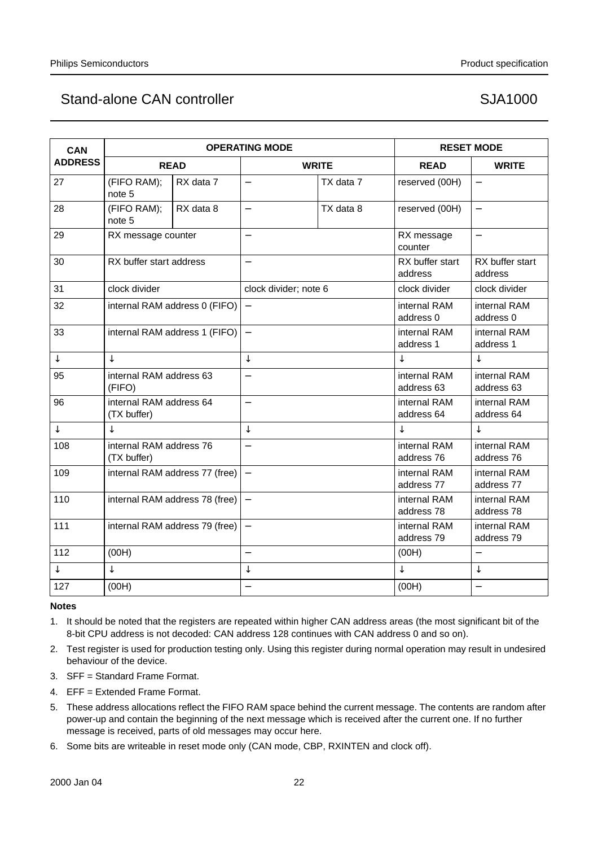| <b>CAN</b>     | <b>OPERATING MODE</b>                  |                                |                          |              |                            | <b>RESET MODE</b>          |  |  |                           |                           |
|----------------|----------------------------------------|--------------------------------|--------------------------|--------------|----------------------------|----------------------------|--|--|---------------------------|---------------------------|
| <b>ADDRESS</b> |                                        | <b>READ</b>                    |                          | <b>WRITE</b> | <b>READ</b>                | <b>WRITE</b>               |  |  |                           |                           |
| 27             | (FIFO RAM);<br>note 5                  | RX data 7                      | $\overline{\phantom{0}}$ | TX data 7    | reserved (00H)             | $\overline{\phantom{0}}$   |  |  |                           |                           |
| 28             | (FIFO RAM);<br>note 5                  | RX data 8                      | $\equiv$                 | TX data 8    | reserved (00H)             | $\overline{\phantom{0}}$   |  |  |                           |                           |
| 29             | RX message counter                     |                                | $\overline{\phantom{0}}$ |              | RX message<br>counter      | $\overline{a}$             |  |  |                           |                           |
| 30             | RX buffer start address                |                                |                          |              | RX buffer start<br>address | RX buffer start<br>address |  |  |                           |                           |
| 31             | clock divider                          |                                | clock divider; note 6    |              | clock divider              | clock divider              |  |  |                           |                           |
| 32             |                                        | internal RAM address 0 (FIFO)  |                          |              |                            |                            |  |  | internal RAM<br>address 0 | internal RAM<br>address 0 |
| 33             |                                        | internal RAM address 1 (FIFO)  | $\equiv$                 |              | internal RAM<br>address 1  | internal RAM<br>address 1  |  |  |                           |                           |
| $\downarrow$   | $\downarrow$                           |                                | ↓                        |              | J                          | ↓                          |  |  |                           |                           |
| 95             | internal RAM address 63<br>(FIFO)      |                                | $\overline{\phantom{0}}$ |              |                            | internal RAM<br>address 63 |  |  |                           |                           |
| 96             | internal RAM address 64<br>(TX buffer) |                                |                          |              | internal RAM<br>address 64 | internal RAM<br>address 64 |  |  |                           |                           |
| $\leftarrow$   | ↓                                      |                                | $\downarrow$             |              | $\downarrow$               | $\downarrow$               |  |  |                           |                           |
| 108            | internal RAM address 76<br>(TX buffer) |                                |                          |              | internal RAM<br>address 76 | internal RAM<br>address 76 |  |  |                           |                           |
| 109            |                                        | internal RAM address 77 (free) |                          |              | internal RAM<br>address 77 | internal RAM<br>address 77 |  |  |                           |                           |
| 110            |                                        | internal RAM address 78 (free) | $\overline{\phantom{0}}$ |              | internal RAM<br>address 78 | internal RAM<br>address 78 |  |  |                           |                           |
| 111            |                                        | internal RAM address 79 (free) |                          |              | internal RAM<br>address 79 | internal RAM<br>address 79 |  |  |                           |                           |
| 112            | (OOH)                                  |                                | $\overline{a}$           |              | (00H)                      | $\equiv$                   |  |  |                           |                           |
| $\downarrow$   | J                                      |                                |                          |              | J                          | ↓                          |  |  |                           |                           |
| 127            | (OOH)                                  |                                |                          |              | (00H)                      | $\equiv$                   |  |  |                           |                           |

#### **Notes**

- 1. It should be noted that the registers are repeated within higher CAN address areas (the most significant bit of the 8-bit CPU address is not decoded: CAN address 128 continues with CAN address 0 and so on).
- 2. Test register is used for production testing only. Using this register during normal operation may result in undesired behaviour of the device.
- 3. SFF = Standard Frame Format.
- 4. EFF = Extended Frame Format.
- 5. These address allocations reflect the FIFO RAM space behind the current message. The contents are random after power-up and contain the beginning of the next message which is received after the current one. If no further message is received, parts of old messages may occur here.
- 6. Some bits are writeable in reset mode only (CAN mode, CBP, RXINTEN and clock off).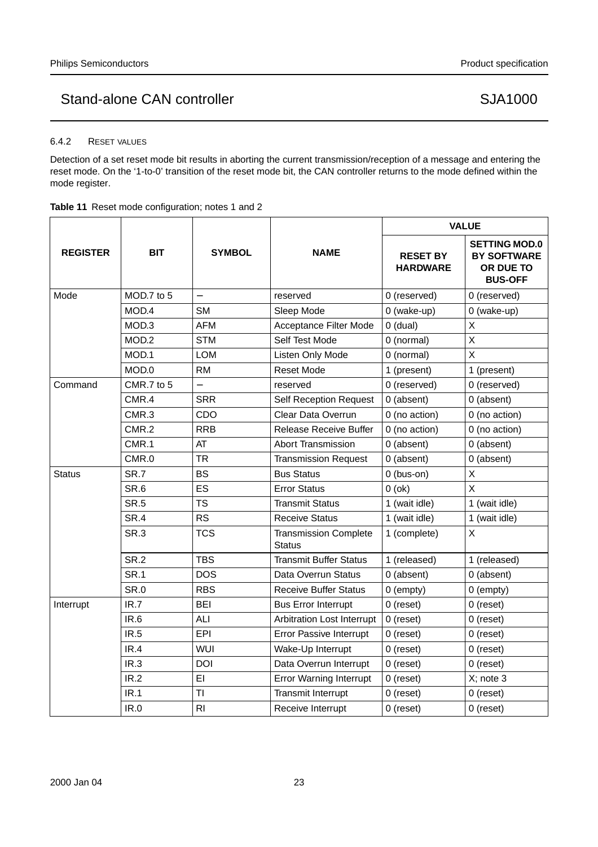#### 6.4.2 RESET VALUES

Detection of a set reset mode bit results in aborting the current transmission/reception of a message and entering the reset mode. On the '1-to-0' transition of the reset mode bit, the CAN controller returns to the mode defined within the mode register.

| Table 11 Reset mode configuration; notes 1 and 2 |  |
|--------------------------------------------------|--|
|--------------------------------------------------|--|

|                 |             |                |                                               |                                    | <b>VALUE</b>                                                              |
|-----------------|-------------|----------------|-----------------------------------------------|------------------------------------|---------------------------------------------------------------------------|
| <b>REGISTER</b> | <b>BIT</b>  | <b>SYMBOL</b>  | <b>NAME</b>                                   | <b>RESET BY</b><br><b>HARDWARE</b> | <b>SETTING MOD.0</b><br><b>BY SOFTWARE</b><br>OR DUE TO<br><b>BUS-OFF</b> |
| Mode            | MOD.7 to 5  |                | reserved                                      | 0 (reserved)                       | 0 (reserved)                                                              |
|                 | MOD.4       | <b>SM</b>      | Sleep Mode                                    | 0 (wake-up)                        | 0 (wake-up)                                                               |
|                 | MOD.3       | <b>AFM</b>     | Acceptance Filter Mode                        | $0$ (dual)                         | X                                                                         |
|                 | MOD.2       | <b>STM</b>     | Self Test Mode                                | 0 (normal)                         | $\overline{\mathsf{x}}$                                                   |
|                 | MOD.1       | <b>LOM</b>     | Listen Only Mode                              | 0 (normal)                         | X                                                                         |
|                 | MOD.0       | <b>RM</b>      | <b>Reset Mode</b>                             | 1 (present)                        | 1 (present)                                                               |
| Command         | CMR.7 to 5  | $\overline{a}$ | reserved                                      | 0 (reserved)                       | 0 (reserved)                                                              |
|                 | CMR.4       | <b>SRR</b>     | <b>Self Reception Request</b>                 | 0 (absent)                         | 0 (absent)                                                                |
|                 | CMR.3       | CDO            | Clear Data Overrun                            | 0 (no action)                      | 0 (no action)                                                             |
|                 | CMR.2       | <b>RRB</b>     | <b>Release Receive Buffer</b>                 | 0 (no action)                      | 0 (no action)                                                             |
|                 | CMR.1       | AT             | <b>Abort Transmission</b>                     | 0 (absent)                         | 0 (absent)                                                                |
|                 | CMR.0       | <b>TR</b>      | <b>Transmission Request</b>                   | 0 (absent)                         | 0 (absent)                                                                |
| Status          | SR.7        | <b>BS</b>      | <b>Bus Status</b>                             | $0$ (bus-on)                       | X                                                                         |
|                 | SR.6        | ES             | <b>Error Status</b>                           | $0$ (ok)                           | X                                                                         |
|                 | SR.5        | <b>TS</b>      | <b>Transmit Status</b>                        | 1 (wait idle)                      | 1 (wait idle)                                                             |
|                 | SR.4        | <b>RS</b>      | <b>Receive Status</b>                         | 1 (wait idle)                      | 1 (wait idle)                                                             |
|                 | SR.3        | <b>TCS</b>     | <b>Transmission Complete</b><br><b>Status</b> | 1 (complete)                       | X                                                                         |
|                 | SR.2        | <b>TBS</b>     | <b>Transmit Buffer Status</b>                 | 1 (released)                       | 1 (released)                                                              |
|                 | <b>SR.1</b> | <b>DOS</b>     | Data Overrun Status                           | 0 (absent)                         | 0 (absent)                                                                |
|                 | SR.0        | <b>RBS</b>     | <b>Receive Buffer Status</b>                  | 0 (empty)                          | $0$ (empty)                                                               |
| Interrupt       | IR.7        | <b>BEI</b>     | <b>Bus Error Interrupt</b>                    | $0$ (reset)                        | $0$ (reset)                                                               |
|                 | IR.6        | ALI            | Arbitration Lost Interrupt                    | $0$ (reset)                        | $0$ (reset)                                                               |
|                 | IR.5        | EPI            | <b>Error Passive Interrupt</b>                | $0$ (reset)                        | $0$ (reset)                                                               |
|                 | IR.4        | <b>WUI</b>     | Wake-Up Interrupt                             | $0$ (reset)                        | $0$ (reset)                                                               |
|                 | IR.3        | <b>DOI</b>     | Data Overrun Interrupt                        | $0$ (reset)                        | $0$ (reset)                                                               |
|                 | IR.2        | EI             | <b>Error Warning Interrupt</b>                | $0$ (reset)                        | $X$ ; note 3                                                              |
|                 | IR.1        | TI             | <b>Transmit Interrupt</b>                     | $0$ (reset)                        | $0$ (reset)                                                               |
|                 | IR.0        | R <sub>l</sub> | Receive Interrupt                             | $0$ (reset)                        | $0$ (reset)                                                               |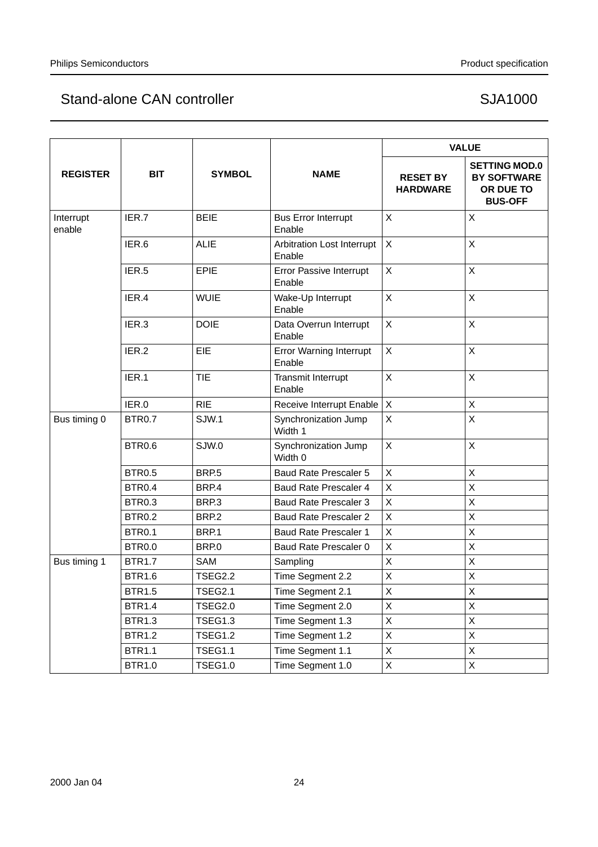|                     |               |                |                                          | <b>VALUE</b>                       |                                                                           |  |
|---------------------|---------------|----------------|------------------------------------------|------------------------------------|---------------------------------------------------------------------------|--|
| <b>REGISTER</b>     | <b>BIT</b>    | <b>SYMBOL</b>  | <b>NAME</b>                              | <b>RESET BY</b><br><b>HARDWARE</b> | <b>SETTING MOD.0</b><br><b>BY SOFTWARE</b><br>OR DUE TO<br><b>BUS-OFF</b> |  |
| Interrupt<br>enable | IER.7         | <b>BEIE</b>    | <b>Bus Error Interrupt</b><br>Enable     | X                                  | X                                                                         |  |
|                     | IER.6         | <b>ALIE</b>    | Arbitration Lost Interrupt<br>Enable     | X                                  | X                                                                         |  |
|                     | IER.5         | <b>EPIE</b>    | <b>Error Passive Interrupt</b><br>Enable | $\mathsf{X}$                       | X                                                                         |  |
|                     | IER.4         | <b>WUIE</b>    | Wake-Up Interrupt<br>Enable              | $\mathsf{X}$                       | X                                                                         |  |
|                     | IER.3         | <b>DOIE</b>    | Data Overrun Interrupt<br>Enable         | $\mathsf{X}$                       | X                                                                         |  |
|                     | IER.2         | EIE            | <b>Error Warning Interrupt</b><br>Enable | X                                  | X                                                                         |  |
|                     | IER.1         | <b>TIE</b>     | Transmit Interrupt<br>Enable             | $\mathsf{X}$                       | X                                                                         |  |
|                     | IER.0         | <b>RIE</b>     | Receive Interrupt Enable                 | X                                  | X                                                                         |  |
| Bus timing 0        | BTR0.7        | SJW.1          | Synchronization Jump<br>Width 1          | $\mathsf{X}$                       | X                                                                         |  |
|                     | <b>BTR0.6</b> | SJW.0          | Synchronization Jump<br>Width 0          | X                                  | X                                                                         |  |
|                     | <b>BTR0.5</b> | BRP.5          | <b>Baud Rate Prescaler 5</b>             | $\mathsf{X}$                       | X                                                                         |  |
|                     | <b>BTR0.4</b> | BRP.4          | <b>Baud Rate Prescaler 4</b>             | X                                  | X                                                                         |  |
|                     | <b>BTR0.3</b> | BRP.3          | <b>Baud Rate Prescaler 3</b>             | $\mathsf{X}$                       | X                                                                         |  |
|                     | <b>BTR0.2</b> | BRP.2          | <b>Baud Rate Prescaler 2</b>             | X                                  | X                                                                         |  |
|                     | <b>BTR0.1</b> | BRP.1          | <b>Baud Rate Prescaler 1</b>             | X                                  | X                                                                         |  |
|                     | <b>BTR0.0</b> | BRP.0          | Baud Rate Prescaler 0                    | $\mathsf{X}$                       | X                                                                         |  |
| Bus timing 1        | <b>BTR1.7</b> | <b>SAM</b>     | Sampling                                 | $\mathsf X$                        | X                                                                         |  |
|                     | <b>BTR1.6</b> | <b>TSEG2.2</b> | Time Segment 2.2                         | X                                  | X                                                                         |  |
|                     | <b>BTR1.5</b> | TSEG2.1        | Time Segment 2.1                         | X                                  | X                                                                         |  |
|                     | <b>BTR1.4</b> | <b>TSEG2.0</b> | Time Segment 2.0                         | $\mathsf{X}$                       | X                                                                         |  |
|                     | <b>BTR1.3</b> | <b>TSEG1.3</b> | Time Segment 1.3                         | X                                  | X                                                                         |  |
|                     | <b>BTR1.2</b> | <b>TSEG1.2</b> | Time Segment 1.2                         | $\mathsf{X}$                       | X                                                                         |  |
|                     | <b>BTR1.1</b> | <b>TSEG1.1</b> | Time Segment 1.1                         | X                                  | X                                                                         |  |
|                     | <b>BTR1.0</b> | <b>TSEG1.0</b> | Time Segment 1.0                         | $\mathsf{X}$                       | X                                                                         |  |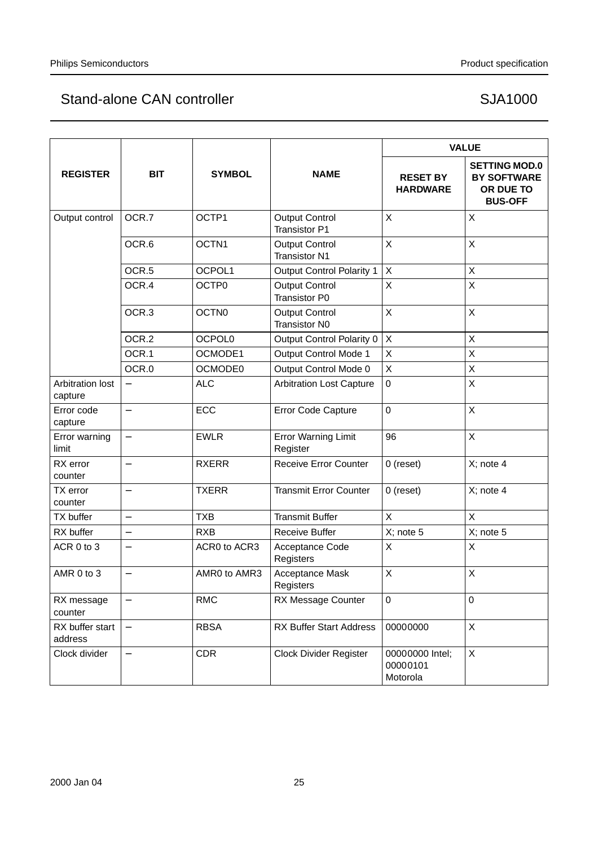|                                    |                          |                              |                                               | <b>VALUE</b>                            |                                                                           |  |
|------------------------------------|--------------------------|------------------------------|-----------------------------------------------|-----------------------------------------|---------------------------------------------------------------------------|--|
| <b>REGISTER</b>                    | <b>BIT</b>               | <b>SYMBOL</b><br><b>NAME</b> |                                               | <b>RESET BY</b><br><b>HARDWARE</b>      | <b>SETTING MOD.0</b><br><b>BY SOFTWARE</b><br>OR DUE TO<br><b>BUS-OFF</b> |  |
| Output control                     | OCR.7                    | OCTP1                        | <b>Output Control</b><br><b>Transistor P1</b> | X                                       | X                                                                         |  |
|                                    | OCR.6                    | OCTN1                        | <b>Output Control</b><br><b>Transistor N1</b> | X                                       | X                                                                         |  |
|                                    | OCR.5                    | OCPOL1                       | <b>Output Control Polarity 1</b>              | X                                       | X                                                                         |  |
|                                    | OCR.4                    | OCTP0                        | <b>Output Control</b><br><b>Transistor P0</b> | X                                       | X                                                                         |  |
|                                    | OCR.3                    | <b>OCTN0</b>                 | <b>Output Control</b><br><b>Transistor N0</b> | $\sf X$                                 | X                                                                         |  |
|                                    | OCR.2                    | <b>OCPOL0</b>                | Output Control Polarity 0                     | $\pmb{\times}$                          | X                                                                         |  |
|                                    | OCR.1                    | OCMODE1                      | Output Control Mode 1                         | X                                       | X                                                                         |  |
|                                    | OCR.0                    | OCMODE0                      | Output Control Mode 0                         | X                                       | Χ                                                                         |  |
| <b>Arbitration lost</b><br>capture |                          | <b>ALC</b>                   | <b>Arbitration Lost Capture</b>               | $\mathbf 0$                             | X                                                                         |  |
| Error code<br>capture              | $\overline{a}$           | ECC                          | Error Code Capture                            | $\mathbf 0$                             | X                                                                         |  |
| Error warning<br>limit             |                          | <b>EWLR</b>                  | <b>Error Warning Limit</b><br>Register        | 96                                      | X                                                                         |  |
| RX error<br>counter                | $\overline{\phantom{0}}$ | <b>RXERR</b>                 | <b>Receive Error Counter</b>                  | $0$ (reset)                             | X; note 4                                                                 |  |
| TX error<br>counter                | $\overline{\phantom{0}}$ | <b>TXERR</b>                 | <b>Transmit Error Counter</b>                 | $0$ (reset)                             | X; note 4                                                                 |  |
| TX buffer                          | $\overline{\phantom{0}}$ | <b>TXB</b>                   | <b>Transmit Buffer</b>                        | X                                       | X                                                                         |  |
| RX buffer                          | $\overline{\phantom{0}}$ | <b>RXB</b>                   | Receive Buffer                                | $X;$ note 5                             | X; note 5                                                                 |  |
| ACR 0 to 3                         | $\overline{\phantom{0}}$ | ACR0 to ACR3                 | Acceptance Code<br>Registers                  | X                                       | X                                                                         |  |
| AMR 0 to 3                         | $\overline{\phantom{0}}$ | AMR0 to AMR3                 | Acceptance Mask<br>Registers                  | X                                       | X                                                                         |  |
| RX message<br>counter              |                          | <b>RMC</b>                   | RX Message Counter                            | 0                                       | 0                                                                         |  |
| RX buffer start<br>address         | $\qquad \qquad -$        | <b>RBSA</b>                  | RX Buffer Start Address                       | 00000000                                | X.                                                                        |  |
| Clock divider                      |                          | <b>CDR</b>                   | <b>Clock Divider Register</b>                 | 00000000 Intel;<br>00000101<br>Motorola | X                                                                         |  |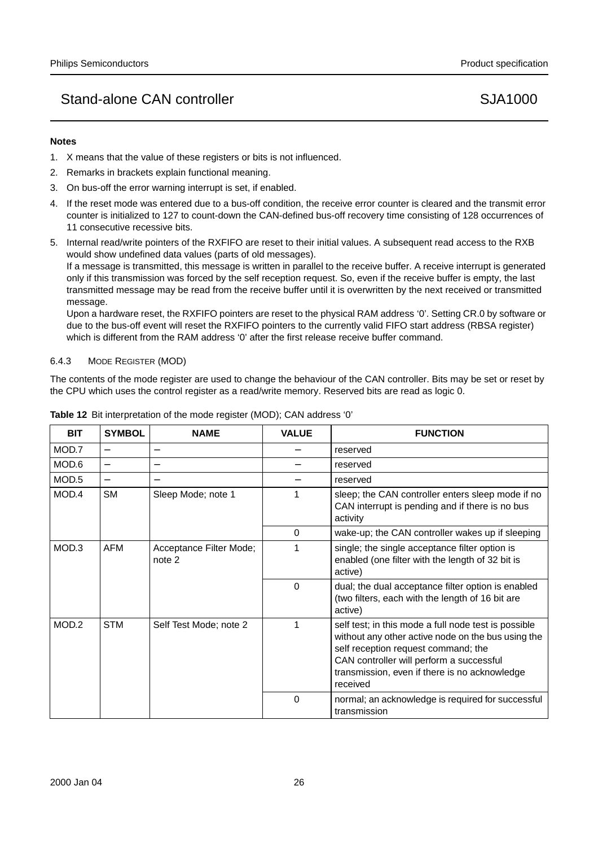### **Notes**

- 1. X means that the value of these registers or bits is not influenced.
- 2. Remarks in brackets explain functional meaning.
- 3. On bus-off the error warning interrupt is set, if enabled.
- 4. If the reset mode was entered due to a bus-off condition, the receive error counter is cleared and the transmit error counter is initialized to 127 to count-down the CAN-defined bus-off recovery time consisting of 128 occurrences of 11 consecutive recessive bits.
- 5. Internal read/write pointers of the RXFIFO are reset to their initial values. A subsequent read access to the RXB would show undefined data values (parts of old messages). If a message is transmitted, this message is written in parallel to the receive buffer. A receive interrupt is generated

only if this transmission was forced by the self reception request. So, even if the receive buffer is empty, the last transmitted message may be read from the receive buffer until it is overwritten by the next received or transmitted message.

Upon a hardware reset, the RXFIFO pointers are reset to the physical RAM address '0'. Setting CR.0 by software or due to the bus-off event will reset the RXFIFO pointers to the currently valid FIFO start address (RBSA register) which is different from the RAM address '0' after the first release receive buffer command.

#### 6.4.3 MODE REGISTER (MOD)

The contents of the mode register are used to change the behaviour of the CAN controller. Bits may be set or reset by the CPU which uses the control register as a read/write memory. Reserved bits are read as logic 0.

| <b>BIT</b> | <b>SYMBOL</b> | <b>NAME</b>                       | <b>VALUE</b> | <b>FUNCTION</b>                                                                                                                                                                                                                                            |
|------------|---------------|-----------------------------------|--------------|------------------------------------------------------------------------------------------------------------------------------------------------------------------------------------------------------------------------------------------------------------|
| MOD.7      |               |                                   |              | reserved                                                                                                                                                                                                                                                   |
| MOD.6      |               |                                   |              | reserved                                                                                                                                                                                                                                                   |
| MOD.5      |               |                                   |              | reserved                                                                                                                                                                                                                                                   |
| MOD.4      | <b>SM</b>     | Sleep Mode; note 1                |              | sleep; the CAN controller enters sleep mode if no<br>CAN interrupt is pending and if there is no bus<br>activity                                                                                                                                           |
|            |               |                                   | $\Omega$     | wake-up; the CAN controller wakes up if sleeping                                                                                                                                                                                                           |
| MOD.3      | <b>AFM</b>    | Acceptance Filter Mode;<br>note 2 |              | single; the single acceptance filter option is<br>enabled (one filter with the length of 32 bit is<br>active)                                                                                                                                              |
|            |               |                                   | $\Omega$     | dual; the dual acceptance filter option is enabled<br>(two filters, each with the length of 16 bit are<br>active)                                                                                                                                          |
| MOD.2      | <b>STM</b>    | Self Test Mode; note 2            | 1            | self test; in this mode a full node test is possible<br>without any other active node on the bus using the<br>self reception request command; the<br>CAN controller will perform a successful<br>transmission, even if there is no acknowledge<br>received |
|            |               |                                   | 0            | normal; an acknowledge is required for successful<br>transmission                                                                                                                                                                                          |

| Table 12 Bit interpretation of the mode register (MOD); CAN address '0' |
|-------------------------------------------------------------------------|
|-------------------------------------------------------------------------|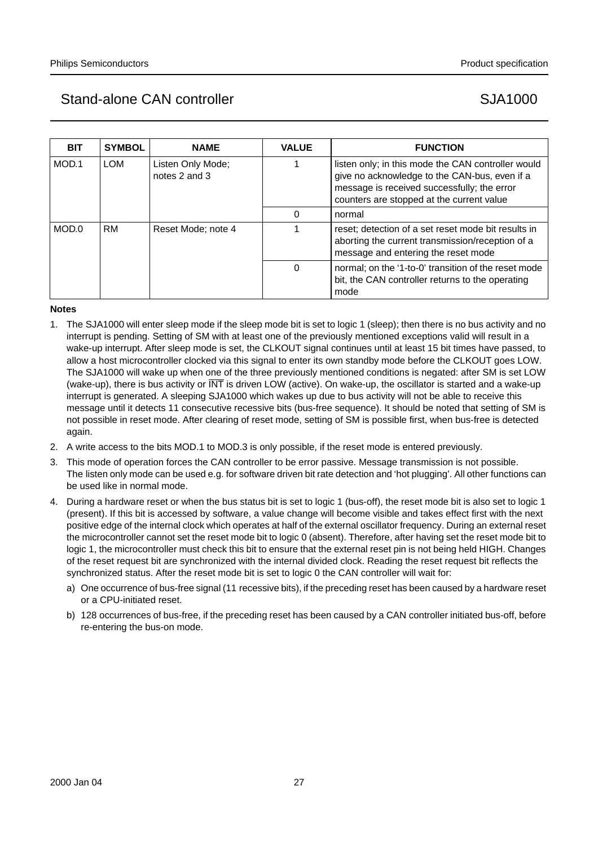| <b>BIT</b>  | <b>SYMBOL</b> | <b>NAME</b>                        | <b>VALUE</b> | <b>FUNCTION</b>                                                                                                                                                                                 |
|-------------|---------------|------------------------------------|--------------|-------------------------------------------------------------------------------------------------------------------------------------------------------------------------------------------------|
| MOD.1       | <b>LOM</b>    | Listen Only Mode;<br>notes 2 and 3 |              | listen only; in this mode the CAN controller would<br>give no acknowledge to the CAN-bus, even if a<br>message is received successfully; the error<br>counters are stopped at the current value |
|             |               |                                    | 0            | normal                                                                                                                                                                                          |
| MOD.0<br>RM |               | Reset Mode; note 4                 |              | reset; detection of a set reset mode bit results in<br>aborting the current transmission/reception of a<br>message and entering the reset mode                                                  |
|             |               |                                    | 0            | normal; on the '1-to-0' transition of the reset mode<br>bit, the CAN controller returns to the operating<br>mode                                                                                |

#### **Notes**

- 1. The SJA1000 will enter sleep mode if the sleep mode bit is set to logic 1 (sleep); then there is no bus activity and no interrupt is pending. Setting of SM with at least one of the previously mentioned exceptions valid will result in a wake-up interrupt. After sleep mode is set, the CLKOUT signal continues until at least 15 bit times have passed, to allow a host microcontroller clocked via this signal to enter its own standby mode before the CLKOUT goes LOW. The SJA1000 will wake up when one of the three previously mentioned conditions is negated: after SM is set LOW (wake-up), there is bus activity or  $\overline{INT}$  is driven LOW (active). On wake-up, the oscillator is started and a wake-up interrupt is generated. A sleeping SJA1000 which wakes up due to bus activity will not be able to receive this message until it detects 11 consecutive recessive bits (bus-free sequence). It should be noted that setting of SM is not possible in reset mode. After clearing of reset mode, setting of SM is possible first, when bus-free is detected again.
- 2. A write access to the bits MOD.1 to MOD.3 is only possible, if the reset mode is entered previously.
- 3. This mode of operation forces the CAN controller to be error passive. Message transmission is not possible. The listen only mode can be used e.g. for software driven bit rate detection and 'hot plugging'. All other functions can be used like in normal mode.
- 4. During a hardware reset or when the bus status bit is set to logic 1 (bus-off), the reset mode bit is also set to logic 1 (present). If this bit is accessed by software, a value change will become visible and takes effect first with the next positive edge of the internal clock which operates at half of the external oscillator frequency. During an external reset the microcontroller cannot set the reset mode bit to logic 0 (absent). Therefore, after having set the reset mode bit to logic 1, the microcontroller must check this bit to ensure that the external reset pin is not being held HIGH. Changes of the reset request bit are synchronized with the internal divided clock. Reading the reset request bit reflects the synchronized status. After the reset mode bit is set to logic 0 the CAN controller will wait for:
	- a) One occurrence of bus-free signal (11 recessive bits), if the preceding reset has been caused by a hardware reset or a CPU-initiated reset.
	- b) 128 occurrences of bus-free, if the preceding reset has been caused by a CAN controller initiated bus-off, before re-entering the bus-on mode.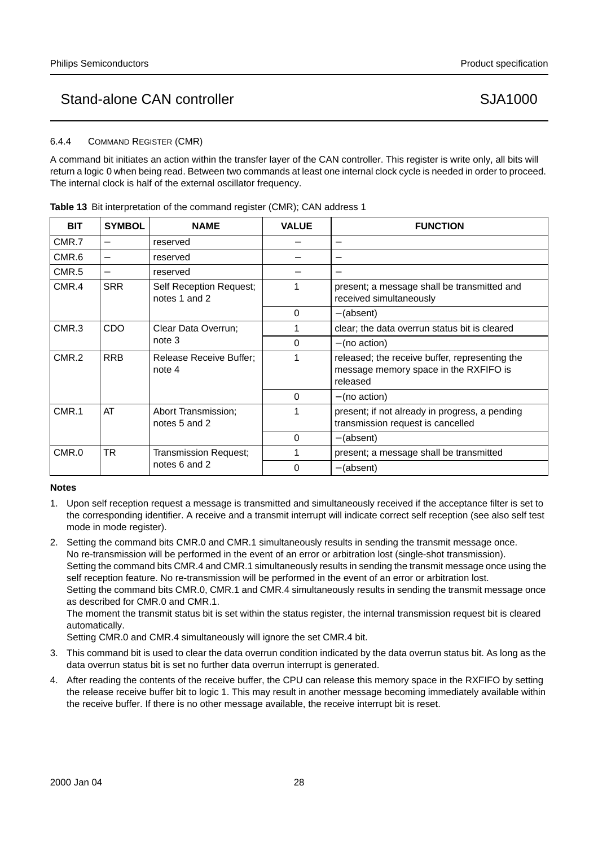#### 6.4.4 COMMAND REGISTER (CMR)

A command bit initiates an action within the transfer layer of the CAN controller. This register is write only, all bits will return a logic 0 when being read. Between two commands at least one internal clock cycle is needed in order to proceed. The internal clock is half of the external oscillator frequency.

| <b>BIT</b> | <b>SYMBOL</b>            | <b>NAME</b>                              | <b>VALUE</b> | <b>FUNCTION</b>                                                                                     |
|------------|--------------------------|------------------------------------------|--------------|-----------------------------------------------------------------------------------------------------|
| CMR.7      | $\overline{\phantom{0}}$ | reserved                                 |              |                                                                                                     |
| CMR.6      | $\overline{\phantom{0}}$ | reserved                                 |              |                                                                                                     |
| CMR.5      | $\overline{\phantom{m}}$ | reserved                                 |              | —                                                                                                   |
| CMR.4      | <b>SRR</b>               | Self Reception Request;<br>notes 1 and 2 |              | present; a message shall be transmitted and<br>received simultaneously                              |
|            |                          |                                          | $\Omega$     | - (absent)                                                                                          |
| CMR.3      | CDO                      | Clear Data Overrun;                      |              | clear; the data overrun status bit is cleared                                                       |
|            |                          | note 3                                   | 0            | - (no action)                                                                                       |
| CMR.2      | <b>RRB</b>               | Release Receive Buffer:<br>note 4        |              | released; the receive buffer, representing the<br>message memory space in the RXFIFO is<br>released |
|            |                          |                                          | $\Omega$     | - (no action)                                                                                       |
| CMR.1      | AT                       | Abort Transmission:<br>notes 5 and 2     |              | present; if not already in progress, a pending<br>transmission request is cancelled                 |
|            |                          |                                          | 0            | - (absent)                                                                                          |
| CMR.0      | <b>TR</b>                | Transmission Request;                    |              | present; a message shall be transmitted                                                             |
|            | notes 6 and 2            | 0                                        | - (absent)   |                                                                                                     |

#### **Table 13** Bit interpretation of the command register (CMR); CAN address 1

#### **Notes**

- 1. Upon self reception request a message is transmitted and simultaneously received if the acceptance filter is set to the corresponding identifier. A receive and a transmit interrupt will indicate correct self reception (see also self test mode in mode register).
- 2. Setting the command bits CMR.0 and CMR.1 simultaneously results in sending the transmit message once. No re-transmission will be performed in the event of an error or arbitration lost (single-shot transmission). Setting the command bits CMR.4 and CMR.1 simultaneously results in sending the transmit message once using the self reception feature. No re-transmission will be performed in the event of an error or arbitration lost. Setting the command bits CMR.0, CMR.1 and CMR.4 simultaneously results in sending the transmit message once as described for CMR.0 and CMR.1.

The moment the transmit status bit is set within the status register, the internal transmission request bit is cleared automatically.

Setting CMR.0 and CMR.4 simultaneously will ignore the set CMR.4 bit.

- 3. This command bit is used to clear the data overrun condition indicated by the data overrun status bit. As long as the data overrun status bit is set no further data overrun interrupt is generated.
- 4. After reading the contents of the receive buffer, the CPU can release this memory space in the RXFIFO by setting the release receive buffer bit to logic 1. This may result in another message becoming immediately available within the receive buffer. If there is no other message available, the receive interrupt bit is reset.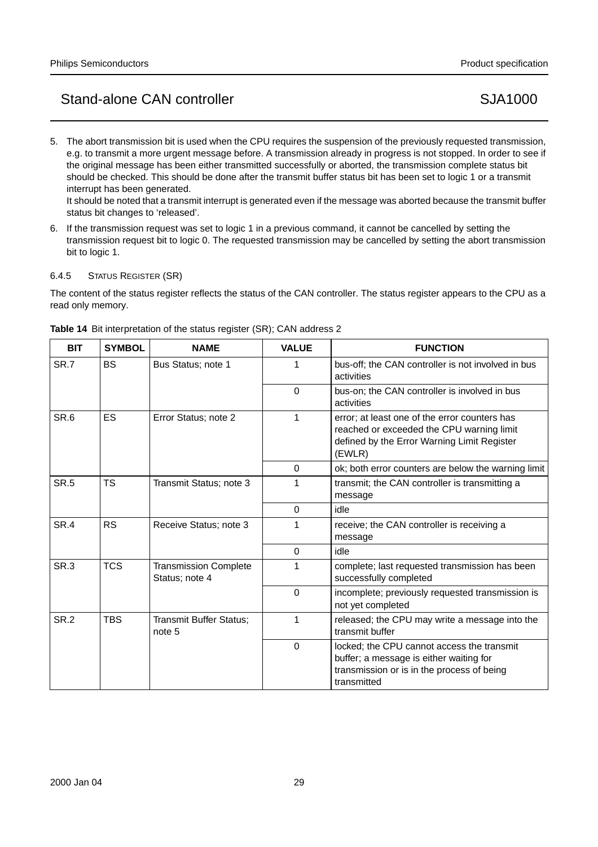5. The abort transmission bit is used when the CPU requires the suspension of the previously requested transmission, e.g. to transmit a more urgent message before. A transmission already in progress is not stopped. In order to see if the original message has been either transmitted successfully or aborted, the transmission complete status bit should be checked. This should be done after the transmit buffer status bit has been set to logic 1 or a transmit interrupt has been generated.

It should be noted that a transmit interrupt is generated even if the message was aborted because the transmit buffer status bit changes to 'released'.

6. If the transmission request was set to logic 1 in a previous command, it cannot be cancelled by setting the transmission request bit to logic 0. The requested transmission may be cancelled by setting the abort transmission bit to logic 1.

### 6.4.5 STATUS REGISTER (SR)

The content of the status register reflects the status of the CAN controller. The status register appears to the CPU as a read only memory.

| <b>BIT</b>       | <b>SYMBOL</b> | <b>NAME</b>                                    | <b>VALUE</b> | <b>FUNCTION</b>                                                                                                                                     |
|------------------|---------------|------------------------------------------------|--------------|-----------------------------------------------------------------------------------------------------------------------------------------------------|
| SR.7             | <b>BS</b>     | Bus Status; note 1                             | 1            | bus-off: the CAN controller is not involved in bus<br>activities                                                                                    |
|                  |               |                                                | $\Omega$     | bus-on; the CAN controller is involved in bus<br>activities                                                                                         |
| SR.6             | ES            | Error Status; note 2                           | 1            | error; at least one of the error counters has<br>reached or exceeded the CPU warning limit<br>defined by the Error Warning Limit Register<br>(EWLR) |
|                  |               |                                                | $\Omega$     | ok; both error counters are below the warning limit                                                                                                 |
| <b>SR.5</b>      | <b>TS</b>     | Transmit Status; note 3                        | 1            | transmit; the CAN controller is transmitting a                                                                                                      |
|                  |               |                                                |              | message                                                                                                                                             |
|                  |               |                                                | $\Omega$     | idle                                                                                                                                                |
| SR.4             | <b>RS</b>     | Receive Status; note 3                         | 1            | receive; the CAN controller is receiving a<br>message                                                                                               |
|                  |               |                                                | $\Omega$     | idle                                                                                                                                                |
| SR <sub>3</sub>  | <b>TCS</b>    | <b>Transmission Complete</b><br>Status; note 4 | 1            | complete; last requested transmission has been<br>successfully completed                                                                            |
|                  |               |                                                | $\Omega$     | incomplete; previously requested transmission is<br>not yet completed                                                                               |
| SR <sub>.2</sub> | <b>TBS</b>    | <b>Transmit Buffer Status;</b><br>note 5       | 1            | released; the CPU may write a message into the<br>transmit buffer                                                                                   |
|                  |               |                                                | $\Omega$     | locked; the CPU cannot access the transmit<br>buffer; a message is either waiting for<br>transmission or is in the process of being<br>transmitted  |

| Table 14 Bit interpretation of the status register (SR); CAN address 2 |  |  |
|------------------------------------------------------------------------|--|--|
|                                                                        |  |  |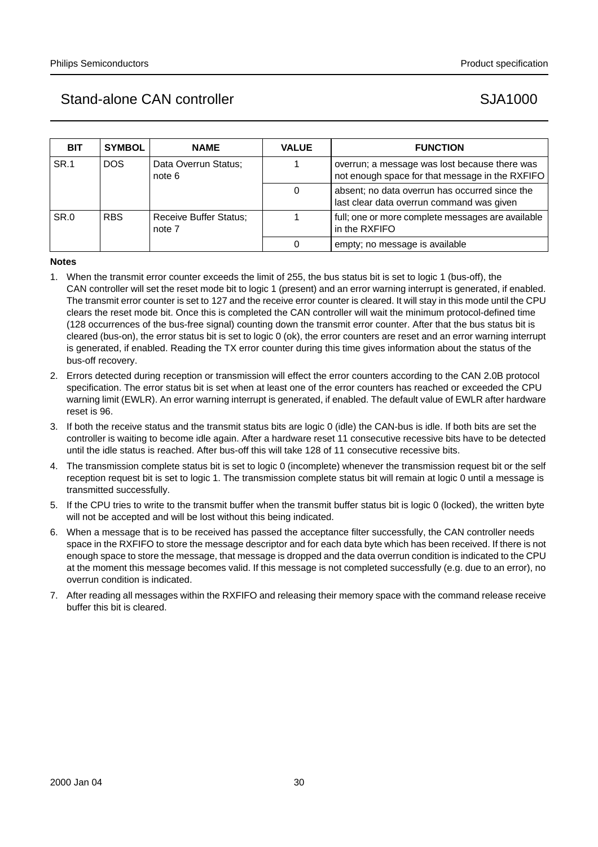| <b>BIT</b> | <b>SYMBOL</b> | <b>NAME</b>                             | <b>VALUE</b> | <b>FUNCTION</b>                                                                                  |
|------------|---------------|-----------------------------------------|--------------|--------------------------------------------------------------------------------------------------|
| SR.1       | DOS.          | Data Overrun Status;<br>note 6          |              | overrun; a message was lost because there was<br>not enough space for that message in the RXFIFO |
|            |               |                                         |              | absent; no data overrun has occurred since the<br>last clear data overrun command was given      |
| SR.0       | <b>RBS</b>    | <b>Receive Buffer Status;</b><br>note 7 |              | full; one or more complete messages are available<br>in the RXFIFO                               |
|            |               |                                         |              | empty; no message is available                                                                   |

#### **Notes**

- 1. When the transmit error counter exceeds the limit of 255, the bus status bit is set to logic 1 (bus-off), the CAN controller will set the reset mode bit to logic 1 (present) and an error warning interrupt is generated, if enabled. The transmit error counter is set to 127 and the receive error counter is cleared. It will stay in this mode until the CPU clears the reset mode bit. Once this is completed the CAN controller will wait the minimum protocol-defined time (128 occurrences of the bus-free signal) counting down the transmit error counter. After that the bus status bit is cleared (bus-on), the error status bit is set to logic 0 (ok), the error counters are reset and an error warning interrupt is generated, if enabled. Reading the TX error counter during this time gives information about the status of the bus-off recovery.
- 2. Errors detected during reception or transmission will effect the error counters according to the CAN 2.0B protocol specification. The error status bit is set when at least one of the error counters has reached or exceeded the CPU warning limit (EWLR). An error warning interrupt is generated, if enabled. The default value of EWLR after hardware reset is 96.
- 3. If both the receive status and the transmit status bits are logic 0 (idle) the CAN-bus is idle. If both bits are set the controller is waiting to become idle again. After a hardware reset 11 consecutive recessive bits have to be detected until the idle status is reached. After bus-off this will take 128 of 11 consecutive recessive bits.
- 4. The transmission complete status bit is set to logic 0 (incomplete) whenever the transmission request bit or the self reception request bit is set to logic 1. The transmission complete status bit will remain at logic 0 until a message is transmitted successfully.
- 5. If the CPU tries to write to the transmit buffer when the transmit buffer status bit is logic 0 (locked), the written byte will not be accepted and will be lost without this being indicated.
- 6. When a message that is to be received has passed the acceptance filter successfully, the CAN controller needs space in the RXFIFO to store the message descriptor and for each data byte which has been received. If there is not enough space to store the message, that message is dropped and the data overrun condition is indicated to the CPU at the moment this message becomes valid. If this message is not completed successfully (e.g. due to an error), no overrun condition is indicated.
- 7. After reading all messages within the RXFIFO and releasing their memory space with the command release receive buffer this bit is cleared.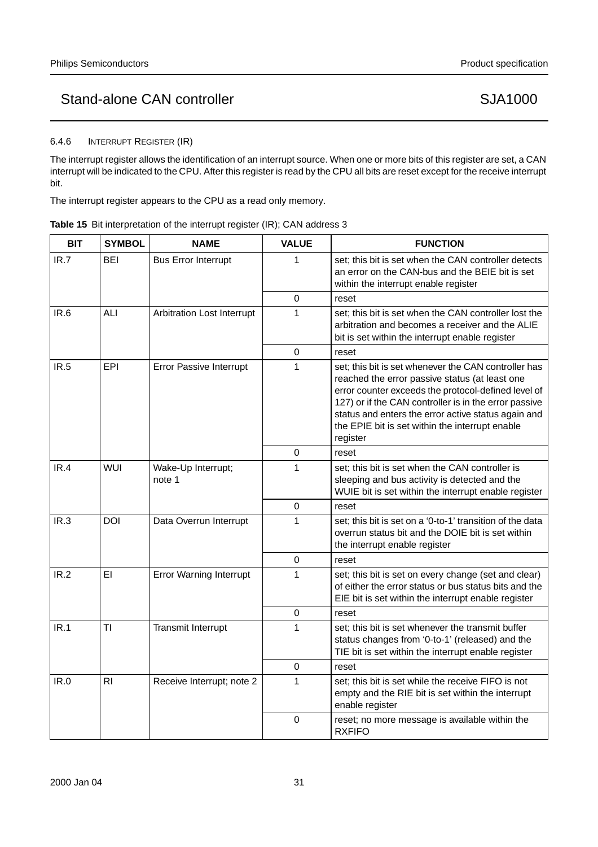6.4.6 INTERRUPT REGISTER (IR)

The interrupt register allows the identification of an interrupt source. When one or more bits of this register are set, a CAN interrupt will be indicated to the CPU. After this register is read by the CPU all bits are reset except for the receive interrupt bit.

The interrupt register appears to the CPU as a read only memory.

|  |  |  | Table 15 Bit interpretation of the interrupt register (IR); CAN address 3 |
|--|--|--|---------------------------------------------------------------------------|
|  |  |  |                                                                           |

| <b>BIT</b> | <b>SYMBOL</b> | <b>NAME</b>                    | <b>VALUE</b> | <b>FUNCTION</b>                                                                                                                                                                                                                                                                                                                              |
|------------|---------------|--------------------------------|--------------|----------------------------------------------------------------------------------------------------------------------------------------------------------------------------------------------------------------------------------------------------------------------------------------------------------------------------------------------|
| IR.7       | BEI           | <b>Bus Error Interrupt</b>     | 1            | set; this bit is set when the CAN controller detects<br>an error on the CAN-bus and the BEIE bit is set<br>within the interrupt enable register                                                                                                                                                                                              |
|            |               |                                | $\mathbf 0$  | reset                                                                                                                                                                                                                                                                                                                                        |
| IR.6       | ALI           | Arbitration Lost Interrupt     | 1            | set; this bit is set when the CAN controller lost the<br>arbitration and becomes a receiver and the ALIE<br>bit is set within the interrupt enable register                                                                                                                                                                                  |
|            |               |                                | $\Omega$     | reset                                                                                                                                                                                                                                                                                                                                        |
| IR.5       | EPI           | Error Passive Interrupt        | 1            | set; this bit is set whenever the CAN controller has<br>reached the error passive status (at least one<br>error counter exceeds the protocol-defined level of<br>127) or if the CAN controller is in the error passive<br>status and enters the error active status again and<br>the EPIE bit is set within the interrupt enable<br>register |
|            |               |                                | 0            | reset                                                                                                                                                                                                                                                                                                                                        |
| IR.4       | WUI           | Wake-Up Interrupt;<br>note 1   | 1            | set; this bit is set when the CAN controller is<br>sleeping and bus activity is detected and the<br>WUIE bit is set within the interrupt enable register                                                                                                                                                                                     |
|            |               |                                | $\Omega$     | reset                                                                                                                                                                                                                                                                                                                                        |
| IR.3       | DOI           | Data Overrun Interrupt         | 1            | set; this bit is set on a '0-to-1' transition of the data<br>overrun status bit and the DOIE bit is set within<br>the interrupt enable register                                                                                                                                                                                              |
|            |               |                                | $\Omega$     | reset                                                                                                                                                                                                                                                                                                                                        |
| IR.2       | ΕI            | <b>Error Warning Interrupt</b> | 1            | set; this bit is set on every change (set and clear)<br>of either the error status or bus status bits and the<br>EIE bit is set within the interrupt enable register                                                                                                                                                                         |
|            |               |                                | 0            | reset                                                                                                                                                                                                                                                                                                                                        |
| IR.1       | ΤI            | Transmit Interrupt             | 1            | set; this bit is set whenever the transmit buffer<br>status changes from '0-to-1' (released) and the<br>TIE bit is set within the interrupt enable register                                                                                                                                                                                  |
|            |               |                                | $\mathbf 0$  | reset                                                                                                                                                                                                                                                                                                                                        |
| IR.0       | RI            | Receive Interrupt; note 2      | 1            | set; this bit is set while the receive FIFO is not<br>empty and the RIE bit is set within the interrupt<br>enable register                                                                                                                                                                                                                   |
|            |               |                                | $\mathbf 0$  | reset; no more message is available within the<br><b>RXFIFO</b>                                                                                                                                                                                                                                                                              |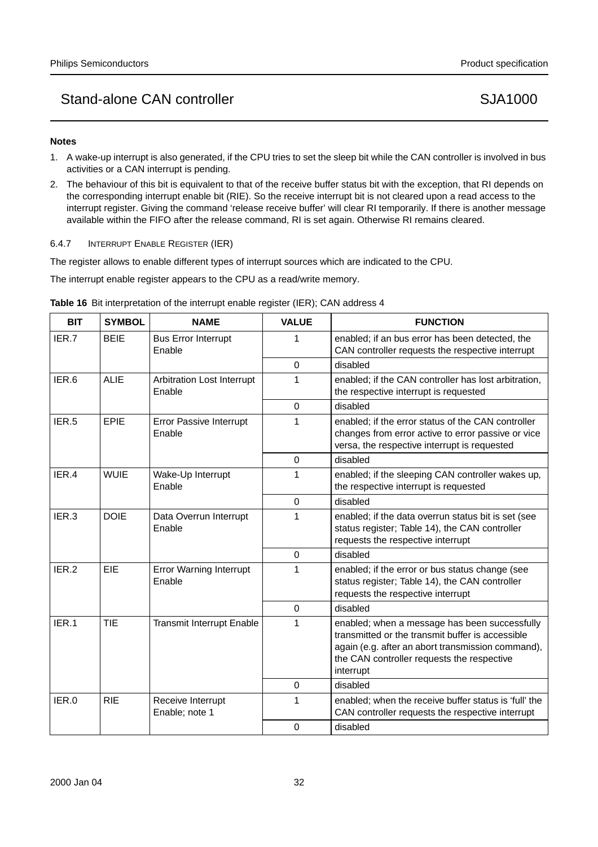#### **Notes**

- 1. A wake-up interrupt is also generated, if the CPU tries to set the sleep bit while the CAN controller is involved in bus activities or a CAN interrupt is pending.
- 2. The behaviour of this bit is equivalent to that of the receive buffer status bit with the exception, that RI depends on the corresponding interrupt enable bit (RIE). So the receive interrupt bit is not cleared upon a read access to the interrupt register. Giving the command 'release receive buffer' will clear RI temporarily. If there is another message available within the FIFO after the release command, RI is set again. Otherwise RI remains cleared.

#### 6.4.7 INTERRUPT ENABLE REGISTER (IER)

The register allows to enable different types of interrupt sources which are indicated to the CPU.

The interrupt enable register appears to the CPU as a read/write memory.

| <b>Table 16</b> Bit interpretation of the interrupt enable register (IER); CAN address 4 |  |  |
|------------------------------------------------------------------------------------------|--|--|

| <b>BIT</b> | <b>SYMBOL</b> | <b>NAME</b>                              | <b>VALUE</b> | <b>FUNCTION</b>                                                                                                                                                                                                   |
|------------|---------------|------------------------------------------|--------------|-------------------------------------------------------------------------------------------------------------------------------------------------------------------------------------------------------------------|
| IER.7      | <b>BEIE</b>   | <b>Bus Error Interrupt</b><br>Enable     | 1            | enabled; if an bus error has been detected, the<br>CAN controller requests the respective interrupt                                                                                                               |
|            |               |                                          | $\Omega$     | disabled                                                                                                                                                                                                          |
| IER.6      | <b>ALIE</b>   | Arbitration Lost Interrupt<br>Enable     | 1            | enabled; if the CAN controller has lost arbitration,<br>the respective interrupt is requested                                                                                                                     |
|            |               |                                          | $\Omega$     | disabled                                                                                                                                                                                                          |
| IER.5      | <b>EPIE</b>   | Error Passive Interrupt<br>Enable        | 1            | enabled; if the error status of the CAN controller<br>changes from error active to error passive or vice<br>versa, the respective interrupt is requested                                                          |
|            |               |                                          | $\Omega$     | disabled                                                                                                                                                                                                          |
| IER.4      | <b>WUIE</b>   | Wake-Up Interrupt<br>Enable              | 1            | enabled; if the sleeping CAN controller wakes up,<br>the respective interrupt is requested                                                                                                                        |
|            |               |                                          | $\mathbf 0$  | disabled                                                                                                                                                                                                          |
| IER.3      | <b>DOIE</b>   | Data Overrun Interrupt<br>Enable         | 1            | enabled; if the data overrun status bit is set (see<br>status register; Table 14), the CAN controller<br>requests the respective interrupt                                                                        |
|            |               |                                          | $\Omega$     | disabled                                                                                                                                                                                                          |
| IER.2      | <b>EIE</b>    | <b>Error Warning Interrupt</b><br>Enable | 1            | enabled; if the error or bus status change (see<br>status register; Table 14), the CAN controller<br>requests the respective interrupt                                                                            |
|            |               |                                          | 0            | disabled                                                                                                                                                                                                          |
| IER.1      | <b>TIE</b>    | <b>Transmit Interrupt Enable</b>         | 1            | enabled; when a message has been successfully<br>transmitted or the transmit buffer is accessible<br>again (e.g. after an abort transmission command),<br>the CAN controller requests the respective<br>interrupt |
|            |               |                                          | 0            | disabled                                                                                                                                                                                                          |
| IER.0      | <b>RIE</b>    | Receive Interrupt<br>Enable; note 1      | 1            | enabled; when the receive buffer status is 'full' the<br>CAN controller requests the respective interrupt                                                                                                         |
|            |               |                                          | 0            | disabled                                                                                                                                                                                                          |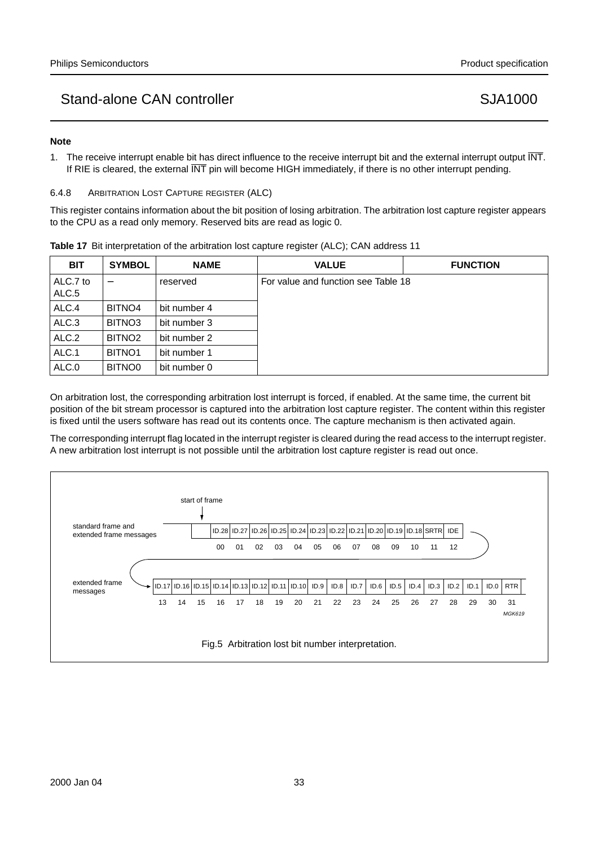#### **Note**

- 1. The receive interrupt enable bit has direct influence to the receive interrupt bit and the external interrupt output INT. If RIE is cleared, the external  $\overline{\text{INT}}$  pin will become HIGH immediately, if there is no other interrupt pending.
- 6.4.8 ARBITRATION LOST CAPTURE REGISTER (ALC)

This register contains information about the bit position of losing arbitration. The arbitration lost capture register appears to the CPU as a read only memory. Reserved bits are read as logic 0.

| <b>Table 17</b> Bit interpretation of the arbitration lost capture register (ALC); CAN address 11 |  |  |  |
|---------------------------------------------------------------------------------------------------|--|--|--|
|                                                                                                   |  |  |  |

| <b>BIT</b>        | <b>SYMBOL</b>            | <b>NAME</b>  | <b>VALUE</b>                        | <b>FUNCTION</b> |
|-------------------|--------------------------|--------------|-------------------------------------|-----------------|
| ALC.7 to<br>ALC.5 | $\overline{\phantom{m}}$ | reserved     | For value and function see Table 18 |                 |
| ALC.4             | BITNO <sub>4</sub>       | bit number 4 |                                     |                 |
| ALC.3             | BITNO <sub>3</sub>       | bit number 3 |                                     |                 |
| ALC.2             | BITNO <sub>2</sub>       | bit number 2 |                                     |                 |
| ALC.1             | BITNO <sub>1</sub>       | bit number 1 |                                     |                 |
| ALC.0             | BITNO <sub>0</sub>       | bit number 0 |                                     |                 |

On arbitration lost, the corresponding arbitration lost interrupt is forced, if enabled. At the same time, the current bit position of the bit stream processor is captured into the arbitration lost capture register. The content within this register is fixed until the users software has read out its contents once. The capture mechanism is then activated again.

The corresponding interrupt flag located in the interrupt register is cleared during the read access to the interrupt register. A new arbitration lost interrupt is not possible until the arbitration lost capture register is read out once.

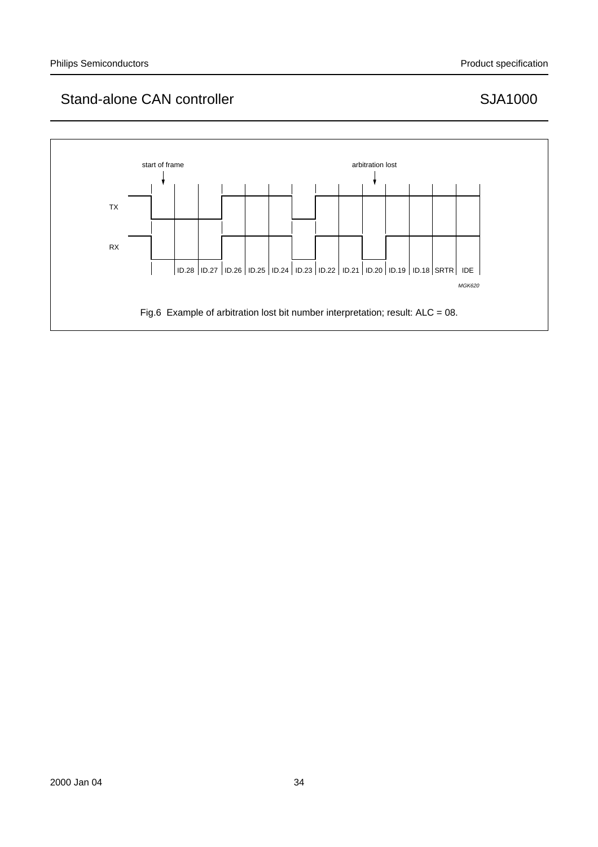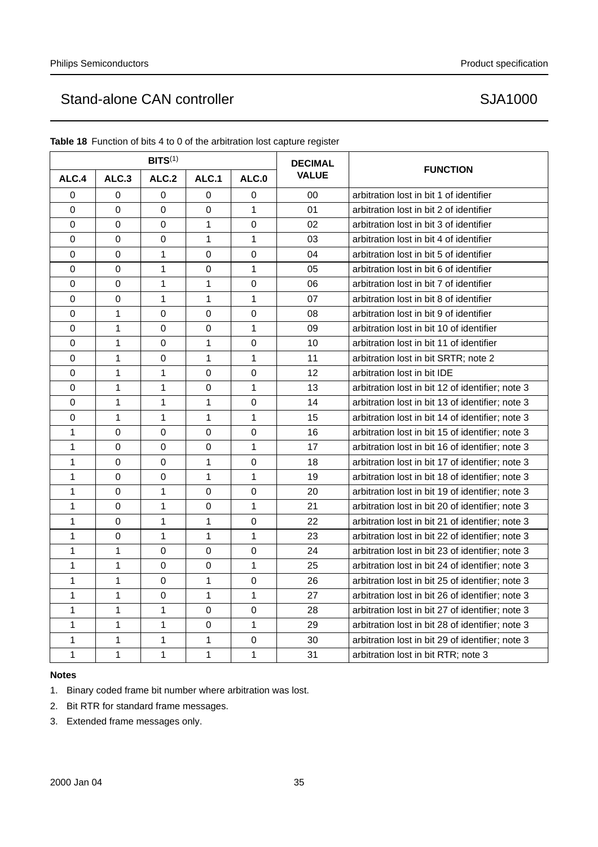|                  |              | BITS <sup>(1)</sup> |             |                  | <b>DECIMAL</b> |                                                  |
|------------------|--------------|---------------------|-------------|------------------|----------------|--------------------------------------------------|
| ALC.4            | ALC.3        | ALC.2               | ALC.1       | ALC.0            | <b>VALUE</b>   | <b>FUNCTION</b>                                  |
| 0                | $\Omega$     | 0                   | $\Omega$    | $\Omega$         | 00             | arbitration lost in bit 1 of identifier          |
| 0                | 0            | 0                   | 0           | 1                | 01             | arbitration lost in bit 2 of identifier          |
| 0                | 0            | 0                   | 1           | 0                | 02             | arbitration lost in bit 3 of identifier          |
| 0                | 0            | 0                   | 1           | $\mathbf{1}$     | 03             | arbitration lost in bit 4 of identifier          |
| 0                | 0            | 1                   | 0           | 0                | 04             | arbitration lost in bit 5 of identifier          |
| $\Omega$         | $\Omega$     | $\mathbf{1}$        | 0           | 1                | 05             | arbitration lost in bit 6 of identifier          |
| 0                | 0            | 1                   | 1           | 0                | 06             | arbitration lost in bit 7 of identifier          |
| 0                | $\Omega$     | $\mathbf{1}$        | 1           | $\mathbf{1}$     | 07             | arbitration lost in bit 8 of identifier          |
| 0                | 1            | 0                   | 0           | 0                | 08             | arbitration lost in bit 9 of identifier          |
| 0                | 1            | 0                   | 0           | 1                | 09             | arbitration lost in bit 10 of identifier         |
| 0                | $\mathbf{1}$ | 0                   | 1           | 0                | 10             | arbitration lost in bit 11 of identifier         |
| $\mathbf 0$      | $\mathbf{1}$ | $\mathbf 0$         | 1           | $\mathbf{1}$     | 11             | arbitration lost in bit SRTR; note 2             |
| 0                | 1            | 1                   | 0           | 0                | 12             | arbitration lost in bit IDE                      |
| $\boldsymbol{0}$ | 1            | 1                   | 0           | 1                | 13             | arbitration lost in bit 12 of identifier; note 3 |
| 0                | $\mathbf{1}$ | $\mathbf{1}$        | 1           | $\Omega$         | 14             | arbitration lost in bit 13 of identifier; note 3 |
| 0                | 1            | 1                   | 1           | $\mathbf 1$      | 15             | arbitration lost in bit 14 of identifier; note 3 |
| 1                | $\Omega$     | $\mathbf 0$         | 0           | 0                | 16             | arbitration lost in bit 15 of identifier; note 3 |
| 1                | 0            | 0                   | 0           | 1                | 17             | arbitration lost in bit 16 of identifier; note 3 |
| 1                | 0            | $\Omega$            | 1           | 0                | 18             | arbitration lost in bit 17 of identifier; note 3 |
| 1                | 0            | 0                   | 1           | 1                | 19             | arbitration lost in bit 18 of identifier; note 3 |
| 1                | 0            | 1                   | 0           | 0                | 20             | arbitration lost in bit 19 of identifier; note 3 |
| 1                | 0            | 1                   | $\pmb{0}$   | $\mathbf{1}$     | 21             | arbitration lost in bit 20 of identifier; note 3 |
| 1                | 0            | 1                   | 1           | $\mathbf 0$      | 22             | arbitration lost in bit 21 of identifier; note 3 |
| 1                | $\mathbf 0$  | 1                   | 1           | 1                | 23             | arbitration lost in bit 22 of identifier; note 3 |
| 1                | 1            | 0                   | 0           | 0                | 24             | arbitration lost in bit 23 of identifier; note 3 |
| 1                | 1            | $\mathbf 0$         | $\mathbf 0$ | $\mathbf{1}$     | 25             | arbitration lost in bit 24 of identifier; note 3 |
| 1                | 1            | 0                   | 1           | 0                | 26             | arbitration lost in bit 25 of identifier; note 3 |
| 1                | 1            | 0                   | 1           | $\mathbf{1}$     | 27             | arbitration lost in bit 26 of identifier; note 3 |
| 1                | 1            | 1                   | 0           | $\boldsymbol{0}$ | 28             | arbitration lost in bit 27 of identifier; note 3 |
| 1                | 1            | 1                   | 0           | $\mathbf{1}$     | 29             | arbitration lost in bit 28 of identifier; note 3 |
| 1                | 1            | 1                   | 1           | 0                | 30             | arbitration lost in bit 29 of identifier; note 3 |
| 1                | 1            | 1                   | 1           | 1                | 31             | arbitration lost in bit RTR; note 3              |

**Table 18** Function of bits 4 to 0 of the arbitration lost capture register

#### **Notes**

1. Binary coded frame bit number where arbitration was lost.

- 2. Bit RTR for standard frame messages.
- 3. Extended frame messages only.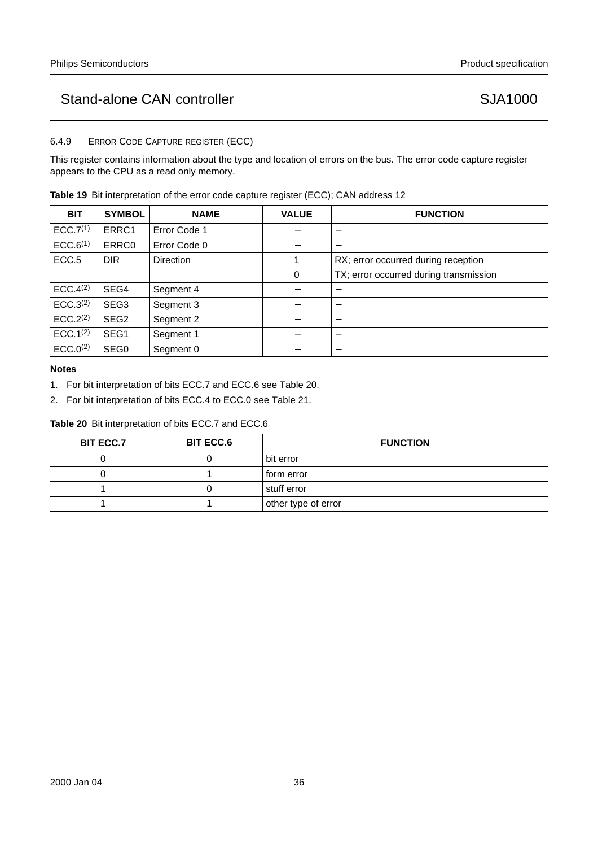### 6.4.9 ERROR CODE CAPTURE REGISTER (ECC)

This register contains information about the type and location of errors on the bus. The error code capture register appears to the CPU as a read only memory.

| <b>BIT</b>           | <b>SYMBOL</b>    | <b>NAME</b>      | <b>VALUE</b> | <b>FUNCTION</b>                        |
|----------------------|------------------|------------------|--------------|----------------------------------------|
| ECC.7 <sup>(1)</sup> | ERRC1            | Error Code 1     |              |                                        |
| ECC.6 <sup>(1)</sup> | <b>ERRC0</b>     | Error Code 0     |              | –                                      |
| ECC.5                | <b>DIR</b>       | <b>Direction</b> |              | RX; error occurred during reception    |
|                      |                  |                  | 0            | TX; error occurred during transmission |
| ECC.4 <sup>(2)</sup> | SEG4             | Segment 4        |              |                                        |
| ECC.3 <sup>(2)</sup> | SEG <sub>3</sub> | Segment 3        |              | —                                      |
| ECC.2 <sup>(2)</sup> | SEG <sub>2</sub> | Segment 2        |              |                                        |
| $ECC.1^{(2)}$        | SEG1             | Segment 1        |              | —                                      |
| ECC.0 <sup>(2)</sup> | SEG <sub>0</sub> | Segment 0        |              |                                        |

**Table 19** Bit interpretation of the error code capture register (ECC); CAN address 12

#### **Notes**

- 1. For bit interpretation of bits ECC.7 and ECC.6 see Table 20.
- 2. For bit interpretation of bits ECC.4 to ECC.0 see Table 21.

**Table 20** Bit interpretation of bits ECC.7 and ECC.6

| <b>BIT ECC.7</b> | <b>BIT ECC.6</b> | <b>FUNCTION</b>     |
|------------------|------------------|---------------------|
|                  |                  | bit error           |
|                  |                  | l form error        |
|                  |                  | l stuff error       |
|                  |                  | other type of error |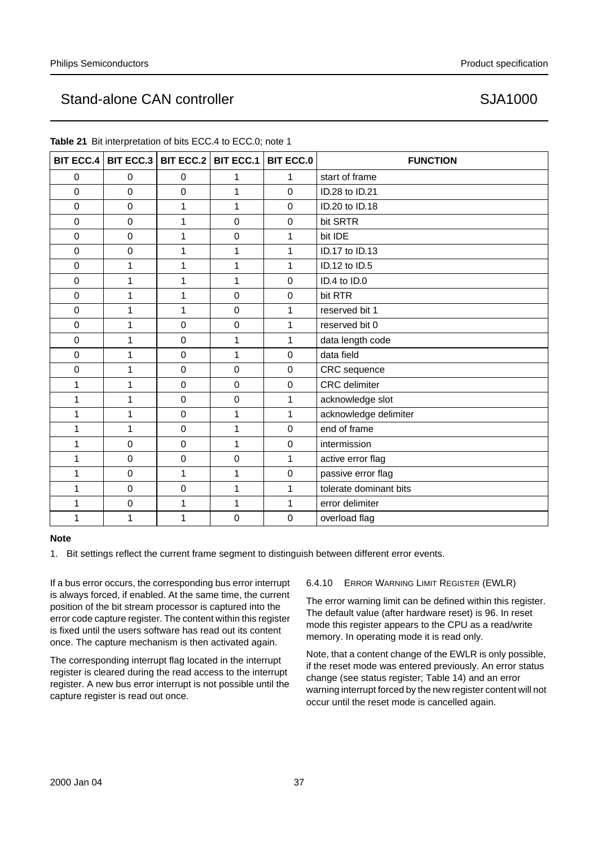| BIT ECC.4      |             | BIT ECC.3 BIT ECC.2 BIT ECC.1 |             | <b>BIT ECC.0</b> | <b>FUNCTION</b>        |
|----------------|-------------|-------------------------------|-------------|------------------|------------------------|
| $\mathbf 0$    | $\mathbf 0$ | 0                             | 1           | 1                | start of frame         |
| $\mathbf 0$    | $\mathbf 0$ | 0                             | 1           | $\mathbf 0$      | ID.28 to ID.21         |
| $\mathbf 0$    | $\mathbf 0$ | 1                             | 1           | $\mathbf 0$      | ID.20 to ID.18         |
| $\mathbf 0$    | $\mathbf 0$ | 1                             | $\mathbf 0$ | 0                | bit SRTR               |
| $\mathbf 0$    | $\mathbf 0$ | 1                             | $\mathbf 0$ | 1                | bit IDE                |
| $\mathbf 0$    | $\Omega$    | 1                             | 1           | 1                | ID.17 to ID.13         |
| $\mathbf 0$    | 1           | 1                             | 1           | 1                | ID.12 to ID.5          |
| $\mathbf 0$    | 1           | 1                             | 1           | $\mathbf 0$      | ID.4 to ID.0           |
| $\mathbf 0$    | 1           | 1                             | $\mathbf 0$ | $\mathbf 0$      | bit RTR                |
| $\mathbf 0$    | 1           | 1                             | $\mathbf 0$ | 1                | reserved bit 1         |
| $\mathbf 0$    | 1           | 0                             | $\mathsf 0$ | 1                | reserved bit 0         |
| $\overline{0}$ | 1           | $\mathbf 0$                   | 1           | 1                | data length code       |
| $\mathbf 0$    | 1           | 0                             | 1           | $\pmb{0}$        | data field             |
| $\mathbf 0$    | 1           | $\mathbf 0$                   | $\mathbf 0$ | $\pmb{0}$        | CRC sequence           |
| 1              | 1           | 0                             | $\mathbf 0$ | $\pmb{0}$        | <b>CRC</b> delimiter   |
| 1              | 1           | $\mathbf 0$                   | $\pmb{0}$   | 1                | acknowledge slot       |
| 1              | 1           | $\mathbf 0$                   | 1           | 1                | acknowledge delimiter  |
| 1              | 1           | $\mathbf 0$                   | 1           | $\mathbf 0$      | end of frame           |
| 1              | $\mathbf 0$ | 0                             | 1           | $\mathbf 0$      | intermission           |
| 1              | $\mathbf 0$ | $\mathbf 0$                   | $\pmb{0}$   | 1                | active error flag      |
| 1              | $\mathbf 0$ | 1                             | 1           | $\boldsymbol{0}$ | passive error flag     |
| 1              | $\pmb{0}$   | 0                             | 1           | 1                | tolerate dominant bits |
| 1              | $\pmb{0}$   | 1                             | 1           | 1                | error delimiter        |
|                | 1           | 1                             | $\mathsf 0$ | $\boldsymbol{0}$ | overload flag          |

**Table 21** Bit interpretation of bits ECC.4 to ECC.0; note 1

#### **Note**

1. Bit settings reflect the current frame segment to distinguish between different error events.

If a bus error occurs, the corresponding bus error interrupt is always forced, if enabled. At the same time, the current position of the bit stream processor is captured into the error code capture register. The content within this register is fixed until the users software has read out its content once. The capture mechanism is then activated again.

The corresponding interrupt flag located in the interrupt register is cleared during the read access to the interrupt register. A new bus error interrupt is not possible until the capture register is read out once.

#### 6.4.10 ERROR WARNING LIMIT REGISTER (EWLR)

The error warning limit can be defined within this register. The default value (after hardware reset) is 96. In reset mode this register appears to the CPU as a read/write memory. In operating mode it is read only.

Note, that a content change of the EWLR is only possible, if the reset mode was entered previously. An error status change (see status register; Table 14) and an error warning interrupt forced by the new register content will not occur until the reset mode is cancelled again.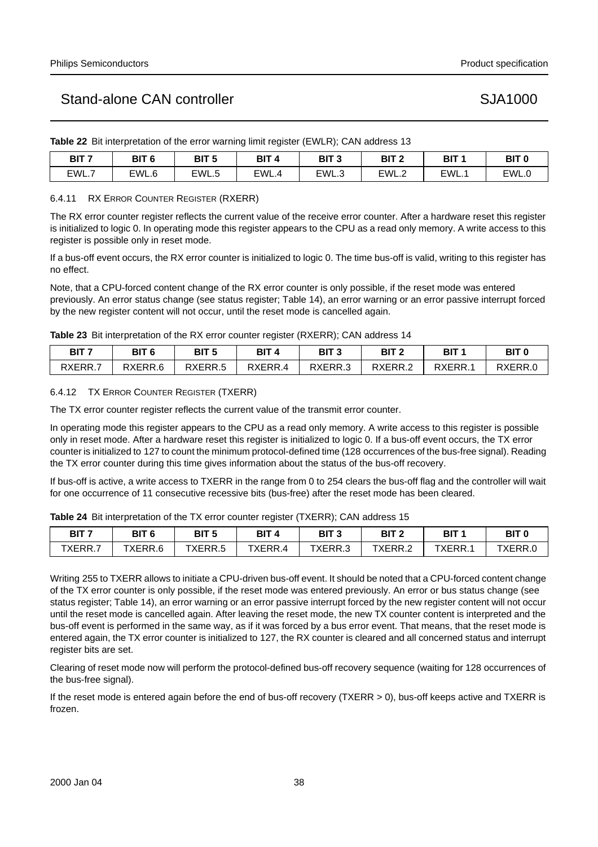**Table 22** Bit interpretation of the error warning limit register (EWLR); CAN address 13

| דום   | BIT <sub>6</sub> | BIT <sub>5</sub> | DIT.<br>ы | BIT <sub>3</sub> | BIT <sub>2</sub> | BIT   | BIT <sub>0</sub> |
|-------|------------------|------------------|-----------|------------------|------------------|-------|------------------|
| EWL.7 | ⊂WL.ເ            | EWL.5            | EWL.4     | FWL.J            | EWL.2            | EWL.1 | FWL.J            |

#### 6.4.11 RX ERROR COUNTER REGISTER (RXERR)

The RX error counter register reflects the current value of the receive error counter. After a hardware reset this register is initialized to logic 0. In operating mode this register appears to the CPU as a read only memory. A write access to this register is possible only in reset mode.

If a bus-off event occurs, the RX error counter is initialized to logic 0. The time bus-off is valid, writing to this register has no effect.

Note, that a CPU-forced content change of the RX error counter is only possible, if the reset mode was entered previously. An error status change (see status register; Table 14), an error warning or an error passive interrupt forced by the new register content will not occur, until the reset mode is cancelled again.

**Table 23** Bit interpretation of the RX error counter register (RXERR); CAN address 14

| BIT <sub>7</sub> | BIT <sub>6</sub> | BIT <sub>5</sub> | <b>BIT</b> | BIT <sub>3</sub> | BIT <sub>2</sub> | BIT    | <b>BIT 0</b> |
|------------------|------------------|------------------|------------|------------------|------------------|--------|--------------|
| RXERR            | RXERR.6          | RXERR.5          | RXERR.4    | RXERR.3          | RXERR.2          | RXERR. | RXFRR N      |

#### 6.4.12 TX ERROR COUNTER REGISTER (TXERR)

The TX error counter register reflects the current value of the transmit error counter.

In operating mode this register appears to the CPU as a read only memory. A write access to this register is possible only in reset mode. After a hardware reset this register is initialized to logic 0. If a bus-off event occurs, the TX error counter is initialized to 127 to count the minimum protocol-defined time (128 occurrences of the bus-free signal). Reading the TX error counter during this time gives information about the status of the bus-off recovery.

If bus-off is active, a write access to TXERR in the range from 0 to 254 clears the bus-off flag and the controller will wait for one occurrence of 11 consecutive recessive bits (bus-free) after the reset mode has been cleared.

**Table 24** Bit interpretation of the TX error counter register (TXERR); CAN address 15

| BIT <sub>7</sub> | BIT <sub>6</sub> | BIT <sub>5</sub> | <b>BIT</b> | BIT 3  | BIT <sub>2</sub> | BIT    | <b>BIT</b> C |
|------------------|------------------|------------------|------------|--------|------------------|--------|--------------|
| TXERR            | XERR.6           | XERR.5           | TXERR.4    | XERR.3 | TXERR.2          | TXERR. | XERR.0       |

Writing 255 to TXERR allows to initiate a CPU-driven bus-off event. It should be noted that a CPU-forced content change of the TX error counter is only possible, if the reset mode was entered previously. An error or bus status change (see status register; Table 14), an error warning or an error passive interrupt forced by the new register content will not occur until the reset mode is cancelled again. After leaving the reset mode, the new TX counter content is interpreted and the bus-off event is performed in the same way, as if it was forced by a bus error event. That means, that the reset mode is entered again, the TX error counter is initialized to 127, the RX counter is cleared and all concerned status and interrupt register bits are set.

Clearing of reset mode now will perform the protocol-defined bus-off recovery sequence (waiting for 128 occurrences of the bus-free signal).

If the reset mode is entered again before the end of bus-off recovery (TXERR > 0), bus-off keeps active and TXERR is frozen.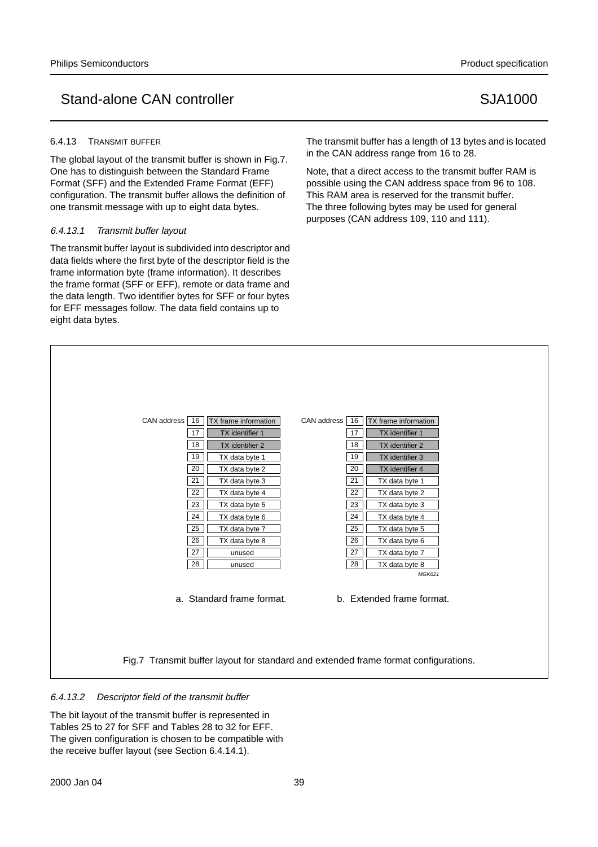#### 6.4.13 TRANSMIT BUFFER

The global layout of the transmit buffer is shown in Fig.7. One has to distinguish between the Standard Frame Format (SFF) and the Extended Frame Format (EFF) configuration. The transmit buffer allows the definition of one transmit message with up to eight data bytes.

#### 6.4.13.1 Transmit buffer layout

The transmit buffer layout is subdivided into descriptor and data fields where the first byte of the descriptor field is the frame information byte (frame information). It describes the frame format (SFF or EFF), remote or data frame and the data length. Two identifier bytes for SFF or four bytes for EFF messages follow. The data field contains up to eight data bytes.

The transmit buffer has a length of 13 bytes and is located in the CAN address range from 16 to 28.

Note, that a direct access to the transmit buffer RAM is possible using the CAN address space from 96 to 108. This RAM area is reserved for the transmit buffer. The three following bytes may be used for general purposes (CAN address 109, 110 and 111).

| CAN address   16 | TX frame information      | CAN address   16 | TX frame information                |  |
|------------------|---------------------------|------------------|-------------------------------------|--|
| 17               | TX identifier 1           | 17               | TX identifier 1                     |  |
| 18               | TX identifier 2           | 18               | TX identifier 2                     |  |
| 19               | TX data byte 1            | 19               | TX identifier 3                     |  |
| 20               | TX data byte 2            | 20               | TX identifier 4                     |  |
| 21               | TX data byte 3            | 21               | TX data byte 1                      |  |
| 22               | TX data byte 4            | 22               | TX data byte 2                      |  |
| 23               | TX data byte 5            | 23               | TX data byte 3                      |  |
| 24               | TX data byte 6            | 24               | TX data byte 4                      |  |
| 25               | TX data byte 7            | 25               | TX data byte 5                      |  |
| 26               | TX data byte 8            | 26               | TX data byte 6                      |  |
| 27               | unused                    | 27               | TX data byte 7                      |  |
| 28               | unused                    | 28               | TX data byte 8                      |  |
|                  | a. Standard frame format. |                  | MGK621<br>b. Extended frame format. |  |
|                  |                           |                  |                                     |  |

#### 6.4.13.2 Descriptor field of the transmit buffer

The bit layout of the transmit buffer is represented in Tables 25 to 27 for SFF and Tables 28 to 32 for EFF. The given configuration is chosen to be compatible with the receive buffer layout (see Section 6.4.14.1).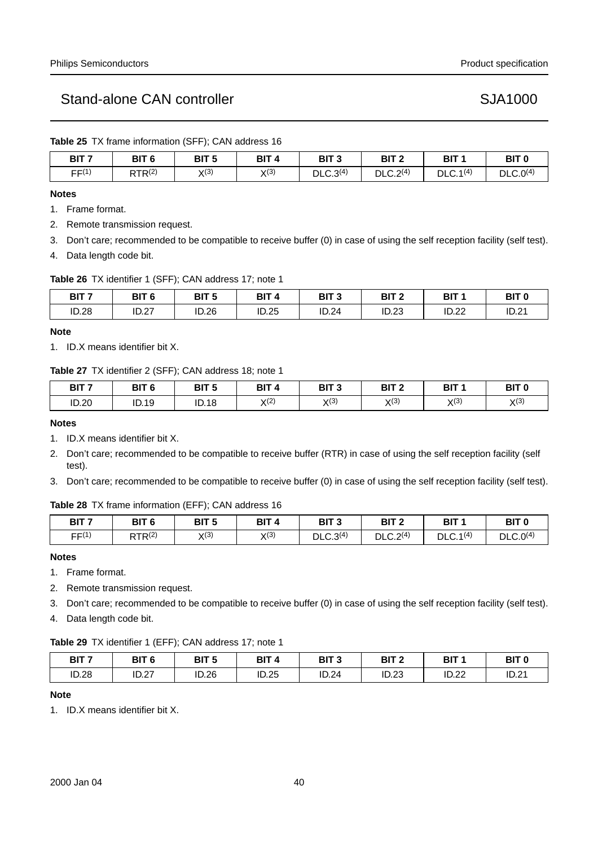| ___ | ___ |                                                            | ___ | ___ | _ _ _ _ | ___ |  |
|-----|-----|------------------------------------------------------------|-----|-----|---------|-----|--|
|     |     | <b>Table 25</b> TX frame information (SFF); CAN address 16 |     |     |         |     |  |

| BIT 7             | BIT <sub>6</sub>   | BIT <sub>5</sub> | BIT       | BIT <sub>3</sub>     | BIT <sub>2</sub>     | BIT           | <b>BIT 0</b>         |
|-------------------|--------------------|------------------|-----------|----------------------|----------------------|---------------|----------------------|
| FF <sup>(1)</sup> | RTR <sup>(2)</sup> | $X^{(3)}$        | $X^{(3)}$ | DLC.3 <sup>(4)</sup> | DLC.2 <sup>(4)</sup> | 1(4)<br>DLC.1 | DLC.0 <sup>(4)</sup> |

#### **Notes**

- 1. Frame format.
- 2. Remote transmission request.
- 3. Don't care; recommended to be compatible to receive buffer (0) in case of using the self reception facility (self test).
- 4. Data length code bit.

### **Table 26** TX identifier 1 (SFF); CAN address 17; note 1

| BIT <sub>7</sub> | BIT <sub>6</sub> | BIT <sub>5</sub> | <b>BIT</b> | BIT <sub>3</sub> | BIT 2 | <b>BIT</b><br>_____ | BIT <sub>0</sub> |
|------------------|------------------|------------------|------------|------------------|-------|---------------------|------------------|
| <b>ID.28</b>     | ID.27            | ID.26            | ID.25      | ID.24            | ID.23 | ממ חו<br>ے۔ س       | ID.21            |

#### **Note**

1. ID.X means identifier bit X.

#### **Table 27** TX identifier 2 (SFF); CAN address 18; note 1

| BIT <sub>7</sub> | BIT <sub>6</sub> | BIT <sub>5</sub> | <b>BIT</b> | BIT <sub>3</sub> | BIT <sub>2</sub> | BIT <sub>1</sub> | BIT <sub>0</sub> |
|------------------|------------------|------------------|------------|------------------|------------------|------------------|------------------|
| ID.20<br>_______ | ID.19            | ID.18            | Y(2)       | $X^{(3)}$        | $X^{(3)}$        | $X^{(3)}$        | $X^{(3)}$        |

#### **Notes**

- 1. ID.X means identifier bit X.
- 2. Don't care; recommended to be compatible to receive buffer (RTR) in case of using the self reception facility (self test).
- 3. Don't care; recommended to be compatible to receive buffer (0) in case of using the self reception facility (self test).

### **Table 28** TX frame information (EFF); CAN address 16

| BIT <sub>7</sub> | BIT <sub>6</sub>   | BIT <sub>5</sub> | BIT 4     | BIT <sub>3</sub>     | BIT <sub>2</sub>     | BIT <sub>1</sub>     | <b>BIT 0</b>         |
|------------------|--------------------|------------------|-----------|----------------------|----------------------|----------------------|----------------------|
| FF(1)            | RTR <sup>(2)</sup> | $X^{(3)}$        | $X^{(3)}$ | DLC.3 <sup>(4)</sup> | DLC.2 <sup>(4)</sup> | DLC.1 <sup>(4)</sup> | DLC.0 <sup>(4)</sup> |

#### **Notes**

- 1. Frame format.
- 2. Remote transmission request.
- 3. Don't care; recommended to be compatible to receive buffer (0) in case of using the self reception facility (self test).
- 4. Data length code bit.

### **Table 29** TX identifier 1 (EFF); CAN address 17; note 1

|                  | _____            |                  |       |                  |                  |                  |                   |
|------------------|------------------|------------------|-------|------------------|------------------|------------------|-------------------|
| BIT <sub>7</sub> | BIT <sub>6</sub> | BIT <sub>5</sub> | BIT   | BIT <sub>3</sub> | BIT <sub>2</sub> | BIT <sub>1</sub> | <b>BIT 0</b>      |
| <b>ID.28</b>     | ID.27            | ID.26            | ID.25 | ID.24            | ID.23            | ID.22            | ID.2 <sup>4</sup> |

#### **Note**

1. ID.X means identifier bit X.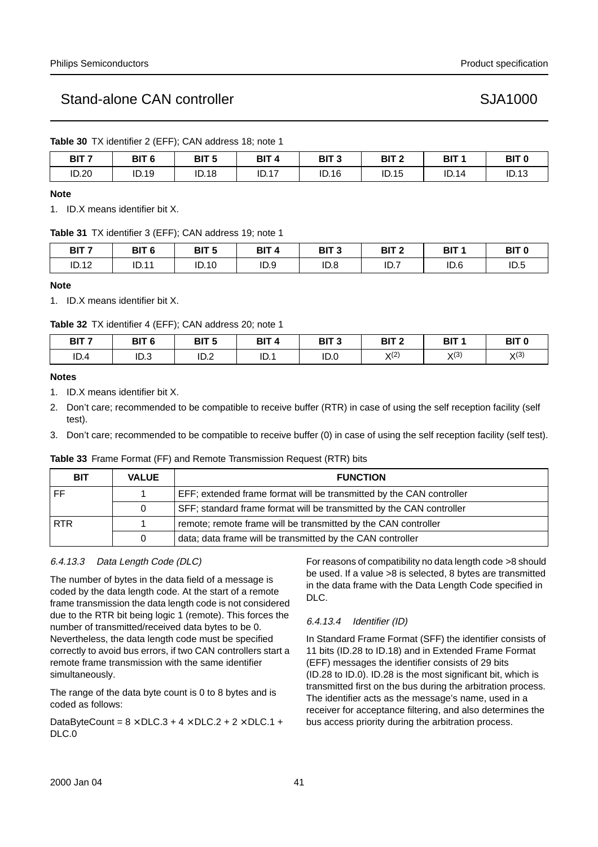**Table 30** TX identifier 2 (EFF); CAN address 18; note 1

| BIT <sub>7</sub> | BIT <sub>6</sub> | BIT <sub>5</sub> | BIT / | BIT <sub>3</sub> | BIT <sub>2</sub> | BIT <sup>4</sup> | <b>BIT 0</b> |
|------------------|------------------|------------------|-------|------------------|------------------|------------------|--------------|
| ID.20            | ID.19            | ID.18            | ID.17 | ID.16            | ID.15            | ID.14            | ID.13        |

#### **Note**

1. ID.X means identifier bit X.

#### **Table 31** TX identifier 3 (EFF); CAN address 19; note 1

| BIT <sub>7</sub> | BIT <sub>6</sub> | BIT <sub>5</sub> | BIT  | BIT <sub>3</sub> | BIT <sub>2</sub> | BIT <sub>1</sub> | BIT <sub>0</sub> |
|------------------|------------------|------------------|------|------------------|------------------|------------------|------------------|
| ID.12            | ID.11            | ID.10            | ID.9 | ID.8             | ID.7             | ID.6             | ID.5             |

#### **Note**

1. ID.X means identifier bit X.

#### **Table 32** TX identifier 4 (EFF); CAN address 20; note 1

| BIT <sub>7</sub> | BIT <sub>6</sub> | <b>BIT 5</b> | <b>BIT</b> | BIT <sub>3</sub> | BIT <sub>2</sub> | BIT       | <b>BIT 0</b> |
|------------------|------------------|--------------|------------|------------------|------------------|-----------|--------------|
| ID.4             | ID.3             | ID.2<br>$-$  | ID.1       | ID.0             | X <sup>(2)</sup> | $X^{(3)}$ | $X^{(3)}$    |

#### **Notes**

- 1. ID.X means identifier bit X.
- 2. Don't care; recommended to be compatible to receive buffer (RTR) in case of using the self reception facility (self test).
- 3. Don't care; recommended to be compatible to receive buffer (0) in case of using the self reception facility (self test).

#### **Table 33** Frame Format (FF) and Remote Transmission Request (RTR) bits

| <b>BIT</b> | <b>VALUE</b> | <b>FUNCTION</b>                                                      |
|------------|--------------|----------------------------------------------------------------------|
|            |              | EFF; extended frame format will be transmitted by the CAN controller |
|            | 0            | SFF; standard frame format will be transmitted by the CAN controller |
| <b>RTR</b> |              | remote; remote frame will be transmitted by the CAN controller       |
|            | 0            | data; data frame will be transmitted by the CAN controller           |

### 6.4.13.3 Data Length Code (DLC)

The number of bytes in the data field of a message is coded by the data length code. At the start of a remote frame transmission the data length code is not considered due to the RTR bit being logic 1 (remote). This forces the number of transmitted/received data bytes to be 0. Nevertheless, the data length code must be specified correctly to avoid bus errors, if two CAN controllers start a remote frame transmission with the same identifier simultaneously.

The range of the data byte count is 0 to 8 bytes and is coded as follows:

DataByteCount =  $8 \times$  DLC.3 +  $4 \times$  DLC.2 +  $2 \times$  DLC.1 + DLC.0

For reasons of compatibility no data length code >8 should be used. If a value >8 is selected, 8 bytes are transmitted in the data frame with the Data Length Code specified in DLC.

### 6.4.13.4 Identifier (ID)

In Standard Frame Format (SFF) the identifier consists of 11 bits (ID.28 to ID.18) and in Extended Frame Format (EFF) messages the identifier consists of 29 bits (ID.28 to ID.0). ID.28 is the most significant bit, which is transmitted first on the bus during the arbitration process. The identifier acts as the message's name, used in a receiver for acceptance filtering, and also determines the bus access priority during the arbitration process.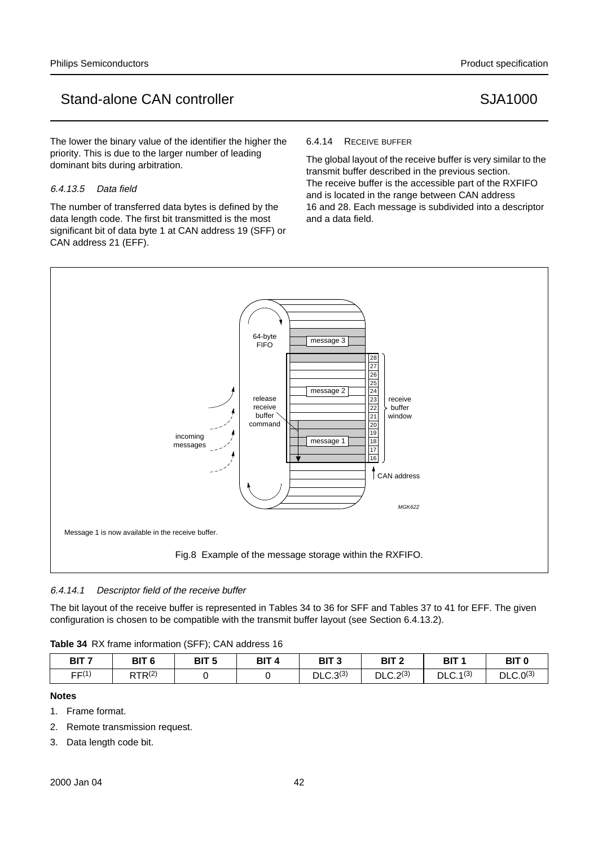The lower the binary value of the identifier the higher the priority. This is due to the larger number of leading dominant bits during arbitration.

#### 6.4.13.5 Data field

The number of transferred data bytes is defined by the data length code. The first bit transmitted is the most significant bit of data byte 1 at CAN address 19 (SFF) or CAN address 21 (EFF).

#### 6.4.14 RECEIVE BUFFER

The global layout of the receive buffer is very similar to the transmit buffer described in the previous section. The receive buffer is the accessible part of the RXFIFO and is located in the range between CAN address 16 and 28. Each message is subdivided into a descriptor and a data field.



### 6.4.14.1 Descriptor field of the receive buffer

The bit layout of the receive buffer is represented in Tables 34 to 36 for SFF and Tables 37 to 41 for EFF. The given configuration is chosen to be compatible with the transmit buffer layout (see Section 6.4.13.2).

#### **Table 34** RX frame information (SFF); CAN address 16

| BIT <sub>7</sub>  | BIT <sub>6</sub> | BIT <sub>5</sub> | <b>BIT</b> | BIT <sub>3</sub>     | BIT <sub>2</sub>     | BIT                  | <b>BIT 0</b>         |
|-------------------|------------------|------------------|------------|----------------------|----------------------|----------------------|----------------------|
| FF <sup>(1)</sup> | $RTR^{(2)}$      |                  |            | DLC.3 <sup>(3)</sup> | DLC.2 <sup>(3)</sup> | DLC.1 <sup>(3)</sup> | DLC.0 <sup>(3)</sup> |

### **Notes**

- 1. Frame format.
- 2. Remote transmission request.
- 3. Data length code bit.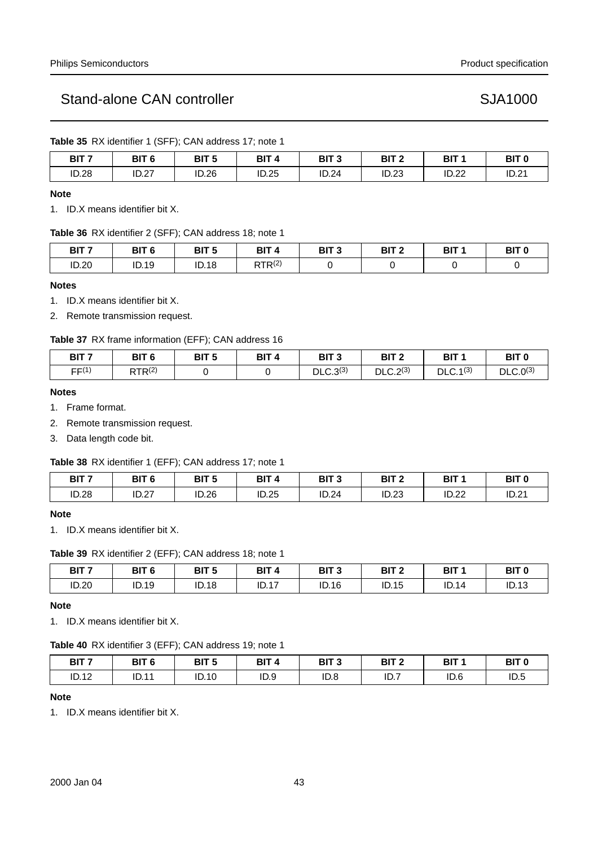**Table 35** RX identifier 1 (SFF); CAN address 17; note 1

| BIT <sub>7</sub> | BIT <sub>6</sub> | BIT 5 | <b>BIT</b> | BIT <sub>3</sub> | BIT <sub>2</sub> | BIT <sub>1</sub> | BIT 0 |
|------------------|------------------|-------|------------|------------------|------------------|------------------|-------|
| <b>ID.28</b>     | דמ חו<br>ו געו   | ID.26 | ID.25      | ID.24            | ID.23            | פפ חו<br>ے ے ر   | ID.21 |

#### **Note**

1. ID.X means identifier bit X.

#### **Table 36** RX identifier 2 (SFF); CAN address 18; note 1

| <b>BIT 7</b> | BIT <sub>6</sub> | <b>RIT 5</b><br>ынэ | <b>BIT</b> | BIT <sub>3</sub> | BIT <sub>2</sub> | י דום<br>ы | BIT <sub>0</sub> |
|--------------|------------------|---------------------|------------|------------------|------------------|------------|------------------|
| ID.20        | ID.19            | ID.18               | PTD(2)     |                  |                  |            |                  |

#### **Notes**

- 1. ID.X means identifier bit X.
- 2. Remote transmission request.

#### **Table 37** RX frame information (EFF); CAN address 16

| BIT <sub>7</sub> | BIT <sub>6</sub>   | BIT <sub>5</sub> | BIT | BIT <sub>3</sub>     | BIT <sub>2</sub>     | BIT <sub>1</sub>     | BIT <sub>0</sub>     |
|------------------|--------------------|------------------|-----|----------------------|----------------------|----------------------|----------------------|
| FF(1)            | RTR <sup>(2)</sup> |                  |     | DLC.3 <sup>(3)</sup> | DLC.2 <sup>(3)</sup> | DLC.1 <sup>(3)</sup> | DLC.0 <sup>(3)</sup> |

#### **Notes**

- 1. Frame format.
- 2. Remote transmission request.
- 3. Data length code bit.

#### **Table 38** RX identifier 1 (EFF); CAN address 17; note 1

| BIT <sub>7</sub> | BIT <sub>6</sub> | BIT <sub>5</sub> | <b>BIT</b> | BIT <sub>3</sub> | BIT <sub>2</sub> | BIT 1          | <b>BIT 0</b> |
|------------------|------------------|------------------|------------|------------------|------------------|----------------|--------------|
| <b>ID.28</b>     | <b>ID.27</b>     | ID.26            | ID.25      | ID.24            | ID.23            | ID 22<br>ے ے ر | ID.21        |

#### **Note**

1. ID.X means identifier bit X.

#### **Table 39** RX identifier 2 (EFF); CAN address 18; note 1

| BIT <sub>7</sub> | BIT <sub>6</sub> | BIT <sub>5</sub> | <b>BIT</b><br>4 | BIT <sub>3</sub> | BIT <sub>2</sub> | BIT <sub>1</sub> | BIT <sub>0</sub> |
|------------------|------------------|------------------|-----------------|------------------|------------------|------------------|------------------|
| ID.20            | ID.19            | ID.18            | ID.17           | ID.16            | ID.15            | ID.14            | ID.13            |

#### **Note**

1. ID.X means identifier bit X.

#### **Table 40** RX identifier 3 (EFF); CAN address 19; note 1

| BIT <sub>7</sub> | BIT <sub>6</sub>        | BIT <sub>5</sub> | BIT <sub>4</sub> | BIT <sub>3</sub> | BIT <sub>2</sub> | BIT <sub>1</sub> | BIT <sub>0</sub> |
|------------------|-------------------------|------------------|------------------|------------------|------------------|------------------|------------------|
| ID.12            | $1\Gamma$ 11<br>ו ו .∪ו | <b>ID.10</b>     | ID.9             | ID.8             | ID.7             | ID.6             | ID.5             |

#### **Note**

1. ID.X means identifier bit X.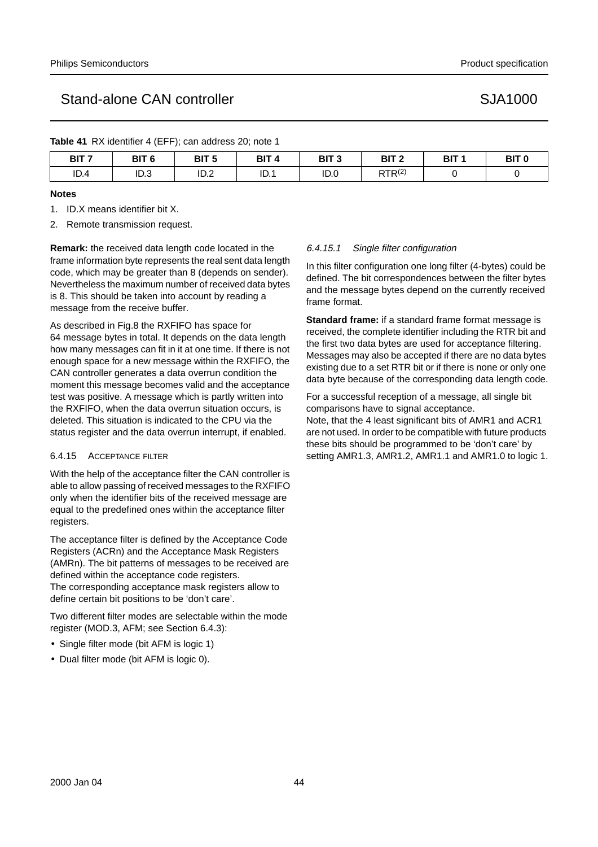## Stand-alone CAN controller

| <b>SJA1000</b> |
|----------------|
|----------------|

|  |  |  | Table 41 RX identifier 4 (EFF); can address 20; note 1 |
|--|--|--|--------------------------------------------------------|
|--|--|--|--------------------------------------------------------|

| דום  | BIT <sub>6</sub><br>_______ | BIT <sub>5</sub><br>---- | BIT / | BIT <sub>3</sub><br>$\sim$ | BIT <sub>2</sub>   | BIT <sub>1</sub> | BIT <sub>0</sub> |
|------|-----------------------------|--------------------------|-------|----------------------------|--------------------|------------------|------------------|
| ID.4 | ID.3                        | ID.2                     | ID.1  | ID.0                       | RTR <sup>(2)</sup> |                  |                  |

#### **Notes**

- 1. ID.X means identifier bit X.
- 2. Remote transmission request.

**Remark:** the received data length code located in the frame information byte represents the real sent data length code, which may be greater than 8 (depends on sender). Nevertheless the maximum number of received data bytes is 8. This should be taken into account by reading a message from the receive buffer.

As described in Fig.8 the RXFIFO has space for 64 message bytes in total. It depends on the data length how many messages can fit in it at one time. If there is not enough space for a new message within the RXFIFO, the CAN controller generates a data overrun condition the moment this message becomes valid and the acceptance test was positive. A message which is partly written into the RXFIFO, when the data overrun situation occurs, is deleted. This situation is indicated to the CPU via the status register and the data overrun interrupt, if enabled.

#### 6.4.15 ACCEPTANCE FILTER

With the help of the acceptance filter the CAN controller is able to allow passing of received messages to the RXFIFO only when the identifier bits of the received message are equal to the predefined ones within the acceptance filter registers.

The acceptance filter is defined by the Acceptance Code Registers (ACRn) and the Acceptance Mask Registers (AMRn). The bit patterns of messages to be received are defined within the acceptance code registers. The corresponding acceptance mask registers allow to define certain bit positions to be 'don't care'.

Two different filter modes are selectable within the mode register (MOD.3, AFM; see Section 6.4.3):

- Single filter mode (bit AFM is logic 1)
- Dual filter mode (bit AFM is logic 0).

#### 6.4.15.1 Single filter configuration

In this filter configuration one long filter (4-bytes) could be defined. The bit correspondences between the filter bytes and the message bytes depend on the currently received frame format.

**Standard frame:** if a standard frame format message is received, the complete identifier including the RTR bit and the first two data bytes are used for acceptance filtering. Messages may also be accepted if there are no data bytes existing due to a set RTR bit or if there is none or only one data byte because of the corresponding data length code.

For a successful reception of a message, all single bit comparisons have to signal acceptance. Note, that the 4 least significant bits of AMR1 and ACR1 are not used. In order to be compatible with future products these bits should be programmed to be 'don't care' by setting AMR1.3, AMR1.2, AMR1.1 and AMR1.0 to logic 1.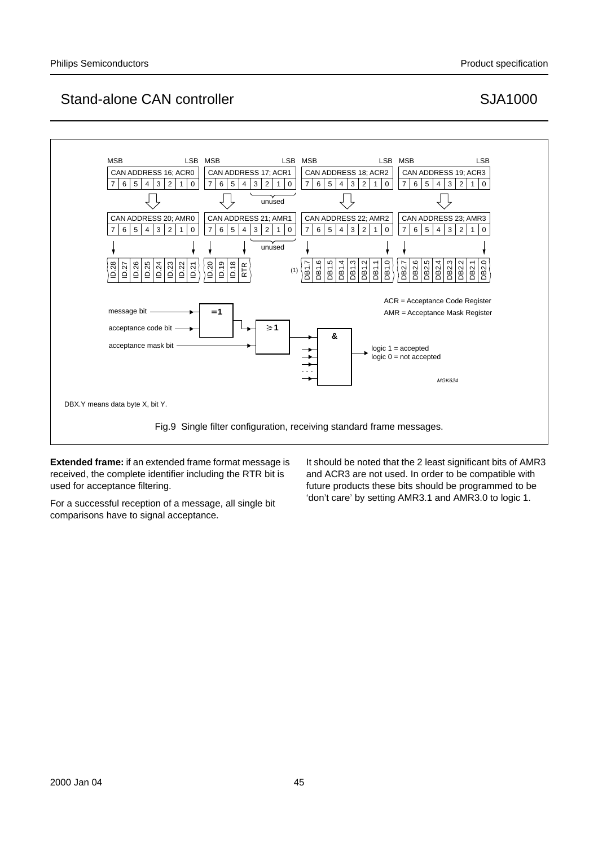

**Extended frame:** if an extended frame format message is received, the complete identifier including the RTR bit is used for acceptance filtering.

For a successful reception of a message, all single bit comparisons have to signal acceptance.

It should be noted that the 2 least significant bits of AMR3 and ACR3 are not used. In order to be compatible with future products these bits should be programmed to be 'don't care' by setting AMR3.1 and AMR3.0 to logic 1.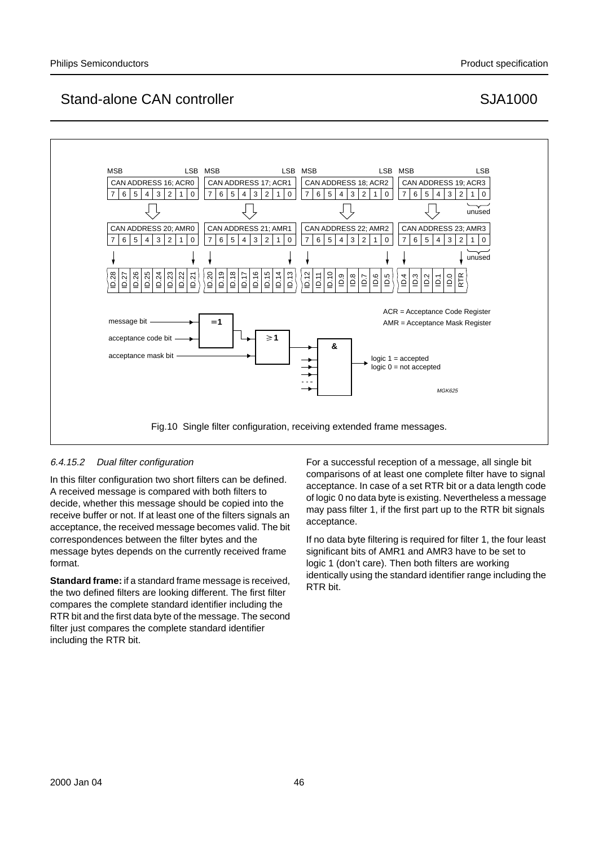

### 6.4.15.2 Dual filter configuration

In this filter configuration two short filters can be defined. A received message is compared with both filters to decide, whether this message should be copied into the receive buffer or not. If at least one of the filters signals an acceptance, the received message becomes valid. The bit correspondences between the filter bytes and the message bytes depends on the currently received frame format.

**Standard frame:** if a standard frame message is received, the two defined filters are looking different. The first filter compares the complete standard identifier including the RTR bit and the first data byte of the message. The second filter just compares the complete standard identifier including the RTR bit.

For a successful reception of a message, all single bit comparisons of at least one complete filter have to signal acceptance. In case of a set RTR bit or a data length code of logic 0 no data byte is existing. Nevertheless a message may pass filter 1, if the first part up to the RTR bit signals acceptance.

If no data byte filtering is required for filter 1, the four least significant bits of AMR1 and AMR3 have to be set to logic 1 (don't care). Then both filters are working identically using the standard identifier range including the RTR bit.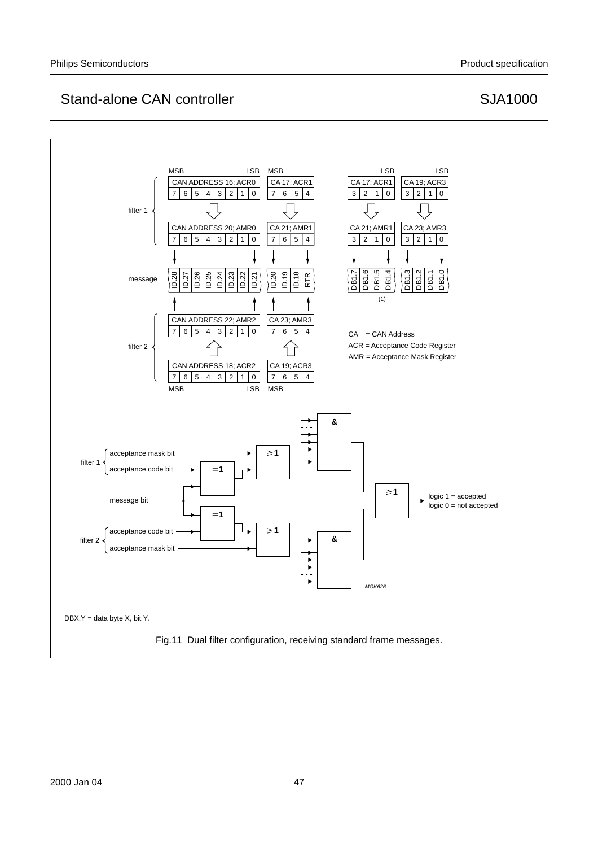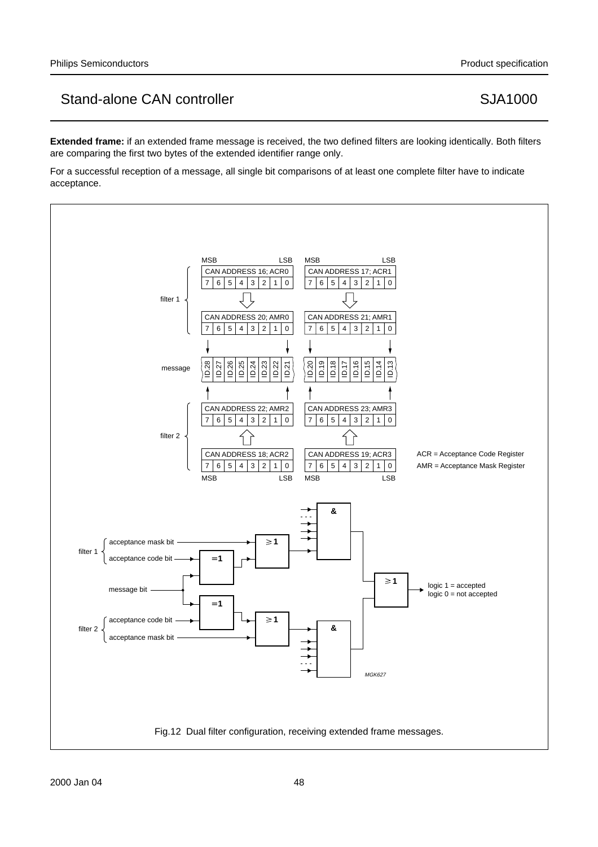**Extended frame:** if an extended frame message is received, the two defined filters are looking identically. Both filters are comparing the first two bytes of the extended identifier range only.

For a successful reception of a message, all single bit comparisons of at least one complete filter have to indicate acceptance.

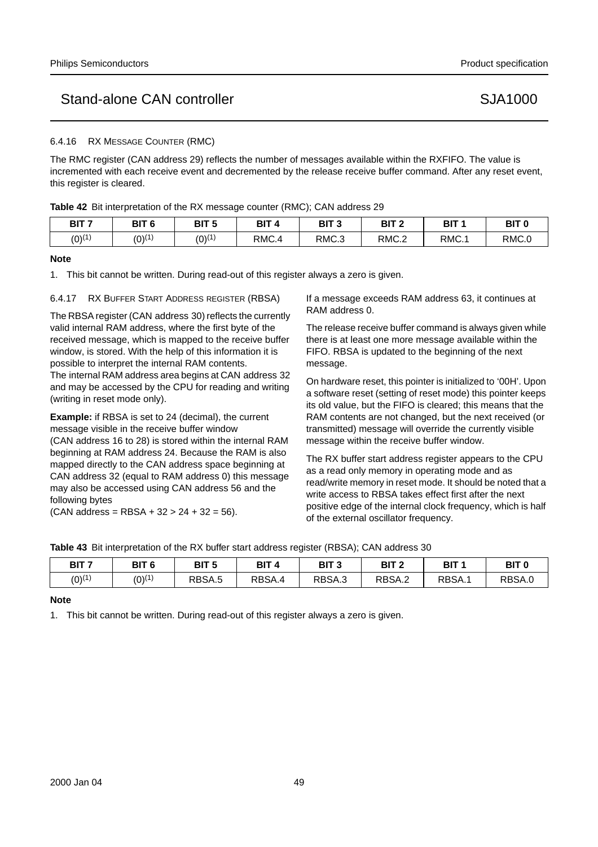#### 6.4.16 RX MESSAGE COUNTER (RMC)

The RMC register (CAN address 29) reflects the number of messages available within the RXFIFO. The value is incremented with each receive event and decremented by the release receive buffer command. After any reset event, this register is cleared.

|  |  | Table 42 Bit interpretation of the RX message counter (RMC); CAN address 29 |  |  |
|--|--|-----------------------------------------------------------------------------|--|--|
|--|--|-----------------------------------------------------------------------------|--|--|

| BIT <sub>7</sub> | BIT <sub>6</sub> | BIT <sub>5</sub> | <b>BIT</b> | BIT <sub>3</sub> | BIT <sub>2</sub> | DIT 4<br>ы | <b>BIT C</b> |
|------------------|------------------|------------------|------------|------------------|------------------|------------|--------------|
| $(0)^{(1)}$      | $(0)^{(1)}$      | $(0)^{(1)}$      | RMC.4      | RMC <sub>3</sub> | RMC.2            | RMC.1      | RMC.C        |

#### **Note**

1. This bit cannot be written. During read-out of this register always a zero is given.

#### 6.4.17 RX BUFFER START ADDRESS REGISTER (RBSA)

The RBSA register (CAN address 30) reflects the currently valid internal RAM address, where the first byte of the received message, which is mapped to the receive buffer window, is stored. With the help of this information it is possible to interpret the internal RAM contents. The internal RAM address area begins at CAN address 32 and may be accessed by the CPU for reading and writing (writing in reset mode only).

**Example:** if RBSA is set to 24 (decimal), the current message visible in the receive buffer window (CAN address 16 to 28) is stored within the internal RAM beginning at RAM address 24. Because the RAM is also mapped directly to the CAN address space beginning at CAN address 32 (equal to RAM address 0) this message may also be accessed using CAN address 56 and the following bytes

 $(CAN address = RBSA + 32 > 24 + 32 = 56)$ .

If a message exceeds RAM address 63, it continues at RAM address 0.

The release receive buffer command is always given while there is at least one more message available within the FIFO. RBSA is updated to the beginning of the next message.

On hardware reset, this pointer is initialized to '00H'. Upon a software reset (setting of reset mode) this pointer keeps its old value, but the FIFO is cleared; this means that the RAM contents are not changed, but the next received (or transmitted) message will override the currently visible message within the receive buffer window.

The RX buffer start address register appears to the CPU as a read only memory in operating mode and as read/write memory in reset mode. It should be noted that a write access to RBSA takes effect first after the next positive edge of the internal clock frequency, which is half of the external oscillator frequency.

|  |  | Table 43 Bit interpretation of the RX buffer start address register (RBSA); CAN address 30 |
|--|--|--------------------------------------------------------------------------------------------|
|  |  |                                                                                            |

| <b>BIT 7</b> | BIT 6       | BIT <sub>5</sub> | <b>BIT</b><br>4 | BIT <sub>3</sub> | BIT <sub>2</sub> | BIT <sub>1</sub> | <b>BIT 0</b> |
|--------------|-------------|------------------|-----------------|------------------|------------------|------------------|--------------|
| $(0)^{(1)}$  | $(0)^{(1)}$ | RBSA.5           | RBSA.4          | RBSA.3           | RBSA.2           | RBSA.            | RBSA.0       |

#### **Note**

1. This bit cannot be written. During read-out of this register always a zero is given.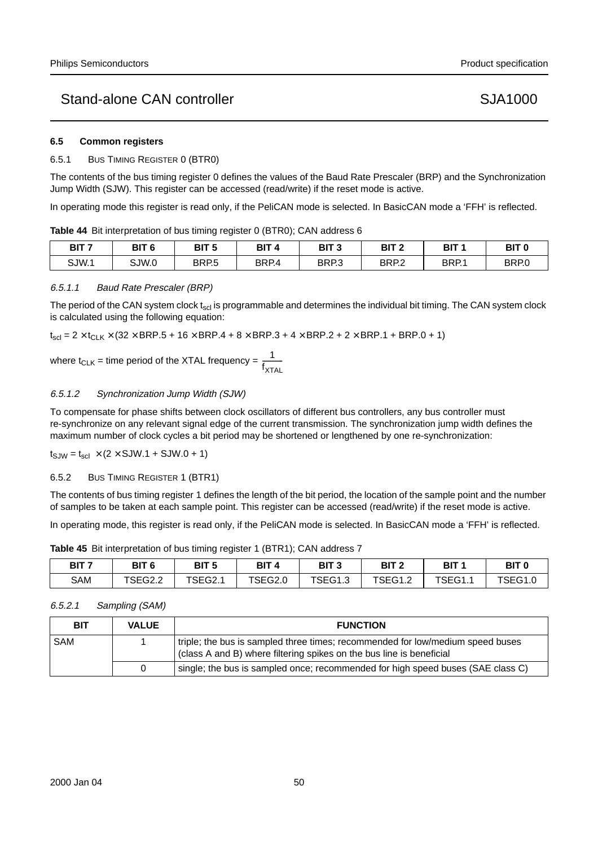#### **6.5 Common registers**

#### 6.5.1 BUS TIMING REGISTER 0 (BTR0)

The contents of the bus timing register 0 defines the values of the Baud Rate Prescaler (BRP) and the Synchronization Jump Width (SJW). This register can be accessed (read/write) if the reset mode is active.

In operating mode this register is read only, if the PeliCAN mode is selected. In BasicCAN mode a 'FFH' is reflected.

|  |  |  |  |  | Table 44 Bit interpretation of bus timing register 0 (BTR0); CAN address 6 |  |
|--|--|--|--|--|----------------------------------------------------------------------------|--|
|  |  |  |  |  |                                                                            |  |

| BIT <sub>7</sub> | BIT <sub>6</sub> | BIT <sub>5</sub>  | DIT.<br>ыı | BIT <sub>3</sub><br>ູ | BIT <sub>2</sub> | BIT ′ | <b>BIT 0</b> |
|------------------|------------------|-------------------|------------|-----------------------|------------------|-------|--------------|
| SJW.1            | 3JW.0            | BRP <sub>.5</sub> | BRP.4      | BRP.3                 | BRP.2            | BRP.1 | BRP.0        |

#### 6.5.1.1 Baud Rate Prescaler (BRP)

The period of the CAN system clock t<sub>scl</sub> is programmable and determines the individual bit timing. The CAN system clock is calculated using the following equation:

 $t_{\text{sol}} = 2 \times t_{\text{CLK}} \times (32 \times \text{BRP} \cdot 5 + 16 \times \text{BRP} \cdot 4 + 8 \times \text{BRP} \cdot 3 + 4 \times \text{BRP} \cdot 2 + 2 \times \text{BRP} \cdot 1 + \text{BRP} \cdot 0 + 1)$ 

where t<sub>CLK</sub> = time period of the XTAL frequency =  $\frac{1}{5}$ <del>------</del><br>f<sub>xtal</sub>

#### 6.5.1.2 Synchronization Jump Width (SJW)

To compensate for phase shifts between clock oscillators of different bus controllers, any bus controller must re-synchronize on any relevant signal edge of the current transmission. The synchronization jump width defines the maximum number of clock cycles a bit period may be shortened or lengthened by one re-synchronization:

 $t_{SJW} = t_{\text{sol}} \times (2 \times \text{SJW.1} + \text{SJW.0} + 1)$ 

#### 6.5.2 BUS TIMING REGISTER 1 (BTR1)

The contents of bus timing register 1 defines the length of the bit period, the location of the sample point and the number of samples to be taken at each sample point. This register can be accessed (read/write) if the reset mode is active.

In operating mode, this register is read only, if the PeliCAN mode is selected. In BasicCAN mode a 'FFH' is reflected.

|                  |                  |                  |                  | .                |         |         |              |
|------------------|------------------|------------------|------------------|------------------|---------|---------|--------------|
| BIT <sub>7</sub> | BIT <sub>6</sub> | BIT <sub>5</sub> | BIT <sub>4</sub> | BIT <sub>3</sub> | BIT 2   | BIT 1   | <b>BIT 0</b> |
| SAM              | TSEG2.2          | TSEG2.1          | TSEG2.0          | TSEG1.3          | TSEG1.2 | TSEG1.1 | TSEG1.0      |

**Table 45** Bit interpretation of bus timing register 1 (BTR1); CAN address 7

| Sampling (SAM)<br>6.5.2.1 |  |
|---------------------------|--|
|---------------------------|--|

| BIT        | <b>VALUE</b> | <b>FUNCTION</b>                                                                                                                                        |
|------------|--------------|--------------------------------------------------------------------------------------------------------------------------------------------------------|
| <b>SAM</b> |              | triple; the bus is sampled three times; recommended for low/medium speed buses<br>(class A and B) where filtering spikes on the bus line is beneficial |
|            |              | single; the bus is sampled once; recommended for high speed buses (SAE class C)                                                                        |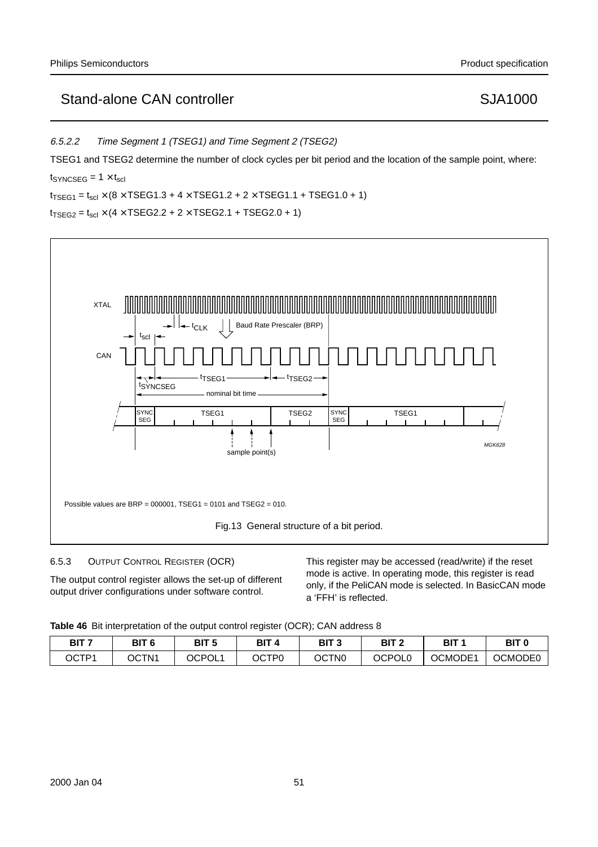6.5.2.2 Time Segment 1 (TSEG1) and Time Segment 2 (TSEG2) TSEG1 and TSEG2 determine the number of clock cycles per bit period and the location of the sample point, where:  $t_{SYNCSEG}$  = 1  $\times$   $t_{scl}$  $t_{TSEG1} = t_{scl} \times (8 \times TSEG1.3 + 4 \times TSEG1.2 + 2 \times TSEG1.1 + TSEG1.0 + 1)$  $t_{TSEG2} = t_{scl} \times (4 \times TSEG2.2 + 2 \times TSEG2.1 + TSEG2.0 + 1)$ 



### 6.5.3 OUTPUT CONTROL REGISTER (OCR)

The output control register allows the set-up of different output driver configurations under software control.

This register may be accessed (read/write) if the reset mode is active. In operating mode, this register is read only, if the PeliCAN mode is selected. In BasicCAN mode a 'FFH' is reflected.

|  | Table 46 Bit interpretation of the output control register (OCR); CAN address 8 |  |  |  |  |
|--|---------------------------------------------------------------------------------|--|--|--|--|
|  |                                                                                 |  |  |  |  |

| BIT <sub>7</sub> | BIT <sub>6</sub> | BIT 5  | <b>BIT</b> | BIT <sub>3</sub> | BIT 2  | BIT 1   | <b>BIT 0</b> |
|------------------|------------------|--------|------------|------------------|--------|---------|--------------|
| OCTP1            | OCTN1            | OCPOL1 | OCTP0      | OCTN0            | OCPOL0 | OCMODE1 | OCMODE0      |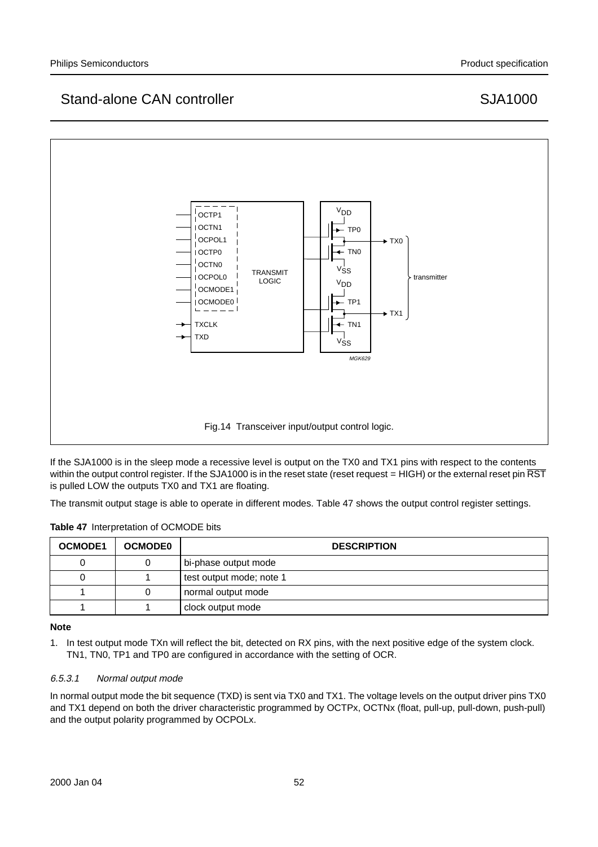

If the SJA1000 is in the sleep mode a recessive level is output on the TX0 and TX1 pins with respect to the contents within the output control register. If the SJA1000 is in the reset state (reset request  $=$  HIGH) or the external reset pin  $\overline{\text{RST}}$ is pulled LOW the outputs TX0 and TX1 are floating.

The transmit output stage is able to operate in different modes. Table 47 shows the output control register settings.

| <b>OCMODE1</b> | <b>OCMODE0</b> | <b>DESCRIPTION</b>       |  |  |  |
|----------------|----------------|--------------------------|--|--|--|
|                |                | bi-phase output mode     |  |  |  |
|                |                | test output mode; note 1 |  |  |  |
|                |                | normal output mode       |  |  |  |
|                |                | clock output mode        |  |  |  |

#### **Note**

1. In test output mode TXn will reflect the bit, detected on RX pins, with the next positive edge of the system clock. TN1, TN0, TP1 and TP0 are configured in accordance with the setting of OCR.

#### 6.5.3.1 Normal output mode

In normal output mode the bit sequence (TXD) is sent via TX0 and TX1. The voltage levels on the output driver pins TX0 and TX1 depend on both the driver characteristic programmed by OCTPx, OCTNx (float, pull-up, pull-down, push-pull) and the output polarity programmed by OCPOLx.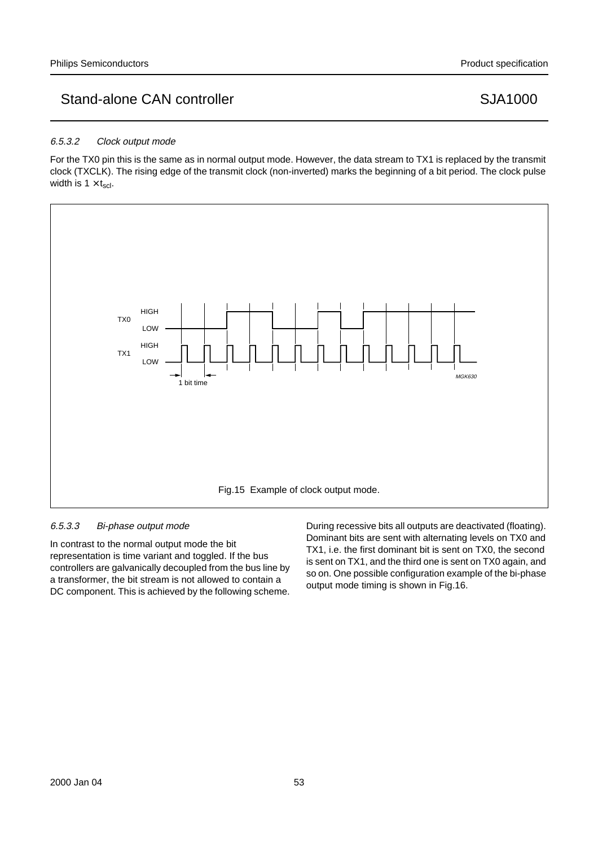#### 6.5.3.2 Clock output mode

For the TX0 pin this is the same as in normal output mode. However, the data stream to TX1 is replaced by the transmit clock (TXCLK). The rising edge of the transmit clock (non-inverted) marks the beginning of a bit period. The clock pulse width is  $1 \times t_{\rm scl}$ .



#### 6.5.3.3 Bi-phase output mode

In contrast to the normal output mode the bit representation is time variant and toggled. If the bus controllers are galvanically decoupled from the bus line by a transformer, the bit stream is not allowed to contain a DC component. This is achieved by the following scheme.

During recessive bits all outputs are deactivated (floating). Dominant bits are sent with alternating levels on TX0 and TX1, i.e. the first dominant bit is sent on TX0, the second is sent on TX1, and the third one is sent on TX0 again, and so on. One possible configuration example of the bi-phase output mode timing is shown in Fig.16.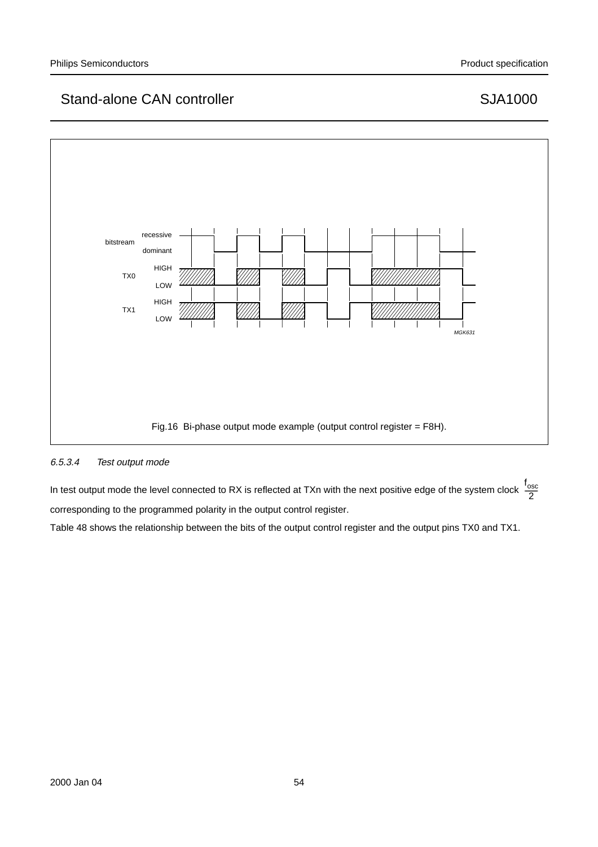

### 6.5.3.4 Test output mode

In test output mode the level connected to RX is reflected at TXn with the next positive edge of the system clock  $\frac{f_{osc}}{2}$ corresponding to the programmed polarity in the output control register.  $\frac{1}{2}$ 

Table 48 shows the relationship between the bits of the output control register and the output pins TX0 and TX1.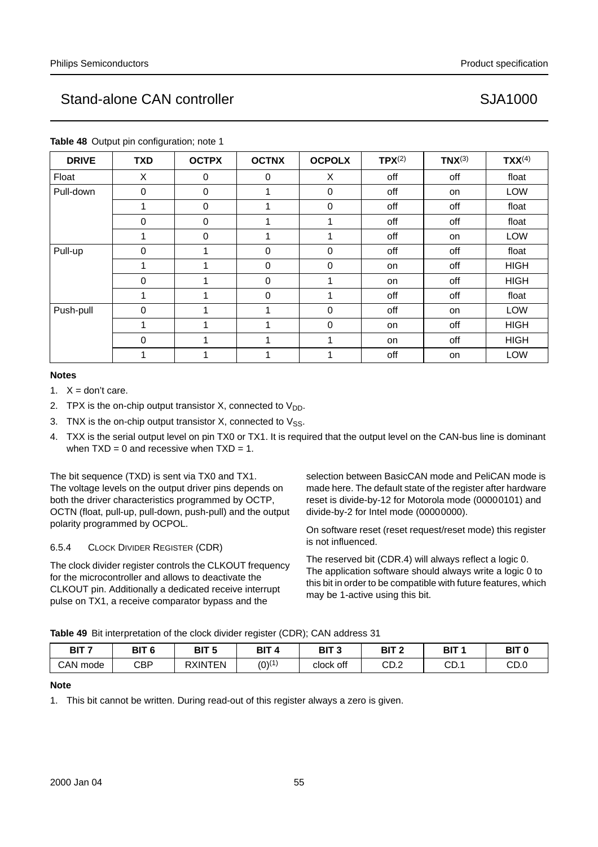| <b>DRIVE</b> | . .<br>ັ<br><b>TXD</b> | <b>OCTPX</b> | <b>OCTNX</b> | <b>OCPOLX</b> | $TPX^{(2)}$ | $TN^{(3)}$ | $TXX^{(4)}$ |
|--------------|------------------------|--------------|--------------|---------------|-------------|------------|-------------|
| Float        | X                      | $\mathbf 0$  | $\mathbf 0$  | X             | off         | off        | float       |
| Pull-down    | 0                      | $\mathbf 0$  |              | 0             | off         | on         | <b>LOW</b>  |
|              | 1                      | $\mathbf 0$  | 4            | 0             | off         | off        | float       |
|              | 0                      | 0            | 1            | 1             | off         | off        | float       |
|              | 1                      | $\mathbf 0$  | 1            | 1             | off         | on         | <b>LOW</b>  |
| Pull-up      | 0                      |              | $\mathbf 0$  | $\mathbf 0$   | off         | off        | float       |
|              |                        |              | 0            | 0             | on          | off        | <b>HIGH</b> |
|              | 0                      |              | $\mathbf 0$  | 1             | on          | off        | <b>HIGH</b> |
|              | 1                      |              | $\mathbf 0$  | 1             | off         | off        | float       |
| Push-pull    | 0                      |              | 4            | 0             | off         | on         | LOW         |
|              | 1                      |              |              | 0             | on          | off        | <b>HIGH</b> |
|              | 0                      |              |              | 1             | on          | off        | <b>HIGH</b> |
|              | 1                      |              |              | 1             | off         | on         | LOW         |

**Table 48** Output pin configuration; note 1

#### **Notes**

- 1.  $X =$  don't care.
- 2. TPX is the on-chip output transistor X, connected to  $V_{DD}$ .
- 3. TNX is the on-chip output transistor X, connected to  $V_{SS}$ .
- 4. TXX is the serial output level on pin TX0 or TX1. It is required that the output level on the CAN-bus line is dominant when  $TXD = 0$  and recessive when  $TXD = 1$ .

The bit sequence (TXD) is sent via TX0 and TX1. The voltage levels on the output driver pins depends on both the driver characteristics programmed by OCTP, OCTN (float, pull-up, pull-down, push-pull) and the output polarity programmed by OCPOL.

#### 6.5.4 CLOCK DIVIDER REGISTER (CDR)

The clock divider register controls the CLKOUT frequency for the microcontroller and allows to deactivate the CLKOUT pin. Additionally a dedicated receive interrupt pulse on TX1, a receive comparator bypass and the

selection between BasicCAN mode and PeliCAN mode is made here. The default state of the register after hardware reset is divide-by-12 for Motorola mode (00000101) and divide-by-2 for Intel mode (00000000).

On software reset (reset request/reset mode) this register is not influenced.

The reserved bit (CDR.4) will always reflect a logic 0. The application software should always write a logic 0 to this bit in order to be compatible with future features, which may be 1-active using this bit.

**Table 49** Bit interpretation of the clock divider register (CDR); CAN address 31

| BIT <sub>7</sub> | BIT <sub>6</sub> | BIT <sub>5</sub> | OIT.<br>51. | BIT <sub>3</sub> | BIT <sub>2</sub> | BIT         | BIT <sub>0</sub> |
|------------------|------------------|------------------|-------------|------------------|------------------|-------------|------------------|
| CAN mode         | CBP              | <b>RXINTEN</b>   | $(0)^{(1)}$ | clock off        | $\cap$<br>∪U.Z   | ∩n<br>◡◡. . | CD.0             |

#### **Note**

1. This bit cannot be written. During read-out of this register always a zero is given.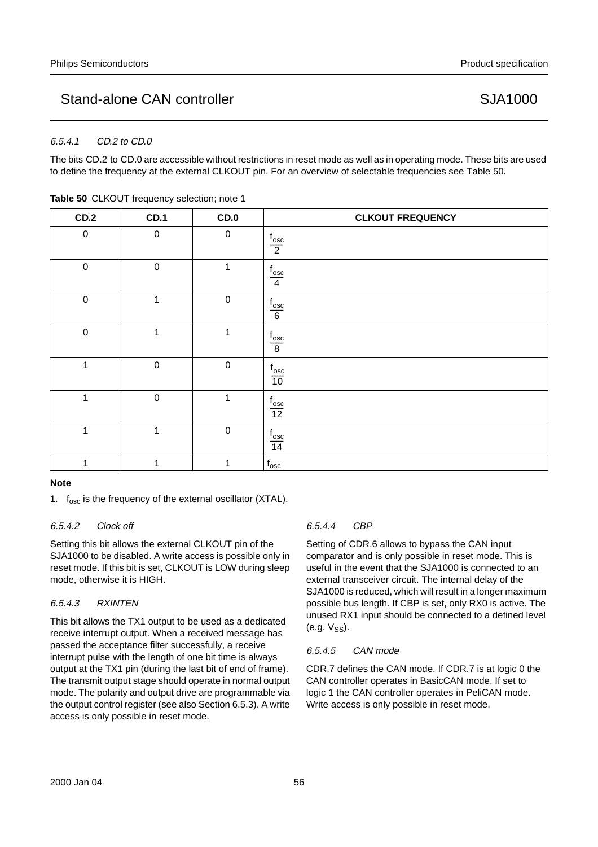### 6.5.4.1 CD.2 to CD.0

The bits CD.2 to CD.0 are accessible without restrictions in reset mode as well as in operating mode. These bits are used to define the frequency at the external CLKOUT pin. For an overview of selectable frequencies see Table 50.

| CD.2             | CD.1         | CD.0             | <b>CLKOUT FREQUENCY</b>     |
|------------------|--------------|------------------|-----------------------------|
| $\boldsymbol{0}$ | $\pmb{0}$    | $\boldsymbol{0}$ | $\frac{f_{\text{osc}}}{2}$  |
| $\pmb{0}$        | $\pmb{0}$    | $\mathbf{1}$     | $\frac{f_{\text{osc}}}{4}$  |
| $\pmb{0}$        | $\mathbf{1}$ | $\boldsymbol{0}$ | $\frac{f_{\text{osc}}}{6}$  |
| $\pmb{0}$        | 1            | 1                | $\frac{f_{\text{osc}}}{8}$  |
| 1                | $\pmb{0}$    | $\mathbf 0$      | $\frac{f_{\text{osc}}}{10}$ |
| 1                | $\pmb{0}$    | 1                | $\frac{f_{\rm osc}}{12}$    |
| 1                | 1            | $\mathbf 0$      | $\frac{f_{\text{osc}}}{14}$ |
| 1                | 1            | $\mathbf{1}$     | $f_{\rm osc}$               |

**Table 50** CLKOUT frequency selection; note 1

#### **Note**

1.  $f_{\text{osc}}$  is the frequency of the external oscillator (XTAL).

### 6.5.4.2 Clock off

Setting this bit allows the external CLKOUT pin of the SJA1000 to be disabled. A write access is possible only in reset mode. If this bit is set, CLKOUT is LOW during sleep mode, otherwise it is HIGH.

#### 6.5.4.3 RXINTEN

This bit allows the TX1 output to be used as a dedicated receive interrupt output. When a received message has passed the acceptance filter successfully, a receive interrupt pulse with the length of one bit time is always output at the TX1 pin (during the last bit of end of frame). The transmit output stage should operate in normal output mode. The polarity and output drive are programmable via the output control register (see also Section 6.5.3). A write access is only possible in reset mode.

### 6.5.4.4 CBP

Setting of CDR.6 allows to bypass the CAN input comparator and is only possible in reset mode. This is useful in the event that the SJA1000 is connected to an external transceiver circuit. The internal delay of the SJA1000 is reduced, which will result in a longer maximum possible bus length. If CBP is set, only RX0 is active. The unused RX1 input should be connected to a defined level  $(e.g. V<sub>SS</sub>)$ .

#### 6.5.4.5 CAN mode

CDR.7 defines the CAN mode. If CDR.7 is at logic 0 the CAN controller operates in BasicCAN mode. If set to logic 1 the CAN controller operates in PeliCAN mode. Write access is only possible in reset mode.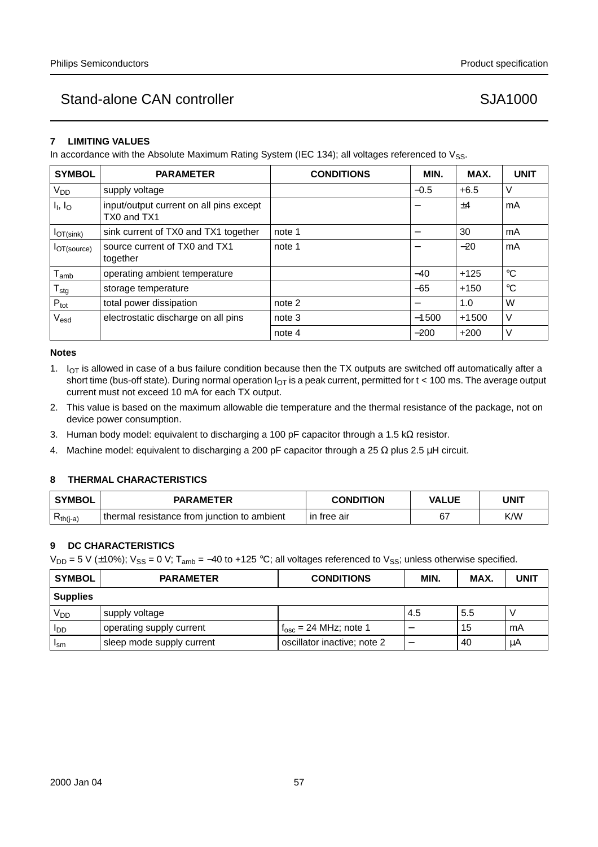### **7 LIMITING VALUES**

In accordance with the Absolute Maximum Rating System (IEC 134); all voltages referenced to  $V_{SS}$ .

| <b>SYMBOL</b>                   | <b>PARAMETER</b>                                       | <b>CONDITIONS</b> | MIN.    | MAX.    | <b>UNIT</b> |
|---------------------------------|--------------------------------------------------------|-------------------|---------|---------|-------------|
| <b>V<sub>DD</sub></b>           | supply voltage                                         |                   | $-0.5$  | $+6.5$  | $\vee$      |
| I <sub>1</sub> , I <sub>O</sub> | input/output current on all pins except<br>TX0 and TX1 |                   |         | ±4      | mA          |
| IOT(sink)                       | sink current of TX0 and TX1 together                   | note 1            |         | 30      | mA          |
| <b>I</b> OT(source)             | source current of TX0 and TX1<br>together              | note 1            |         | $-20$   | mA          |
| $T_{\mathsf{amb}}$              | operating ambient temperature                          |                   | $-40$   | $+125$  | $^{\circ}C$ |
| $T_{\text{stg}}$                | storage temperature                                    |                   | $-65$   | $+150$  | °C          |
| $P_{\text{tot}}$                | total power dissipation                                | note 2            |         | 1.0     | W           |
| $\mathsf{V}_{\mathsf{esd}}$     | electrostatic discharge on all pins                    | note 3            | $-1500$ | $+1500$ | V           |
|                                 |                                                        | note 4            | $-200$  | $+200$  | V           |

#### **Notes**

- 1.  $I_{\text{OT}}$  is allowed in case of a bus failure condition because then the TX outputs are switched off automatically after a short time (bus-off state). During normal operation  $I_{OT}$  is a peak current, permitted for  $t < 100$  ms. The average output current must not exceed 10 mA for each TX output.
- 2. This value is based on the maximum allowable die temperature and the thermal resistance of the package, not on device power consumption.
- 3. Human body model: equivalent to discharging a 100 pF capacitor through a 1.5 kΩ resistor.
- 4. Machine model: equivalent to discharging a 200 pF capacitor through a 25  $\Omega$  plus 2.5  $\mu$ H circuit.

### **8 THERMAL CHARACTERISTICS**

| <b>SYMBOL</b> | <b>PARAMETER</b>                            | <b>CONDITION</b> | <b>VALUE</b> | UNIT |
|---------------|---------------------------------------------|------------------|--------------|------|
| $Rth(j-a)$    | thermal resistance from iunction to ambient | in free air      | 67<br>o i    | K/W  |

### **9 DC CHARACTERISTICS**

 $V_{DD}$  = 5 V (±10%);  $V_{SS}$  = 0 V; T<sub>amb</sub> = -40 to +125 °C; all voltages referenced to  $V_{SS}$ ; unless otherwise specified.

| <b>SYMBOL</b>   | <b>PARAMETER</b>          | <b>CONDITIONS</b>                               | MIN. | <b>MAX</b> | <b>UNIT</b> |
|-----------------|---------------------------|-------------------------------------------------|------|------------|-------------|
| <b>Supplies</b> |                           |                                                 |      |            |             |
| V <sub>DD</sub> | supply voltage            |                                                 | 4.5  | 5.5        |             |
| <b>I</b> DD     | operating supply current  | $\frac{1}{1}$ f <sub>osc</sub> = 24 MHz; note 1 |      | 15         | mA          |
| 'sm             | sleep mode supply current | oscillator inactive; note 2                     |      | 40         | μA          |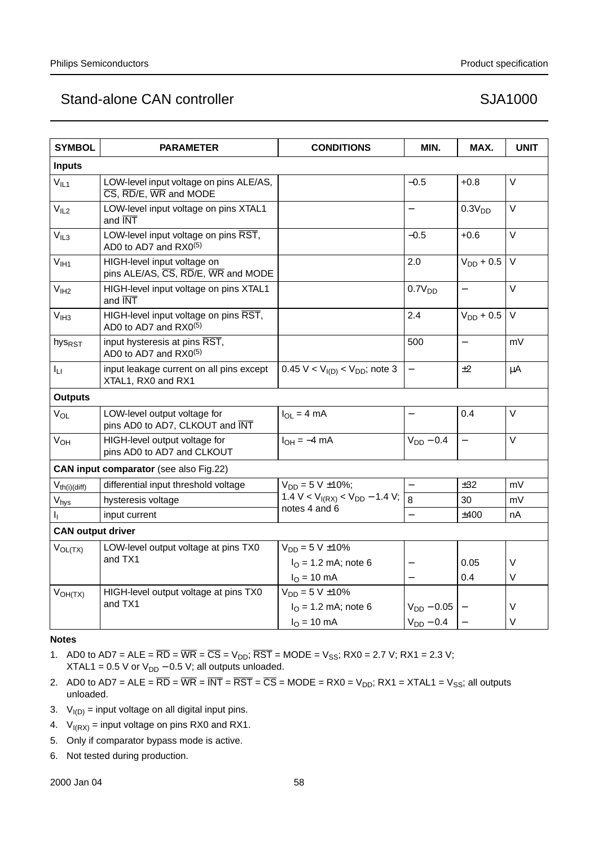| <b>SYMBOL</b>            | <b>PARAMETER</b>                                                                                                               | <b>CONDITIONS</b>                       | MIN.                     | MAX.                     | <b>UNIT</b> |
|--------------------------|--------------------------------------------------------------------------------------------------------------------------------|-----------------------------------------|--------------------------|--------------------------|-------------|
| <b>Inputs</b>            |                                                                                                                                |                                         |                          |                          |             |
| $V_{IL1}$                | LOW-level input voltage on pins ALE/AS,<br>$\overline{\text{CS}}$ , $\overline{\text{RD}}$ /E, $\overline{\text{WR}}$ and MODE |                                         | $-0.5$                   | $+0.8$                   | V           |
| V <sub>IL2</sub>         | LOW-level input voltage on pins XTAL1<br>and INT                                                                               |                                         | $\overline{\phantom{0}}$ | 0.3V <sub>DD</sub>       | V           |
| V <sub>IL3</sub>         | LOW-level input voltage on pins RST,<br>AD0 to AD7 and RX0(5)                                                                  |                                         | $-0.5$                   | $+0.6$                   | V           |
| V <sub>IH1</sub>         | HIGH-level input voltage on<br>pins ALE/AS, CS, RD/E, WR and MODE                                                              |                                         | 2.0                      | $V_{DD}$ + 0.5           | $\vee$      |
| V <sub>IH2</sub>         | HIGH-level input voltage on pins XTAL1<br>and INT                                                                              |                                         | 0.7V <sub>DD</sub>       | $\equiv$                 | V           |
| V <sub>IH3</sub>         | HIGH-level input voltage on pins RST,<br>AD0 to AD7 and RX0(5)                                                                 |                                         | 2.4                      | $V_{DD} + 0.5$           | $\vee$      |
| hys <sub>RST</sub>       | input hysteresis at pins RST,<br>AD0 to AD7 and RX0(5)                                                                         |                                         | 500                      | $\overline{\phantom{0}}$ | mV          |
| Iц                       | input leakage current on all pins except<br>XTAL1, RX0 and RX1                                                                 | $0.45 V < V_{I(D)} < V_{DD}$ ; note 3   | $\equiv$                 | ±2                       | μA          |
| <b>Outputs</b>           |                                                                                                                                |                                         |                          |                          |             |
| $V_{OL}$                 | LOW-level output voltage for<br>pins AD0 to AD7, CLKOUT and INT                                                                | $I_{OL} = 4 mA$                         | $\equiv$                 | 0.4                      | V           |
| V <sub>OH</sub>          | HIGH-level output voltage for<br>pins AD0 to AD7 and CLKOUT                                                                    | $I_{OH} = -4$ mA                        | $V_{DD} - 0.4$           | $\overline{\phantom{0}}$ | V           |
|                          | CAN input comparator (see also Fig.22)                                                                                         |                                         |                          |                          |             |
| $V_{th(i)(diff)}$        | differential input threshold voltage                                                                                           | $V_{DD} = 5 V \pm 10\%$ ;               |                          | ±32                      | mV          |
| $V_{\text{hys}}$         | hysteresis voltage                                                                                                             | 1.4 V < $V_{I(RX)}$ < $V_{DD}$ – 1.4 V; | 8                        | 30                       | mV          |
| h.                       | input current                                                                                                                  | notes 4 and 6                           | $\frac{1}{2}$            | $\pm 400$                | nA          |
| <b>CAN output driver</b> |                                                                                                                                |                                         |                          |                          |             |
| $V_{OL(TX)}$             | LOW-level output voltage at pins TX0                                                                                           | $V_{DD} = 5 V \pm 10\%$                 |                          |                          |             |
|                          | and TX1                                                                                                                        | $I_{\Omega}$ = 1.2 mA; note 6           | $\qquad \qquad -$        | 0.05                     | V           |
|                          |                                                                                                                                | $IO = 10 mA$                            |                          | 0.4                      | V           |
| $V_{OH(TX)}$             | HIGH-level output voltage at pins TX0                                                                                          | $V_{DD} = 5 V \pm 10\%$                 |                          |                          |             |
|                          | and TX1                                                                                                                        | $I_{\Omega}$ = 1.2 mA; note 6           | $V_{DD} - 0.05$          |                          | V           |
|                          |                                                                                                                                | $I_{O} = 10$ mA                         | $V_{DD}$ – 0.4           |                          | V           |

#### **Notes**

1. AD0 to AD7 = ALE =  $\overline{RD}$  =  $\overline{WR}$  =  $\overline{CS}$  =  $V_{DD}$ ;  $\overline{RST}$  = MODE =  $V_{SS}$ ; RX0 = 2.7 V; RX1 = 2.3 V; XTAL1 =  $0.5$  V or  $V_{DD}$  –  $0.5$  V; all outputs unloaded.

- 2. AD0 to AD7 = ALE =  $\overline{RD}$  =  $\overline{WR}$  =  $\overline{INT}$  =  $\overline{RST}$  =  $\overline{CS}$  = MODE = RX0 =  $V_{DD}$ ; RX1 = XTAL1 =  $V_{SS}$ ; all outputs unloaded.
- 3.  $V_{I(D)} = input voltage on all digital input pins.$
- 4.  $V_{I(RX)} = input voltage on pins RX0 and RX1.$
- 5. Only if comparator bypass mode is active.
- 6. Not tested during production.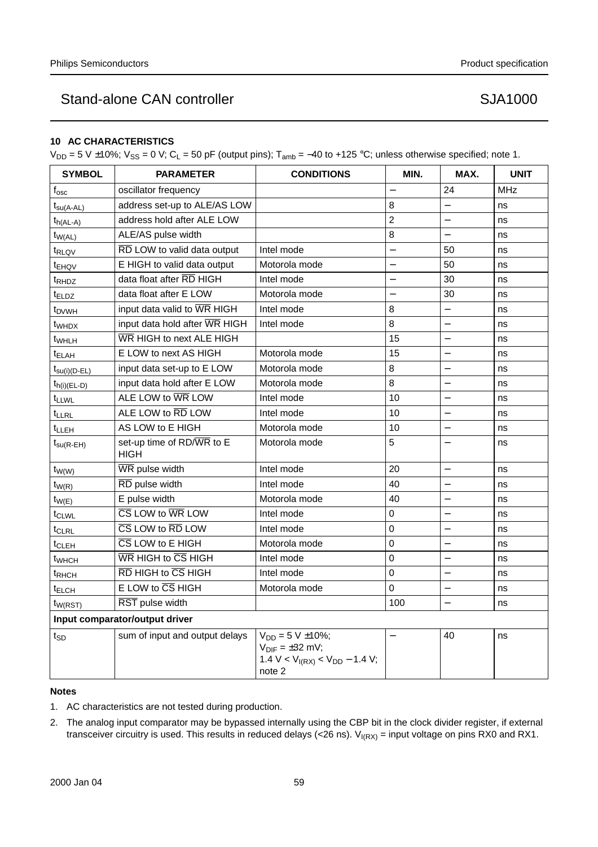### **10 AC CHARACTERISTICS**

 $V_{DD} = 5$  V ±10%;  $V_{SS} = 0$  V; C<sub>L</sub> = 50 pF (output pins); T<sub>amb</sub> = -40 to +125 °C; unless otherwise specified; note 1.

| <b>SYMBOL</b>                  | <b>PARAMETER</b>                                           | <b>CONDITIONS</b>                                                                                               | MIN.                     | MAX.                     | <b>UNIT</b> |  |
|--------------------------------|------------------------------------------------------------|-----------------------------------------------------------------------------------------------------------------|--------------------------|--------------------------|-------------|--|
| $\mathsf{f}_\text{osc}$        | oscillator frequency                                       |                                                                                                                 |                          | 24                       | <b>MHz</b>  |  |
| t <sub>su(A-AL)</sub>          | address set-up to ALE/AS LOW                               |                                                                                                                 | 8                        | $\overline{a}$           | ns          |  |
| $t_{h(AL-A)}$                  | address hold after ALE LOW                                 |                                                                                                                 | $\overline{2}$           |                          | ns          |  |
| $t_{W(AL)}$                    | ALE/AS pulse width                                         |                                                                                                                 | 8                        |                          | ns          |  |
| t <sub>RLQV</sub>              | RD LOW to valid data output                                | Intel mode                                                                                                      | $\overline{\phantom{0}}$ | 50                       | ns          |  |
| t <sub>EHQV</sub>              | E HIGH to valid data output                                | Motorola mode                                                                                                   |                          | 50                       | ns          |  |
| t <sub>RHDZ</sub>              | data float after RD HIGH                                   | Intel mode                                                                                                      | $\overline{\phantom{0}}$ | 30                       | ns          |  |
| t <sub>ELDZ</sub>              | data float after E LOW                                     | Motorola mode                                                                                                   | $\overline{a}$           | 30                       | ns          |  |
| t <sub>DVWH</sub>              | input data valid to WR HIGH                                | Intel mode                                                                                                      | 8                        |                          | ns          |  |
| t <sub>WHDX</sub>              | input data hold after WR HIGH                              | Intel mode                                                                                                      | 8                        |                          | ns          |  |
| t <sub>WHLH</sub>              | WR HIGH to next ALE HIGH                                   |                                                                                                                 | 15                       | $\equiv$                 | ns          |  |
| t <sub>ELAH</sub>              | E LOW to next AS HIGH                                      | Motorola mode                                                                                                   | 15                       |                          | ns          |  |
| $t_{\text{su}(i)(D-EL)}$       | input data set-up to E LOW                                 | Motorola mode                                                                                                   | 8                        | $\overline{\phantom{0}}$ | ns          |  |
| $t_{h(i)(EL-D)}$               | input data hold after E LOW                                | Motorola mode                                                                                                   | 8                        | $\equiv$                 | ns          |  |
| t <sub>LLWL</sub>              | ALE LOW to WR LOW                                          | Intel mode                                                                                                      | 10                       |                          | ns          |  |
| <b>t</b> LLRL                  | ALE LOW to RD LOW                                          | Intel mode                                                                                                      | 10                       | $\overline{\phantom{0}}$ | ns          |  |
| $t_{LLEH}$                     | AS LOW to E HIGH                                           | Motorola mode                                                                                                   | 10                       | $\overline{a}$           | ns          |  |
| $t_{\text{su(R-EH)}}$          | set-up time of RD/WR to E<br><b>HIGH</b>                   | Motorola mode                                                                                                   | 5                        |                          | ns          |  |
| $t_{W(W)}$                     | WR pulse width                                             | Intel mode                                                                                                      | 20                       | $\overline{\phantom{0}}$ | ns          |  |
| $t_{W(R)}$                     | $\overline{\text{RD}}$ pulse width                         | Intel mode                                                                                                      | 40                       |                          | ns          |  |
| $t_{W(E)}$                     | E pulse width                                              | Motorola mode                                                                                                   | 40                       | $\overline{\phantom{0}}$ | ns          |  |
| t <sub>CLWL</sub>              | CS LOW to WR LOW                                           | Intel mode                                                                                                      | $\Omega$                 |                          | ns          |  |
| t <sub>CLRL</sub>              | $\overline{\text{CS}}$ LOW to $\overline{\text{RD}}$ LOW   | Intel mode                                                                                                      | $\Omega$                 |                          | ns          |  |
| t <sub>CLEH</sub>              | CS LOW to E HIGH                                           | Motorola mode                                                                                                   | 0                        |                          | ns          |  |
| t <sub>WHCH</sub>              | $\overline{\text{WR}}$ HIGH to $\overline{\text{CS}}$ HIGH | Intel mode                                                                                                      | $\overline{0}$           |                          | ns          |  |
| t <sub>RHCH</sub>              | $\overline{\text{RD}}$ HIGH to $\overline{\text{CS}}$ HIGH | Intel mode                                                                                                      | $\Omega$                 |                          | ns          |  |
| t <sub>ELCH</sub>              | $E$ LOW to $\overline{CS}$ HIGH                            | Motorola mode                                                                                                   | 0                        | $\overline{\phantom{0}}$ | ns          |  |
| $t_{W(RST)}$                   | RST pulse width                                            |                                                                                                                 | 100                      |                          | ns          |  |
| Input comparator/output driver |                                                            |                                                                                                                 |                          |                          |             |  |
| $t_{SD}$                       | sum of input and output delays                             | $V_{DD} = 5 V \pm 10\%$ ;<br>$V_{\text{DIF}} = \pm 32$ mV;<br>1.4 V < $V_{I(RX)}$ < $V_{DD}$ – 1.4 V;<br>note 2 |                          | 40                       | ns          |  |

#### **Notes**

1. AC characteristics are not tested during production.

2. The analog input comparator may be bypassed internally using the CBP bit in the clock divider register, if external transceiver circuitry is used. This results in reduced delays (<26 ns).  $V_{I(RX)}$  = input voltage on pins RX0 and RX1.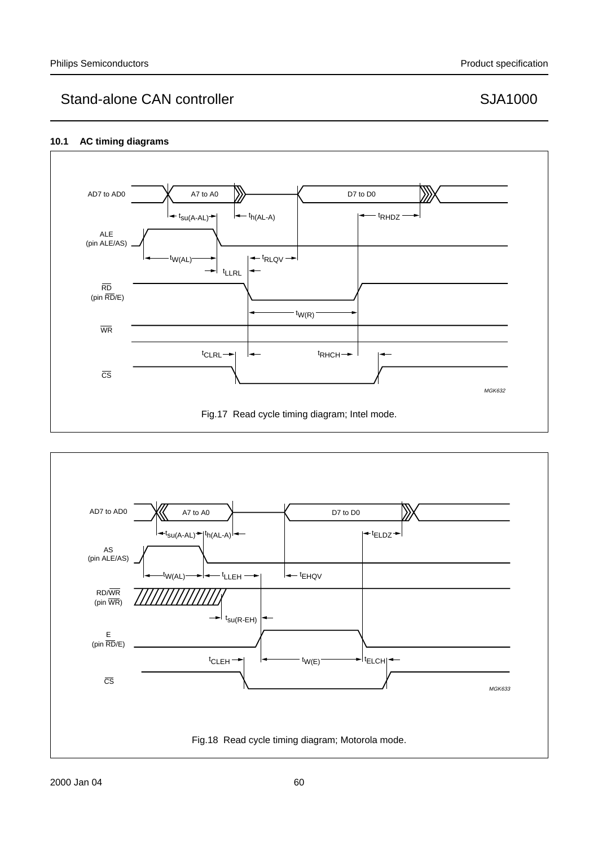## Stand-alone CAN controller SJA1000

### **10.1 AC timing diagrams**



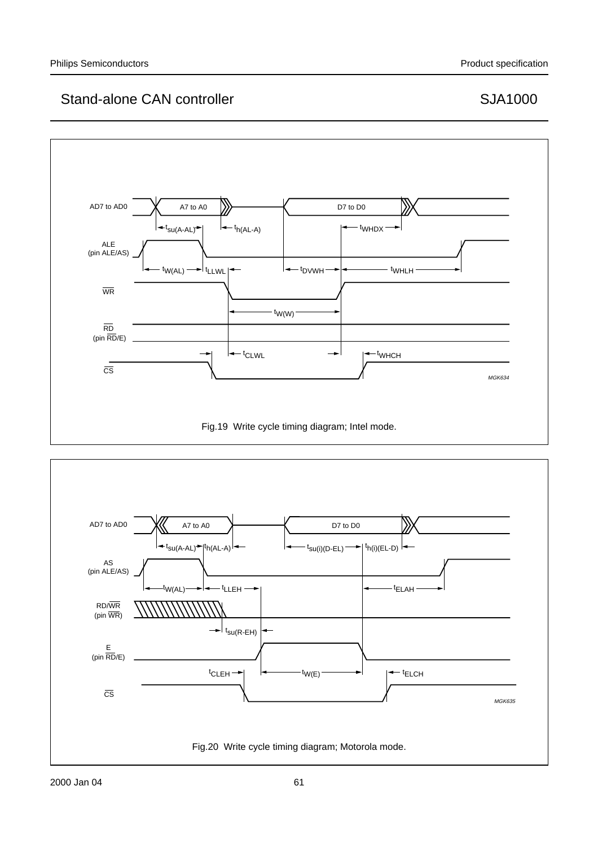## Stand-alone CAN controller SJA1000



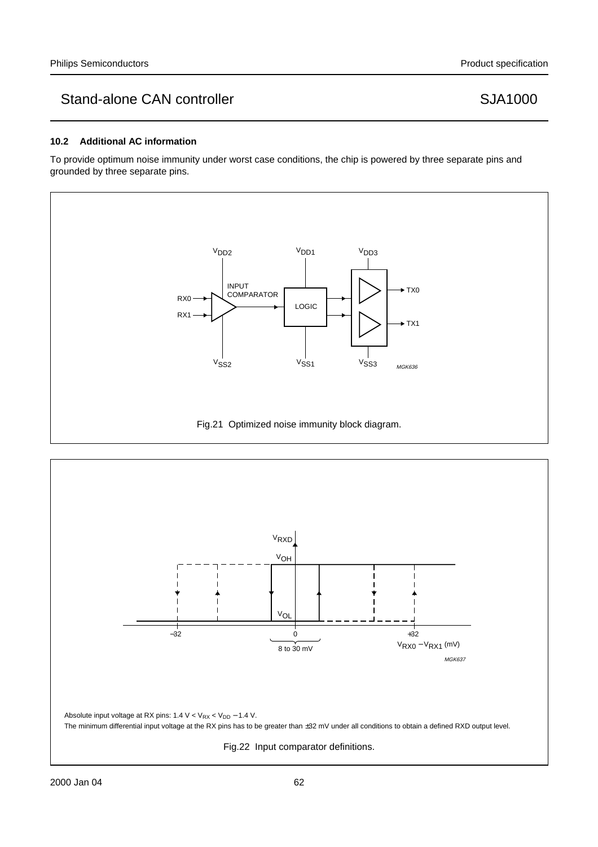#### **10.2 Additional AC information**

To provide optimum noise immunity under worst case conditions, the chip is powered by three separate pins and grounded by three separate pins.



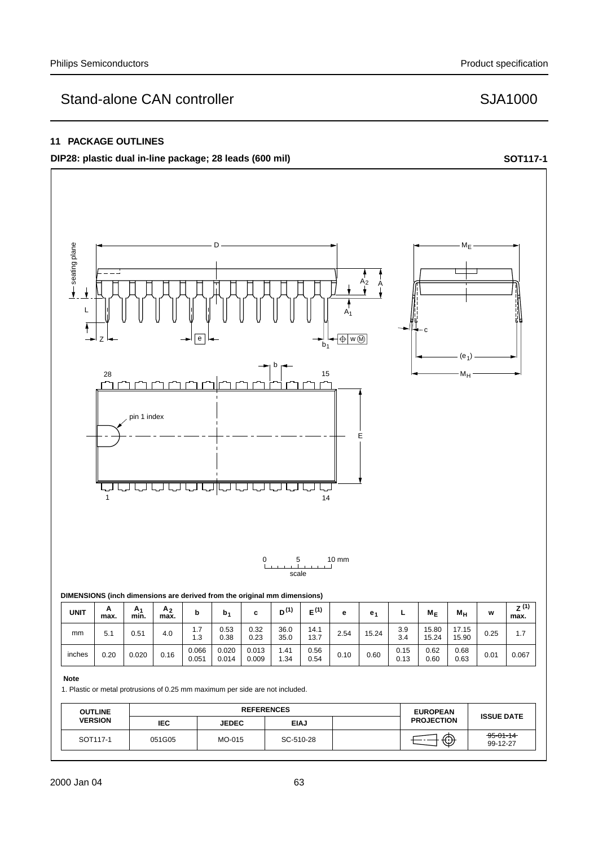### **11 PACKAGE OUTLINES**

**DIP28:** plastic dual in-line package; 28 leads (600 mil) **handbook**, full pagewidth **SOT117-1** 



#### **Note**

1. Plastic or metal protrusions of 0.25 mm maximum per side are not included.

| <b>OUTLINE</b> | <b>REFERENCES</b> |              |             | <b>EUROPEAN</b> |                   |                             |
|----------------|-------------------|--------------|-------------|-----------------|-------------------|-----------------------------|
| <b>VERSION</b> | <b>IEC</b>        | <b>JEDEC</b> | <b>EIAJ</b> |                 | <b>PROJECTION</b> | <b>ISSUE DATE</b>           |
| SOT117-1       | 051G05            | MO-015       | SC-510-28   |                 | $\circledcirc$    | $-95 - 01 - 14$<br>99-12-27 |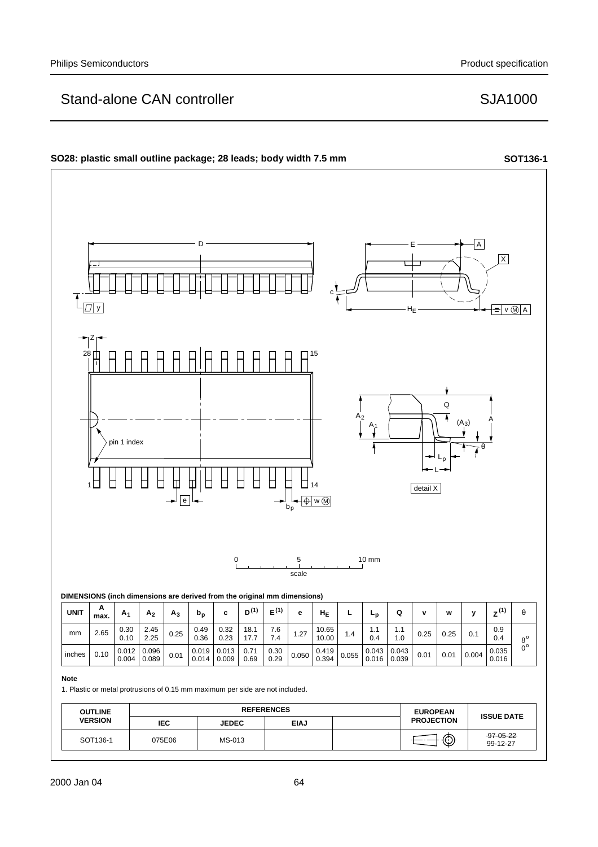#### **SO28: plastic small outline package; 28 leads; body width 7.5 mm <b>SOT136-1** SOT136-1  $\Box$ E A X c  $\overline{\mathrm{L}_\mathrm{m}}$ y  $=$   $\sqrt{M/A}$  $H_E$ Z 15 28  $\Omega$  $A_2$ ₮ A  $(A_2)$  $A_1$ pin 1 index θ Lp L Г Г 14 1 detail X  $\overline{\bigoplus}$  w  $\overline{\bigoplus}$ e  $b_p$ 0 5 10 mm scale **DIMENSIONS (inch dimensions are derived from the original mm dimensions)** UNIT  $\begin{bmatrix} A \\ max \end{bmatrix}$ **max. A1 A2 A3 bp c D(1) <sup>E</sup>(1) (1) e HE L Lp <sup>Q</sup> <sup>v</sup> <sup>w</sup> <sup>y</sup> <sup>Z</sup>** <sup>θ</sup>  $2.65 \begin{array}{|c|c|} 0.30 \end{array}$ 2.45 0.49 0.32 18.1 7.6 1.1 1.1 0.9 7.4 1.27 10.65 10.00 mm 0.25 1.4 0.25  $0.25$  0.1  $8^{\circ}$ 0.10 2.25 0.36 0.23 17.7 0.4 1.0  $0.4$  $0.035$  $0^{\circ}$  $0.10 \begin{array}{|c|c|} 0.012 \\ 0.004 \end{array}$ 0.096 0.019 0.013 0.71 0.30  $0.419 \Big| 0.055$  $\begin{array}{|c|c|c|c|c|c|c|c|c|} \hline 0.043 & 0.043 & 0.01 & 0.004 \ \hline 0.016 & 0.039 & 0.01 & 0.01 & \hline \end{array}$ 0.043 inches  $\begin{array}{c|c} 0.30 & 0.050 \\ 0.29 & \end{array}$  $0.01 \mid 0.004 \mid_{0.016}^{0.035}$ 0.016 0.01  $0.014$ 0.009  $0.69$  $0.394$ 0.039 0.004 0.089 **Note** 1. Plastic or metal protrusions of 0.15 mm maximum per side are not included.

| <b>OUTLINE</b> | <b>REFERENCES</b> |              |             | <b>EUROPEAN</b> | <b>ISSUE DATE</b> |                             |
|----------------|-------------------|--------------|-------------|-----------------|-------------------|-----------------------------|
| <b>VERSION</b> | <b>IEC</b>        | <b>JEDEC</b> | <b>EIAJ</b> |                 | <b>PROJECTION</b> |                             |
| SOT136-1       | 075E06            | MS-013       |             |                 | $\circledcirc$    | $-97 - 05 - 22$<br>99-12-27 |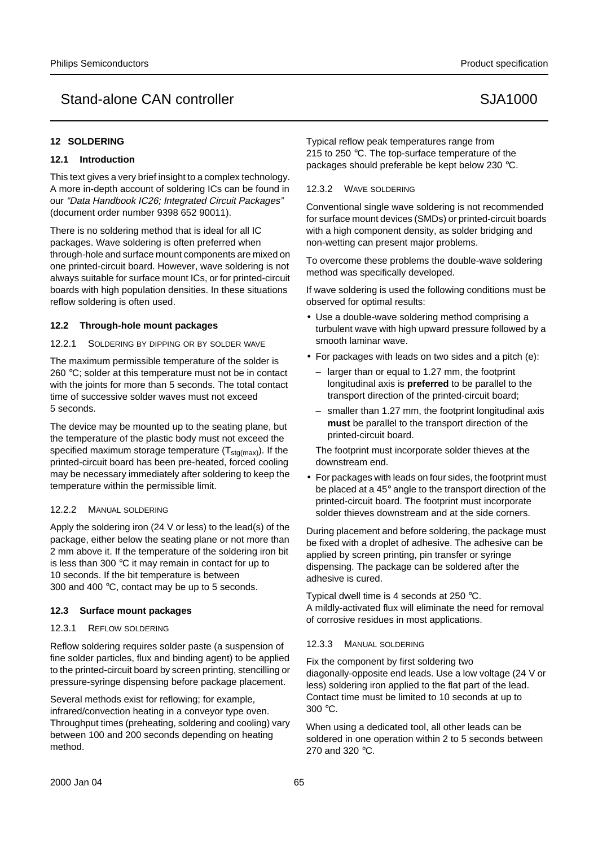#### **12 SOLDERING**

### **12.1 Introduction**

This text gives a very brief insight to a complex technology. A more in-depth account of soldering ICs can be found in our "Data Handbook IC26; Integrated Circuit Packages" (document order number 9398 652 90011).

There is no soldering method that is ideal for all IC packages. Wave soldering is often preferred when through-hole and surface mount components are mixed on one printed-circuit board. However, wave soldering is not always suitable for surface mount ICs, or for printed-circuit boards with high population densities. In these situations reflow soldering is often used.

#### **12.2 Through-hole mount packages**

#### 12.2.1 SOLDERING BY DIPPING OR BY SOLDER WAVE

The maximum permissible temperature of the solder is 260 °C; solder at this temperature must not be in contact with the joints for more than 5 seconds. The total contact time of successive solder waves must not exceed 5 seconds.

The device may be mounted up to the seating plane, but the temperature of the plastic body must not exceed the specified maximum storage temperature  $(T<sub>sta(max)</sub>)$ . If the printed-circuit board has been pre-heated, forced cooling may be necessary immediately after soldering to keep the temperature within the permissible limit.

#### 12.2.2 MANUAL SOLDERING

Apply the soldering iron (24 V or less) to the lead(s) of the package, either below the seating plane or not more than 2 mm above it. If the temperature of the soldering iron bit is less than 300 °C it may remain in contact for up to 10 seconds. If the bit temperature is between 300 and 400 °C, contact may be up to 5 seconds.

#### **12.3 Surface mount packages**

#### 12.3.1 REFLOW SOLDERING

Reflow soldering requires solder paste (a suspension of fine solder particles, flux and binding agent) to be applied to the printed-circuit board by screen printing, stencilling or pressure-syringe dispensing before package placement.

Several methods exist for reflowing; for example, infrared/convection heating in a conveyor type oven. Throughput times (preheating, soldering and cooling) vary between 100 and 200 seconds depending on heating method.

Typical reflow peak temperatures range from 215 to 250 °C. The top-surface temperature of the packages should preferable be kept below 230 °C.

#### 12.3.2 WAVE SOLDERING

Conventional single wave soldering is not recommended for surface mount devices (SMDs) or printed-circuit boards with a high component density, as solder bridging and non-wetting can present major problems.

To overcome these problems the double-wave soldering method was specifically developed.

If wave soldering is used the following conditions must be observed for optimal results:

- Use a double-wave soldering method comprising a turbulent wave with high upward pressure followed by a smooth laminar wave.
- For packages with leads on two sides and a pitch (e):
	- larger than or equal to 1.27 mm, the footprint longitudinal axis is **preferred** to be parallel to the transport direction of the printed-circuit board;
	- smaller than 1.27 mm, the footprint longitudinal axis **must** be parallel to the transport direction of the printed-circuit board.

The footprint must incorporate solder thieves at the downstream end.

• For packages with leads on four sides, the footprint must be placed at a 45° angle to the transport direction of the printed-circuit board. The footprint must incorporate solder thieves downstream and at the side corners.

During placement and before soldering, the package must be fixed with a droplet of adhesive. The adhesive can be applied by screen printing, pin transfer or syringe dispensing. The package can be soldered after the adhesive is cured.

Typical dwell time is 4 seconds at 250 °C. A mildly-activated flux will eliminate the need for removal of corrosive residues in most applications.

#### 12.3.3 MANUAL SOLDERING

Fix the component by first soldering two diagonally-opposite end leads. Use a low voltage (24 V or less) soldering iron applied to the flat part of the lead. Contact time must be limited to 10 seconds at up to 300 °C.

When using a dedicated tool, all other leads can be soldered in one operation within 2 to 5 seconds between 270 and 320 °C.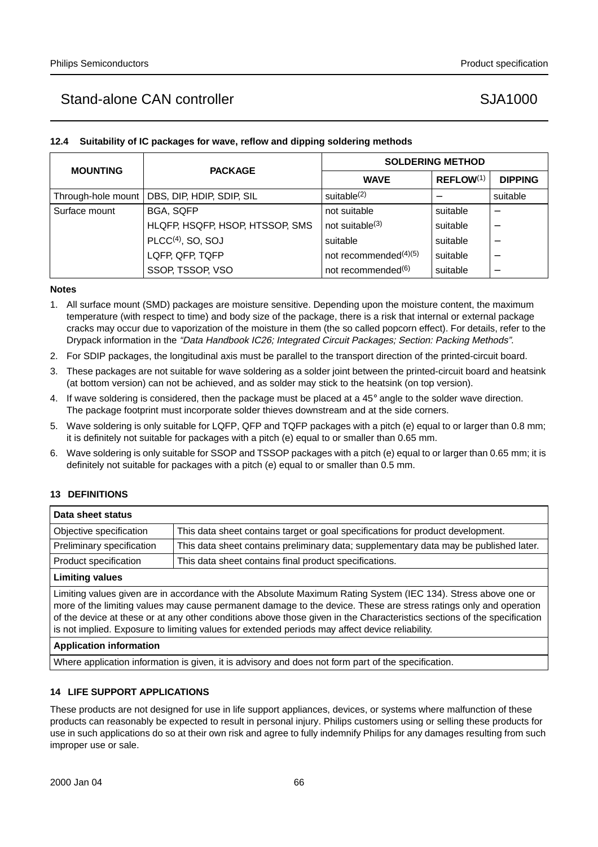### **12.4 Suitability of IC packages for wave, reflow and dipping soldering methods**

| <b>MOUNTING</b>    | <b>PACKAGE</b>                  | <b>SOLDERING METHOD</b>        |                       |                |  |
|--------------------|---------------------------------|--------------------------------|-----------------------|----------------|--|
|                    |                                 | <b>WAVE</b>                    | REFLOW <sup>(1)</sup> | <b>DIPPING</b> |  |
| Through-hole mount | DBS, DIP, HDIP, SDIP, SIL       | suitable <sup>(2)</sup>        |                       | suitable       |  |
| Surface mount      | <b>BGA, SQFP</b>                | not suitable                   | suitable              |                |  |
|                    | HLQFP, HSQFP, HSOP, HTSSOP, SMS | not suitable $(3)$             | suitable              |                |  |
|                    | $PLCC(4)$ , SO, SOJ             | suitable                       | suitable              |                |  |
|                    | LQFP, QFP, TQFP                 | not recommended $(4)(5)$       | suitable              |                |  |
|                    | SSOP, TSSOP, VSO                | not recommended <sup>(6)</sup> | suitable              |                |  |

#### **Notes**

- 1. All surface mount (SMD) packages are moisture sensitive. Depending upon the moisture content, the maximum temperature (with respect to time) and body size of the package, there is a risk that internal or external package cracks may occur due to vaporization of the moisture in them (the so called popcorn effect). For details, refer to the Drypack information in the "Data Handbook IC26; Integrated Circuit Packages; Section: Packing Methods".
- 2. For SDIP packages, the longitudinal axis must be parallel to the transport direction of the printed-circuit board.
- 3. These packages are not suitable for wave soldering as a solder joint between the printed-circuit board and heatsink (at bottom version) can not be achieved, and as solder may stick to the heatsink (on top version).
- 4. If wave soldering is considered, then the package must be placed at a  $45^{\circ}$  angle to the solder wave direction. The package footprint must incorporate solder thieves downstream and at the side corners.
- 5. Wave soldering is only suitable for LQFP, QFP and TQFP packages with a pitch (e) equal to or larger than 0.8 mm; it is definitely not suitable for packages with a pitch (e) equal to or smaller than 0.65 mm.
- 6. Wave soldering is only suitable for SSOP and TSSOP packages with a pitch (e) equal to or larger than 0.65 mm; it is definitely not suitable for packages with a pitch (e) equal to or smaller than 0.5 mm.

### **13 DEFINITIONS**

| Data sheet status         |                                                                                       |  |  |  |  |
|---------------------------|---------------------------------------------------------------------------------------|--|--|--|--|
| Objective specification   | This data sheet contains target or goal specifications for product development.       |  |  |  |  |
| Preliminary specification | This data sheet contains preliminary data; supplementary data may be published later. |  |  |  |  |
| Product specification     | This data sheet contains final product specifications.                                |  |  |  |  |
|                           |                                                                                       |  |  |  |  |

#### **Limiting values**

Limiting values given are in accordance with the Absolute Maximum Rating System (IEC 134). Stress above one or more of the limiting values may cause permanent damage to the device. These are stress ratings only and operation of the device at these or at any other conditions above those given in the Characteristics sections of the specification is not implied. Exposure to limiting values for extended periods may affect device reliability.

#### **Application information**

Where application information is given, it is advisory and does not form part of the specification.

### **14 LIFE SUPPORT APPLICATIONS**

These products are not designed for use in life support appliances, devices, or systems where malfunction of these products can reasonably be expected to result in personal injury. Philips customers using or selling these products for use in such applications do so at their own risk and agree to fully indemnify Philips for any damages resulting from such improper use or sale.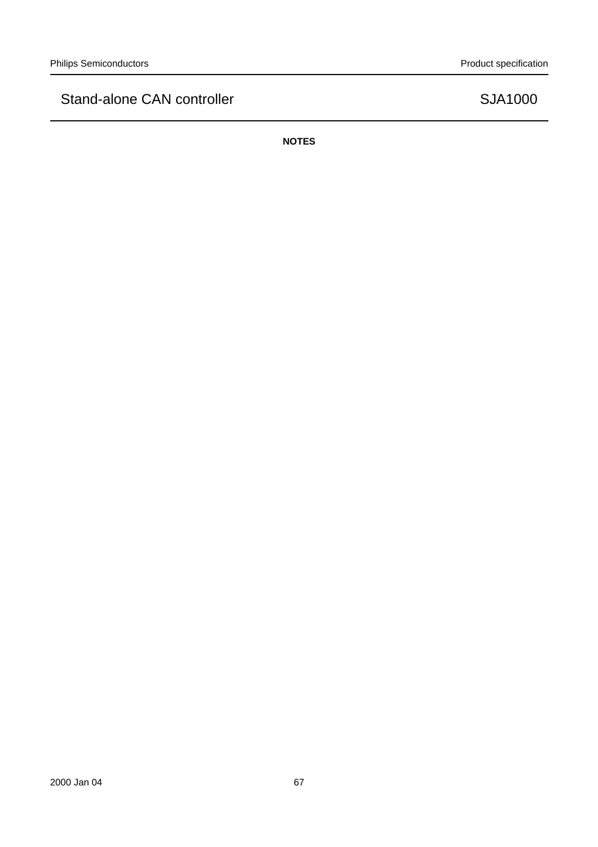**NOTES**